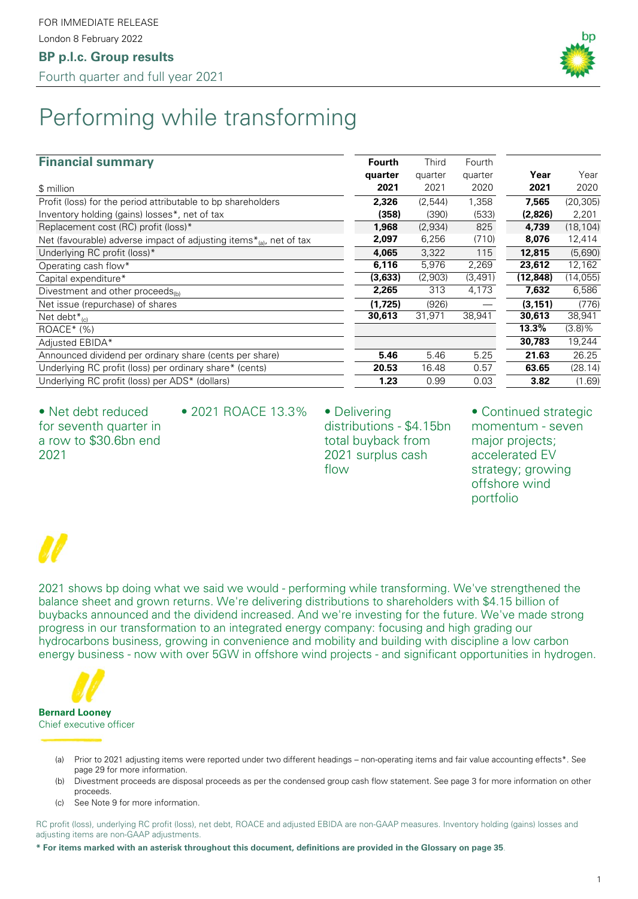### **BP p.l.c. Group results**

Fourth quarter and full year 2021



# Performing while transforming

#### **Financial summary Financial Summary Fourth Fourth** Third Fourth

| $\ldots$                                                                  |         |         |         |          |           |
|---------------------------------------------------------------------------|---------|---------|---------|----------|-----------|
|                                                                           | quarter | quarter | quarter | Year     | Year      |
| \$ million                                                                | 2021    | 2021    | 2020    | 2021     | 2020      |
| Profit (loss) for the period attributable to bp shareholders              | 2,326   | (2,544) | 1,358   | 7,565    | (20, 305) |
| Inventory holding (gains) losses*, net of tax                             | (358)   | (390)   | (533)   | (2,826)  | 2,201     |
| Replacement cost (RC) profit (loss)*                                      | 1,968   | (2,934) | 825     | 4,739    | (18, 104) |
| Net (favourable) adverse impact of adjusting items $*_{(a)}$ , net of tax | 2,097   | 6,256   | (710)   | 8,076    | 12,414    |
| Underlying RC profit (loss)*                                              | 4,065   | 3,322   | 115     | 12,815   | (5,690)   |
| Operating cash flow*                                                      | 6,116   | 5,976   | 2,269   | 23,612   | 12,162    |
| Capital expenditure*                                                      | (3,633) | (2,903) | (3,491) | (12,848) | (14, 055) |
| Divestment and other proceeds <sub>(b)</sub>                              | 2,265   | 313     | 4,173   | 7,632    | 6,586     |
| Net issue (repurchase) of shares                                          | (1,725) | (926)   |         | (3, 151) | (776)     |
| Net debt $*_{(c)}$                                                        | 30,613  | 31,971  | 38,941  | 30,613   | 38,941    |
| $ROACE^*(% )$                                                             |         |         |         | 13.3%    | $(3.8)\%$ |
| Adjusted EBIDA*                                                           |         |         |         | 30,783   | 19,244    |
| Announced dividend per ordinary share (cents per share)                   | 5.46    | 5.46    | 5.25    | 21.63    | 26.25     |
| Underlying RC profit (loss) per ordinary share* (cents)                   | 20.53   | 16.48   | 0.57    | 63.65    | (28.14)   |
| Underlying RC profit (loss) per ADS* (dollars)                            | 1.23    | 0.99    | 0.03    | 3.82     | (1.69)    |
|                                                                           |         |         |         |          |           |

• Net debt reduced for seventh quarter in a row to \$30.6bn end 2021

• 2021 ROACE 13.3% • Delivering

distributions - \$4.15bn total buyback from 2021 surplus cash flow

• Continued strategic momentum - seven major projects; accelerated EV strategy; growing offshore wind portfolio

2021 shows bp doing what we said we would - performing while transforming. We've strengthened the balance sheet and grown returns. We're delivering distributions to shareholders with \$4.15 billion of buybacks announced and the dividend increased. And we're investing for the future. We've made strong progress in our transformation to an integrated energy company: focusing and high grading our hydrocarbons business, growing in convenience and mobility and building with discipline a low carbon energy business - now with over 5GW in offshore wind projects - and significant opportunities in hydrogen.



#### Chief executive officer

- (a) Prior to 2021 adjusting items were reported under two different headings non-operating items and fair value accounting effects\*. See page 29 for more information.
- (b) Divestment proceeds are disposal proceeds as per the condensed group cash flow statement. See page 3 for more information on other proceeds.
- (c) See Note 9 for more information.

RC profit (loss), underlying RC profit (loss), net debt, ROACE and adjusted EBIDA are non-GAAP measures. Inventory holding (gains) losses and adjusting items are non-GAAP adjustments.

**\* For items marked with an asterisk throughout this document, definitions are provided in the Glossary on page 35**.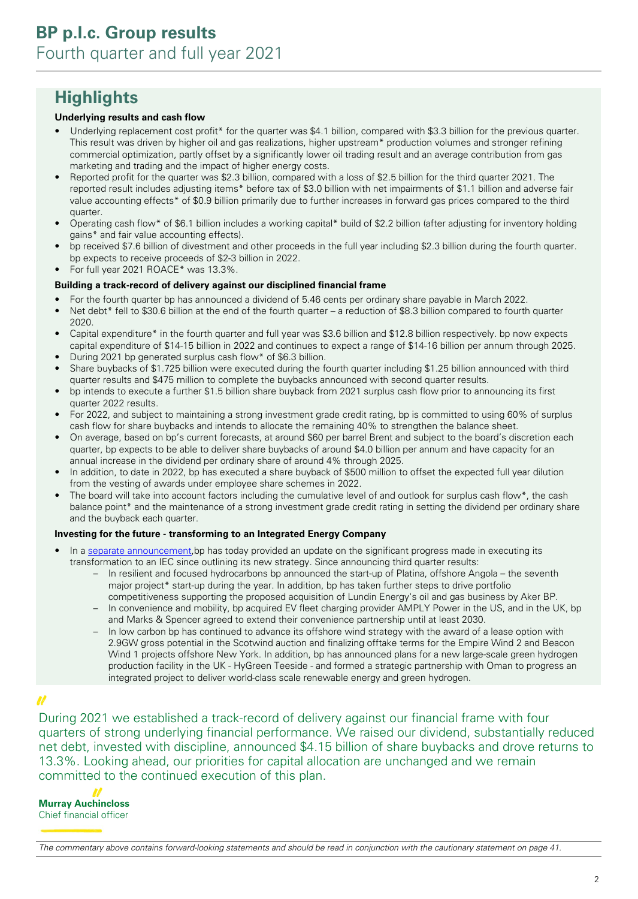## **Highlights**

#### **Underlying results and cash flow**

- Underlying replacement cost profit<sup>\*</sup> for the quarter was \$4.1 billion, compared with \$3.3 billion for the previous quarter. This result was driven by higher oil and gas realizations, higher upstream\* production volumes and stronger refining commercial optimization, partly offset by a significantly lower oil trading result and an average contribution from gas marketing and trading and the impact of higher energy costs.
- Reported profit for the quarter was \$2.3 billion, compared with a loss of \$2.5 billion for the third quarter 2021. The reported result includes adjusting items\* before tax of \$3.0 billion with net impairments of \$1.1 billion and adverse fair value accounting effects\* of \$0.9 billion primarily due to further increases in forward gas prices compared to the third quarter.
- Operating cash flow\* of \$6.1 billion includes a working capital\* build of \$2.2 billion (after adjusting for inventory holding gains\* and fair value accounting effects).
- bp received \$7.6 billion of divestment and other proceeds in the full year including \$2.3 billion during the fourth quarter. bp expects to receive proceeds of \$2-3 billion in 2022.
- For full year 2021 ROACE\* was 13.3%.

#### **Building a track-record of delivery against our disciplined financial frame**

- For the fourth quarter bp has announced a dividend of 5.46 cents per ordinary share payable in March 2022.
- Net debt\* fell to \$30.6 billion at the end of the fourth quarter a reduction of \$8.3 billion compared to fourth quarter 2020.
- Capital expenditure\* in the fourth quarter and full year was \$3.6 billion and \$12.8 billion respectively. bp now expects capital expenditure of \$14-15 billion in 2022 and continues to expect a range of \$14-16 billion per annum through 2025.
- During 2021 bp generated surplus cash flow\* of \$6.3 billion.
- Share buybacks of \$1.725 billion were executed during the fourth quarter including \$1.25 billion announced with third quarter results and \$475 million to complete the buybacks announced with second quarter results.
- bp intends to execute a further \$1.5 billion share buyback from 2021 surplus cash flow prior to announcing its first quarter 2022 results.
- For 2022, and subject to maintaining a strong investment grade credit rating, bp is committed to using 60% of surplus cash flow for share buybacks and intends to allocate the remaining 40% to strengthen the balance sheet.
- On average, based on bp's current forecasts, at around \$60 per barrel Brent and subject to the board's discretion each quarter, bp expects to be able to deliver share buybacks of around \$4.0 billion per annum and have capacity for an annual increase in the dividend per ordinary share of around 4% through 2025.
- In addition, to date in 2022, bp has executed a share buyback of \$500 million to offset the expected full year dilution from the vesting of awards under employee share schemes in 2022.
- The board will take into account factors including the cumulative level of and outlook for surplus cash flow\*, the cash balance point\* and the maintenance of a strong investment grade credit rating in setting the dividend per ordinary share and the buyback each quarter.

#### **Investing for the future - transforming to an Integrated Energy Company**

- In a [separate announcement,](https://www.bp.com/en/global/corporate/news-and-insights/press-releases/bp-update-on-strategic-progress.html) bp has today provided an update on the significant progress made in executing its transformation to an IEC since outlining its new strategy. Since announcing third quarter results:
	- In resilient and focused hydrocarbons bp announced the start-up of Platina, offshore Angola the seventh major project\* start-up during the year. In addition, bp has taken further steps to drive portfolio competitiveness supporting the proposed acquisition of Lundin Energy's oil and gas business by Aker BP.
	- In convenience and mobility, bp acquired EV fleet charging provider AMPLY Power in the US, and in the UK, bp and Marks & Spencer agreed to extend their convenience partnership until at least 2030.
	- In low carbon bp has continued to advance its offshore wind strategy with the award of a lease option with 2.9GW gross potential in the Scotwind auction and finalizing offtake terms for the Empire Wind 2 and Beacon Wind 1 projects offshore New York. In addition, bp has announced plans for a new large-scale green hydrogen production facility in the UK - HyGreen Teeside - and formed a strategic partnership with Oman to progress an integrated project to deliver world-class scale renewable energy and green hydrogen.

#### N

During 2021 we established a track-record of delivery against our financial frame with four quarters of strong underlying financial performance. We raised our dividend, substantially reduced net debt, invested with discipline, announced \$4.15 billion of share buybacks and drove returns to 13.3%. Looking ahead, our priorities for capital allocation are unchanged and we remain committed to the continued execution of this plan.

**Murray Auchincloss**  Chief financial officer

The commentary above contains forward-looking statements and should be read in conjunction with the cautionary statement on page 41.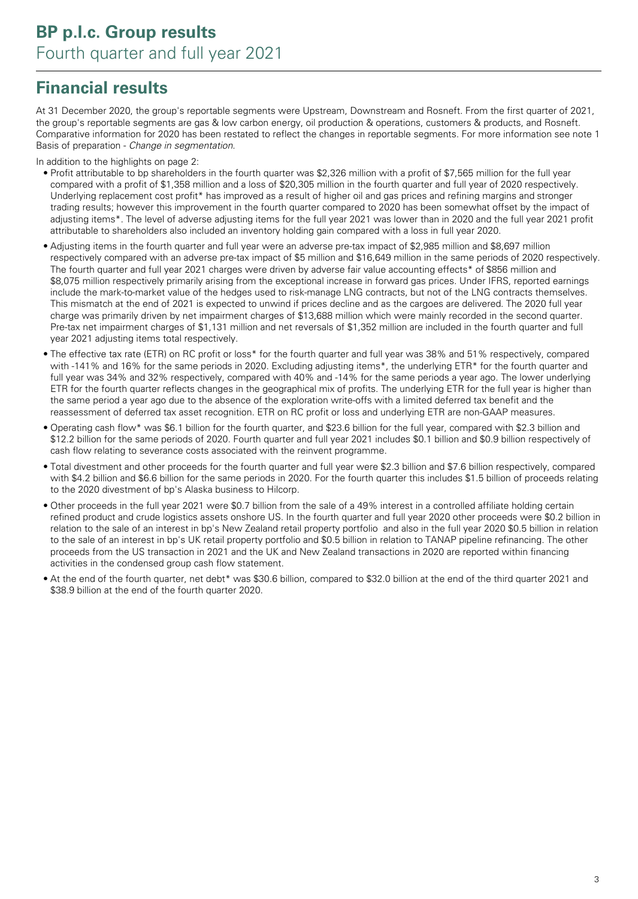## **Financial results**

At 31 December 2020, the group's reportable segments were Upstream, Downstream and Rosneft. From the first quarter of 2021, the group's reportable segments are gas & low carbon energy, oil production & operations, customers & products, and Rosneft. Comparative information for 2020 has been restated to reflect the changes in reportable segments. For more information see note 1 Basis of preparation - Change in segmentation.

In addition to the highlights on page 2:

- Profit attributable to bp shareholders in the fourth quarter was \$2,326 million with a profit of \$7,565 million for the full year compared with a profit of \$1,358 million and a loss of \$20,305 million in the fourth quarter and full year of 2020 respectively. Underlying replacement cost profit\* has improved as a result of higher oil and gas prices and refining margins and stronger trading results; however this improvement in the fourth quarter compared to 2020 has been somewhat offset by the impact of adjusting items\*. The level of adverse adjusting items for the full year 2021 was lower than in 2020 and the full year 2021 profit attributable to shareholders also included an inventory holding gain compared with a loss in full year 2020.
- Adjusting items in the fourth quarter and full year were an adverse pre-tax impact of \$2,985 million and \$8,697 million respectively compared with an adverse pre-tax impact of \$5 million and \$16,649 million in the same periods of 2020 respectively. The fourth quarter and full year 2021 charges were driven by adverse fair value accounting effects\* of \$856 million and \$8,075 million respectively primarily arising from the exceptional increase in forward gas prices. Under IFRS, reported earnings include the mark-to-market value of the hedges used to risk-manage LNG contracts, but not of the LNG contracts themselves. This mismatch at the end of 2021 is expected to unwind if prices decline and as the cargoes are delivered. The 2020 full year charge was primarily driven by net impairment charges of \$13,688 million which were mainly recorded in the second quarter. Pre-tax net impairment charges of \$1,131 million and net reversals of \$1,352 million are included in the fourth quarter and full year 2021 adjusting items total respectively.
- The effective tax rate (ETR) on RC profit or loss\* for the fourth quarter and full year was 38% and 51% respectively, compared with -141% and 16% for the same periods in 2020. Excluding adjusting items\*, the underlying ETR\* for the fourth quarter and full year was 34% and 32% respectively, compared with 40% and -14% for the same periods a year ago. The lower underlying ETR for the fourth quarter reflects changes in the geographical mix of profits. The underlying ETR for the full year is higher than the same period a year ago due to the absence of the exploration write-offs with a limited deferred tax benefit and the reassessment of deferred tax asset recognition. ETR on RC profit or loss and underlying ETR are non-GAAP measures.
- Operating cash flow\* was \$6.1 billion for the fourth quarter, and \$23.6 billion for the full year, compared with \$2.3 billion and \$12.2 billion for the same periods of 2020. Fourth quarter and full year 2021 includes \$0.1 billion and \$0.9 billion respectively of cash flow relating to severance costs associated with the reinvent programme.
- Total divestment and other proceeds for the fourth quarter and full year were \$2.3 billion and \$7.6 billion respectively, compared with \$4.2 billion and \$6.6 billion for the same periods in 2020. For the fourth quarter this includes \$1.5 billion of proceeds relating to the 2020 divestment of bp's Alaska business to Hilcorp.
- Other proceeds in the full year 2021 were \$0.7 billion from the sale of a 49% interest in a controlled affiliate holding certain refined product and crude logistics assets onshore US. In the fourth quarter and full year 2020 other proceeds were \$0.2 billion in relation to the sale of an interest in bp's New Zealand retail property portfolio and also in the full year 2020 \$0.5 billion in relation to the sale of an interest in bp's UK retail property portfolio and \$0.5 billion in relation to TANAP pipeline refinancing. The other proceeds from the US transaction in 2021 and the UK and New Zealand transactions in 2020 are reported within financing activities in the condensed group cash flow statement.
- At the end of the fourth quarter, net debt\* was \$30.6 billion, compared to \$32.0 billion at the end of the third quarter 2021 and \$38.9 billion at the end of the fourth quarter 2020.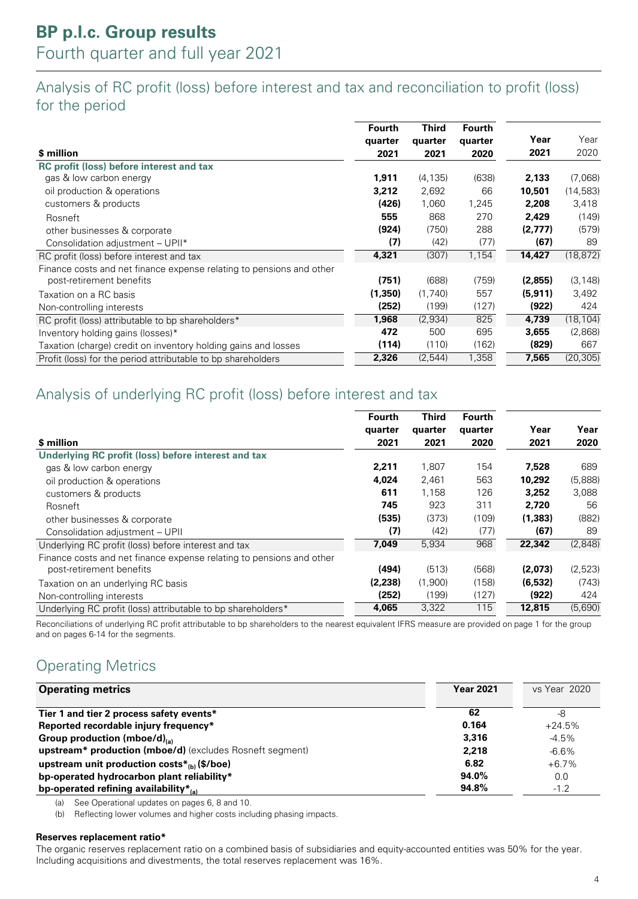### Analysis of RC profit (loss) before interest and tax and reconciliation to profit (loss) for the period

| \$ million                                                                                       | <b>Fourth</b><br>quarter<br>2021 | <b>Third</b><br>quarter<br>2021 | Fourth<br>quarter<br>2020 | Year<br>2021 | Year<br>2020 |
|--------------------------------------------------------------------------------------------------|----------------------------------|---------------------------------|---------------------------|--------------|--------------|
| <b>RC</b> profit (loss) before interest and tax                                                  |                                  |                                 |                           |              |              |
| gas & low carbon energy                                                                          | 1,911                            | (4, 135)                        | (638)                     | 2,133        | (7.068)      |
| oil production & operations                                                                      | 3,212                            | 2,692                           | 66                        | 10,501       | (14, 583)    |
| customers & products                                                                             | (426)                            | 1,060                           | 1,245                     | 2,208        | 3,418        |
| Rosneft                                                                                          | 555                              | 868                             | 270                       | 2,429        | (149)        |
| other businesses & corporate                                                                     | (924)                            | (750)                           | 288                       | (2,777)      | (579)        |
| Consolidation adjustment - UPII*                                                                 | (7)                              | (42)                            | (77)                      | (67)         | 89           |
| RC profit (loss) before interest and tax                                                         | 4,321                            | (307)                           | 1,154                     | 14,427       | (18, 872)    |
| Finance costs and net finance expense relating to pensions and other<br>post-retirement benefits | (751)                            | (688)                           | (759)                     | (2,855)      | (3, 148)     |
| Taxation on a RC basis                                                                           | (1,350)                          | (1,740)                         | 557                       | (5, 911)     | 3,492        |
| Non-controlling interests                                                                        | (252)                            | (199)                           | (127)                     | (922)        | 424          |
| RC profit (loss) attributable to bp shareholders*                                                | 1,968                            | (2,934)                         | 825                       | 4,739        | (18, 104)    |
| Inventory holding gains (losses)*                                                                | 472                              | 500                             | 695                       | 3,655        | (2,868)      |
| Taxation (charge) credit on inventory holding gains and losses                                   | (114)                            | (110)                           | (162)                     | (829)        | 667          |
| Profit (loss) for the period attributable to bp shareholders                                     | 2,326                            | (2,544)                         | 1,358                     | 7,565        | (20, 305)    |

### Analysis of underlying RC profit (loss) before interest and tax

| \$ million                                                                                       | <b>Fourth</b><br>quarter<br>2021 | <b>Third</b><br>quarter<br>2021 | Fourth<br>quarter<br>2020 | Year<br>2021 | Year<br>2020 |
|--------------------------------------------------------------------------------------------------|----------------------------------|---------------------------------|---------------------------|--------------|--------------|
| Underlying RC profit (loss) before interest and tax                                              |                                  |                                 |                           |              |              |
| gas & low carbon energy                                                                          | 2,211                            | 1,807                           | 154                       | 7,528        | 689          |
| oil production & operations                                                                      | 4.024                            | 2,461                           | 563                       | 10,292       | (5,888)      |
| customers & products                                                                             | 611                              | 1,158                           | 126                       | 3,252        | 3,088        |
| Rosneft                                                                                          | 745                              | 923                             | 311                       | 2.720        | 56           |
| other businesses & corporate                                                                     | (535)                            | (373)                           | (109)                     | (1, 383)     | (882)        |
| Consolidation adjustment - UPII                                                                  | (7)                              | (42)                            | (77)                      | (67)         | 89           |
| Underlying RC profit (loss) before interest and tax                                              | 7.049                            | 5,934                           | 968                       | 22,342       | (2,848)      |
| Finance costs and net finance expense relating to pensions and other<br>post-retirement benefits | (494)                            | (513)                           | (568)                     | (2,073)      | (2,523)      |
| Taxation on an underlying RC basis                                                               | (2,238)                          | (1,900)                         | (158)                     | (6,532)      | (743)        |
| Non-controlling interests                                                                        | (252)                            | (199)                           | (127)                     | (922)        | 424          |
| Underlying RC profit (loss) attributable to bp shareholders*                                     | 4,065                            | 3,322                           | 115                       | 12,815       | (5,690)      |

Reconciliations of underlying RC profit attributable to bp shareholders to the nearest equivalent IFRS measure are provided on page 1 for the group and on pages 6-14 for the segments.

### Operating Metrics

| <b>Operating metrics</b>                                 | <b>Year 2021</b> | vs Year 2020 |
|----------------------------------------------------------|------------------|--------------|
| Tier 1 and tier 2 process safety events*                 | 62               | -8           |
| Reported recordable injury frequency*                    | 0.164            | $+24.5%$     |
| Group production (mboe/d) $_{(a)}$                       | 3,316            | $-4.5\%$     |
| upstream* production (mboe/d) (excludes Rosneft segment) | 2,218            | $-6.6\%$     |
| upstream unit production costs $*_{{(b)}}$ (\$/boe)      | 6.82             | $+6.7\%$     |
| bp-operated hydrocarbon plant reliability*               | $94.0\%$         | 0.0          |
| bp-operated refining availability $*_{(a)}$              | 94.8%            | $-1.2$       |

(a) See Operational updates on pages 6, 8 and 10.

(b) Reflecting lower volumes and higher costs including phasing impacts.

#### **Reserves replacement ratio\***

The organic reserves replacement ratio on a combined basis of subsidiaries and equity-accounted entities was 50% for the year. Including acquisitions and divestments, the total reserves replacement was 16%.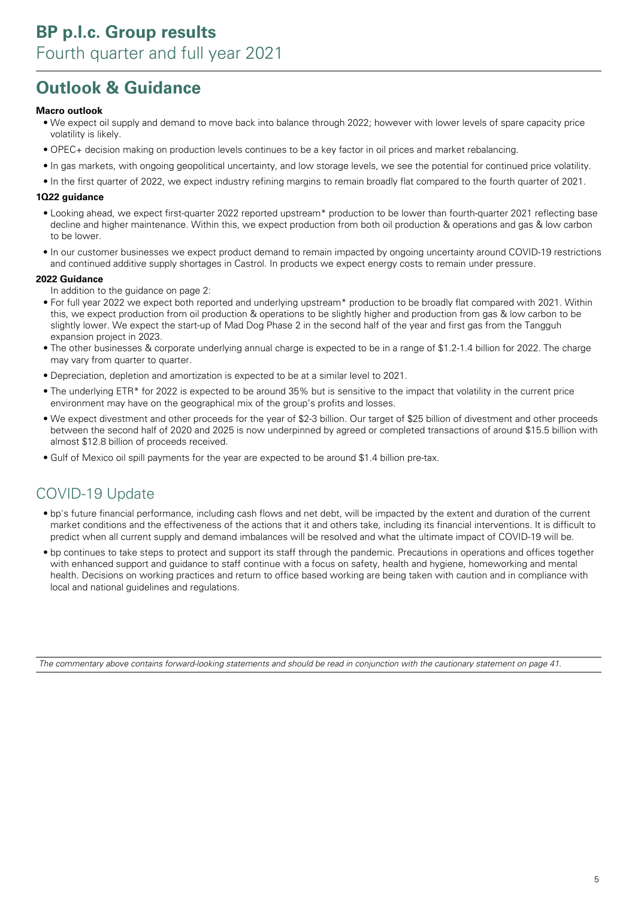## **Outlook & Guidance**

#### **Macro outlook**

- We expect oil supply and demand to move back into balance through 2022; however with lower levels of spare capacity price volatility is likely.
- OPEC+ decision making on production levels continues to be a key factor in oil prices and market rebalancing.
- In gas markets, with ongoing geopolitical uncertainty, and low storage levels, we see the potential for continued price volatility.
- In the first quarter of 2022, we expect industry refining margins to remain broadly flat compared to the fourth quarter of 2021.

#### **1Q22 guidance**

- Looking ahead, we expect first-quarter 2022 reported upstream\* production to be lower than fourth-quarter 2021 reflecting base decline and higher maintenance. Within this, we expect production from both oil production & operations and gas & low carbon to be lower.
- In our customer businesses we expect product demand to remain impacted by ongoing uncertainty around COVID-19 restrictions and continued additive supply shortages in Castrol. In products we expect energy costs to remain under pressure.

#### **2022 Guidance**

- In addition to the guidance on page 2:
- For full year 2022 we expect both reported and underlying upstream\* production to be broadly flat compared with 2021. Within this, we expect production from oil production & operations to be slightly higher and production from gas & low carbon to be slightly lower. We expect the start-up of Mad Dog Phase 2 in the second half of the year and first gas from the Tangguh expansion project in 2023.
- The other businesses & corporate underlying annual charge is expected to be in a range of \$1.2-1.4 billion for 2022. The charge may vary from quarter to quarter.
- Depreciation, depletion and amortization is expected to be at a similar level to 2021.
- The underlying ETR\* for 2022 is expected to be around 35% but is sensitive to the impact that volatility in the current price environment may have on the geographical mix of the group's profits and losses.
- We expect divestment and other proceeds for the year of \$2-3 billion. Our target of \$25 billion of divestment and other proceeds between the second half of 2020 and 2025 is now underpinned by agreed or completed transactions of around \$15.5 billion with almost \$12.8 billion of proceeds received.
- Gulf of Mexico oil spill payments for the year are expected to be around \$1.4 billion pre-tax.

### COVID-19 Update

- bp's future financial performance, including cash flows and net debt, will be impacted by the extent and duration of the current market conditions and the effectiveness of the actions that it and others take, including its financial interventions. It is difficult to predict when all current supply and demand imbalances will be resolved and what the ultimate impact of COVID-19 will be.
- bp continues to take steps to protect and support its staff through the pandemic. Precautions in operations and offices together with enhanced support and guidance to staff continue with a focus on safety, health and hygiene, homeworking and mental health. Decisions on working practices and return to office based working are being taken with caution and in compliance with local and national guidelines and regulations.

The commentary above contains forward-looking statements and should be read in conjunction with the cautionary statement on page 41.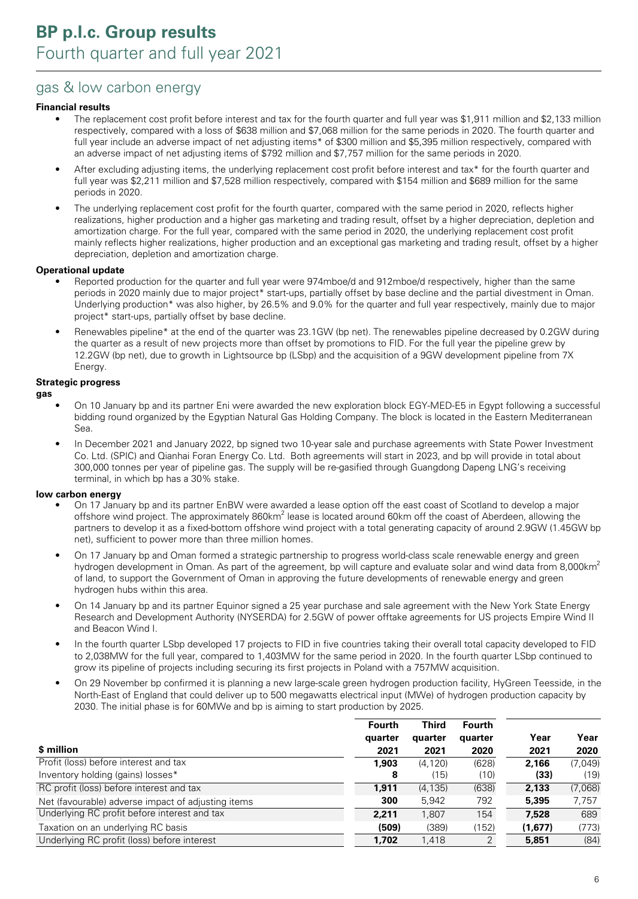### gas & low carbon energy

#### **Financial results**

- The replacement cost profit before interest and tax for the fourth quarter and full year was \$1,911 million and \$2,133 million respectively, compared with a loss of \$638 million and \$7,068 million for the same periods in 2020. The fourth quarter and full year include an adverse impact of net adjusting items\* of \$300 million and \$5,395 million respectively, compared with an adverse impact of net adjusting items of \$792 million and \$7,757 million for the same periods in 2020.
- After excluding adjusting items, the underlying replacement cost profit before interest and tax\* for the fourth quarter and full year was \$2,211 million and \$7,528 million respectively, compared with \$154 million and \$689 million for the same periods in 2020.
- The underlying replacement cost profit for the fourth quarter, compared with the same period in 2020, reflects higher realizations, higher production and a higher gas marketing and trading result, offset by a higher depreciation, depletion and amortization charge. For the full year, compared with the same period in 2020, the underlying replacement cost profit mainly reflects higher realizations, higher production and an exceptional gas marketing and trading result, offset by a higher depreciation, depletion and amortization charge.

#### **Operational update**

- Reported production for the quarter and full year were 974mboe/d and 912mboe/d respectively, higher than the same periods in 2020 mainly due to major project\* start-ups, partially offset by base decline and the partial divestment in Oman. Underlying production\* was also higher, by 26.5% and 9.0% for the quarter and full year respectively, mainly due to major project\* start-ups, partially offset by base decline.
- Renewables pipeline\* at the end of the quarter was 23.1GW (bp net). The renewables pipeline decreased by 0.2GW during the quarter as a result of new projects more than offset by promotions to FID. For the full year the pipeline grew by 12.2GW (bp net), due to growth in Lightsource bp (LSbp) and the acquisition of a 9GW development pipeline from 7X Energy.

#### **Strategic progress**

**gas**

- On 10 January bp and its partner Eni were awarded the new exploration block EGY-MED-E5 in Egypt following a successful bidding round organized by the Egyptian Natural Gas Holding Company. The block is located in the Eastern Mediterranean Sea.
- In December 2021 and January 2022, bp signed two 10-year sale and purchase agreements with State Power Investment Co. Ltd. (SPIC) and Qianhai Foran Energy Co. Ltd. Both agreements will start in 2023, and bp will provide in total about 300,000 tonnes per year of pipeline gas. The supply will be re-gasified through Guangdong Dapeng LNG's receiving terminal, in which bp has a 30% stake.

#### **low carbon energy**

- On 17 January bp and its partner EnBW were awarded a lease option off the east coast of Scotland to develop a major offshore wind project. The approximately 860km<sup>2</sup> lease is located around 60km off the coast of Aberdeen, allowing the partners to develop it as a fixed-bottom offshore wind project with a total generating capacity of around 2.9GW (1.45GW bp net), sufficient to power more than three million homes.
- On 17 January bp and Oman formed a strategic partnership to progress world-class scale renewable energy and green hydrogen development in Oman. As part of the agreement, bp will capture and evaluate solar and wind data from 8,000km<sup>2</sup> of land, to support the Government of Oman in approving the future developments of renewable energy and green hydrogen hubs within this area.
- On 14 January bp and its partner Equinor signed a 25 year purchase and sale agreement with the New York State Energy Research and Development Authority (NYSERDA) for 2.5GW of power offtake agreements for US projects Empire Wind II and Beacon Wind I.
- In the fourth quarter LSbp developed 17 projects to FID in five countries taking their overall total capacity developed to FID to 2,038MW for the full year, compared to 1,403MW for the same period in 2020. In the fourth quarter LSbp continued to grow its pipeline of projects including securing its first projects in Poland with a 757MW acquisition.
- On 29 November bp confirmed it is planning a new large-scale green hydrogen production facility, HyGreen Teesside, in the North-East of England that could deliver up to 500 megawatts electrical input (MWe) of hydrogen production capacity by 2030. The initial phase is for 60MWe and bp is aiming to start production by 2025.

|                                                    | <b>Fourth</b><br>quarter | <b>Third</b><br>quarter | <b>Fourth</b><br>quarter | Year    | Year    |
|----------------------------------------------------|--------------------------|-------------------------|--------------------------|---------|---------|
| \$ million                                         | 2021                     | 2021                    | 2020                     | 2021    | 2020    |
| Profit (loss) before interest and tax              | 1,903                    | (4.120)                 | (628)                    | 2,166   | (7,049) |
| Inventory holding (gains) losses*                  | 8                        | (15)                    | (10)                     | (33)    | (19)    |
| RC profit (loss) before interest and tax           | 1,911                    | (4, 135)                | (638)                    | 2,133   | (7,068) |
| Net (favourable) adverse impact of adjusting items | 300                      | 5,942                   | 792                      | 5,395   | 7,757   |
| Underlying RC profit before interest and tax       | 2,211                    | 1,807                   | 154                      | 7.528   | 689     |
| Taxation on an underlying RC basis                 | (509)                    | (389)                   | (152)                    | (1,677) | (773)   |
| Underlying RC profit (loss) before interest        | 1,702                    | 1,418                   | 2                        | 5,851   | (84)    |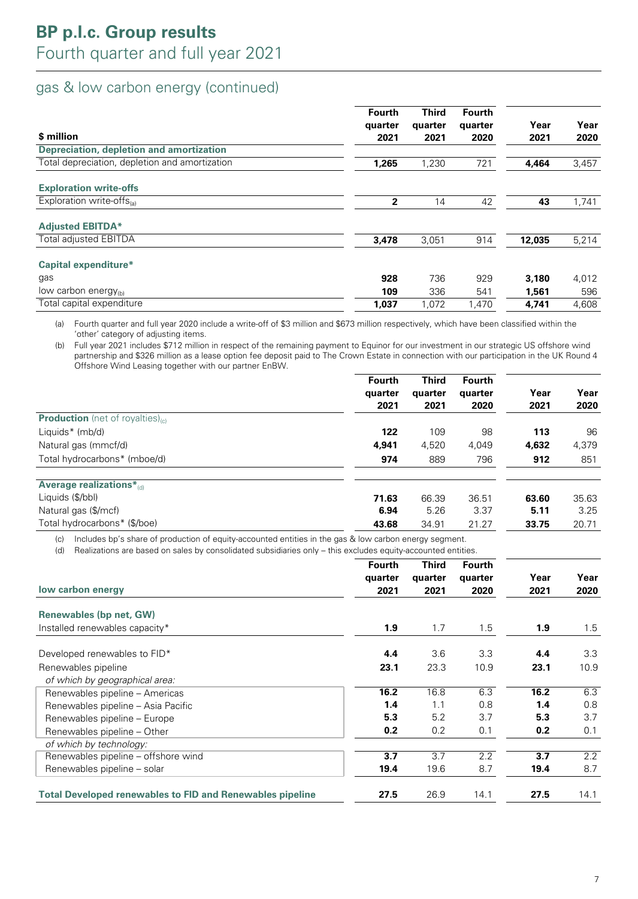### gas & low carbon energy (continued)

| \$ million                                     | <b>Fourth</b><br>quarter<br>2021 | <b>Third</b><br>quarter<br>2021 | <b>Fourth</b><br>quarter<br>2020 | Year<br>2021 | Year<br>2020 |
|------------------------------------------------|----------------------------------|---------------------------------|----------------------------------|--------------|--------------|
| Depreciation, depletion and amortization       |                                  |                                 |                                  |              |              |
| Total depreciation, depletion and amortization | 1,265                            | 1,230                           | 721                              | 4,464        | 3,457        |
| <b>Exploration write-offs</b>                  |                                  |                                 |                                  |              |              |
| Exploration write-offs $_{(a)}$                | $\mathbf{2}$                     | 14                              | 42                               | 43           | 1,741        |
| <b>Adjusted EBITDA*</b>                        |                                  |                                 |                                  |              |              |
| <b>Total adjusted EBITDA</b>                   | 3,478                            | 3,051                           | 914                              | 12,035       | 5,214        |
| <b>Capital expenditure*</b>                    |                                  |                                 |                                  |              |              |
| gas                                            | 928                              | 736                             | 929                              | 3,180        | 4,012        |
| low carbon energy $_{(b)}$                     | 109                              | 336                             | 541                              | 1,561        | 596          |
| Total capital expenditure                      | 1,037                            | 1,072                           | 1,470                            | 4.741        | 4,608        |

(a) Fourth quarter and full year 2020 include a write-off of \$3 million and \$673 million respectively, which have been classified within the 'other' category of adjusting items.

(b) Full year 2021 includes \$712 million in respect of the remaining payment to Equinor for our investment in our strategic US offshore wind partnership and \$326 million as a lease option fee deposit paid to The Crown Estate in connection with our participation in the UK Round 4 Offshore Wind Leasing together with our partner EnBW.

|                                                     | Fourth<br>quarter<br>2021 | <b>Third</b><br>quarter<br>2021 | <b>Fourth</b><br>quarter<br>2020 | Year<br>2021 | Year<br>2020 |
|-----------------------------------------------------|---------------------------|---------------------------------|----------------------------------|--------------|--------------|
| <b>Production</b> (net of royalties) <sub>(c)</sub> |                           |                                 |                                  |              |              |
| Liquids* (mb/d)                                     | 122                       | 109                             | 98                               | 113          | 96           |
| Natural gas (mmcf/d)                                | 4,941                     | 4,520                           | 4,049                            | 4,632        | 4,379        |
| Total hydrocarbons* (mboe/d)                        | 974                       | 889                             | 796                              | 912          | 851          |
| Average realizations*(d)                            |                           |                                 |                                  |              |              |
| Liquids (\$/bbl)                                    | 71.63                     | 66.39                           | 36.51                            | 63.60        | 35.63        |
| Natural gas (\$/mcf)                                | 6.94                      | 5.26                            | 3.37                             | 5.11         | 3.25         |
| Total hydrocarbons* (\$/boe)                        | 43.68                     | 34.91                           | 21.27                            | 33.75        | 20.71        |

(c) Includes bp's share of production of equity-accounted entities in the gas & low carbon energy segment.

(d) Realizations are based on sales by consolidated subsidiaries only – this excludes equity-accounted entities.

|                                                                  | <b>Fourth</b> | <b>Third</b> | <b>Fourth</b> |      |      |
|------------------------------------------------------------------|---------------|--------------|---------------|------|------|
|                                                                  | quarter       | quarter      | quarter       | Year | Year |
| low carbon energy                                                | 2021          | 2021         | 2020          | 2021 | 2020 |
| <b>Renewables (bp net, GW)</b>                                   |               |              |               |      |      |
| Installed renewables capacity*                                   | 1.9           | 1.7          | 1.5           | 1.9  | 1.5  |
| Developed renewables to FID*                                     | 4.4           | 3.6          | 3.3           | 4.4  | 3.3  |
| Renewables pipeline                                              | 23.1          | 23.3         | 10.9          | 23.1 | 10.9 |
| of which by geographical area:                                   |               |              |               |      |      |
| Renewables pipeline - Americas                                   | 16.2          | 16.8         | 6.3           | 16.2 | 6.3  |
| Renewables pipeline – Asia Pacific                               | 1.4           | 1.1          | 0.8           | 1.4  | 0.8  |
| Renewables pipeline - Europe                                     | 5.3           | 5.2          | 3.7           | 5.3  | 3.7  |
| Renewables pipeline - Other                                      | 0.2           | 0.2          | 0.1           | 0.2  | 0.1  |
| of which by technology:                                          |               |              |               |      |      |
| Renewables pipeline – offshore wind                              | 3.7           | 3.7          | 2.2           | 3.7  | 2.2  |
| Renewables pipeline – solar                                      | 19.4          | 19.6         | 8.7           | 19.4 | 8.7  |
| <b>Total Developed renewables to FID and Renewables pipeline</b> | 27.5          | 26.9         | 14.1          | 27.5 | 14.1 |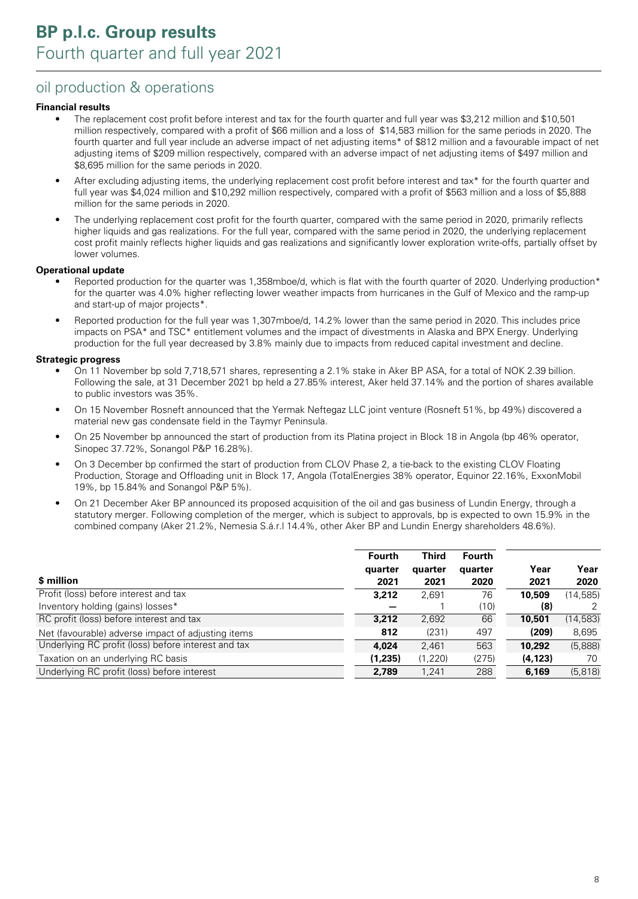### oil production & operations

#### **Financial results**

- The replacement cost profit before interest and tax for the fourth quarter and full year was \$3,212 million and \$10,501 million respectively, compared with a profit of \$66 million and a loss of \$14,583 million for the same periods in 2020. The fourth quarter and full year include an adverse impact of net adjusting items\* of \$812 million and a favourable impact of net adjusting items of \$209 million respectively, compared with an adverse impact of net adjusting items of \$497 million and \$8,695 million for the same periods in 2020.
- After excluding adjusting items, the underlying replacement cost profit before interest and tax\* for the fourth quarter and full year was \$4,024 million and \$10,292 million respectively, compared with a profit of \$563 million and a loss of \$5,888 million for the same periods in 2020.
- The underlying replacement cost profit for the fourth quarter, compared with the same period in 2020, primarily reflects higher liquids and gas realizations. For the full year, compared with the same period in 2020, the underlying replacement cost profit mainly reflects higher liquids and gas realizations and significantly lower exploration write-offs, partially offset by lower volumes.

#### **Operational update**

- Reported production for the quarter was 1,358mboe/d, which is flat with the fourth quarter of 2020. Underlying production\* for the quarter was 4.0% higher reflecting lower weather impacts from hurricanes in the Gulf of Mexico and the ramp-up and start-up of major projects\*.
- Reported production for the full year was 1,307mboe/d, 14.2% lower than the same period in 2020. This includes price impacts on PSA\* and TSC\* entitlement volumes and the impact of divestments in Alaska and BPX Energy. Underlying production for the full year decreased by 3.8% mainly due to impacts from reduced capital investment and decline.

#### **Strategic progress**

- On 11 November bp sold 7,718,571 shares, representing a 2.1% stake in Aker BP ASA, for a total of NOK 2.39 billion. Following the sale, at 31 December 2021 bp held a 27.85% interest, Aker held 37.14% and the portion of shares available to public investors was 35%.
- On 15 November Rosneft announced that the Yermak Neftegaz LLC joint venture (Rosneft 51%, bp 49%) discovered a material new gas condensate field in the Taymyr Peninsula.
- On 25 November bp announced the start of production from its Platina project in Block 18 in Angola (bp 46% operator, Sinopec 37.72%, Sonangol P&P 16.28%).
- On 3 December bp confirmed the start of production from CLOV Phase 2, a tie-back to the existing CLOV Floating Production, Storage and Offloading unit in Block 17, Angola (TotalEnergies 38% operator, Equinor 22.16%, ExxonMobil 19%, bp 15.84% and Sonangol P&P 5%).
- On 21 December Aker BP announced its proposed acquisition of the oil and gas business of Lundin Energy, through a statutory merger. Following completion of the merger, which is subject to approvals, bp is expected to own 15.9% in the combined company (Aker 21.2%, Nemesia S.á.r.l 14.4%, other Aker BP and Lundin Energy shareholders 48.6%).

|                                                     | Fourth<br>quarter | <b>Third</b><br>quarter | <b>Fourth</b><br>quarter | Year     | Year      |
|-----------------------------------------------------|-------------------|-------------------------|--------------------------|----------|-----------|
| \$ million                                          | 2021              | 2021                    | 2020                     | 2021     | 2020      |
| Profit (loss) before interest and tax               | 3,212             | 2.691                   | 76                       | 10,509   | (14.585)  |
| Inventory holding (gains) losses*                   |                   |                         | (10)                     | (8)      |           |
| RC profit (loss) before interest and tax            | 3,212             | 2,692                   | 66                       | 10,501   | (14, 583) |
| Net (favourable) adverse impact of adjusting items  | 812               | (231)                   | 497                      | (209)    | 8,695     |
| Underlying RC profit (loss) before interest and tax | 4.024             | 2,461                   | 563                      | 10,292   | (5,888)   |
| Taxation on an underlying RC basis                  | (1,235)           | (1,220)                 | (275)                    | (4, 123) | 70        |
| Underlying RC profit (loss) before interest         | 2,789             | 1,241                   | 288                      | 6,169    | (5,818)   |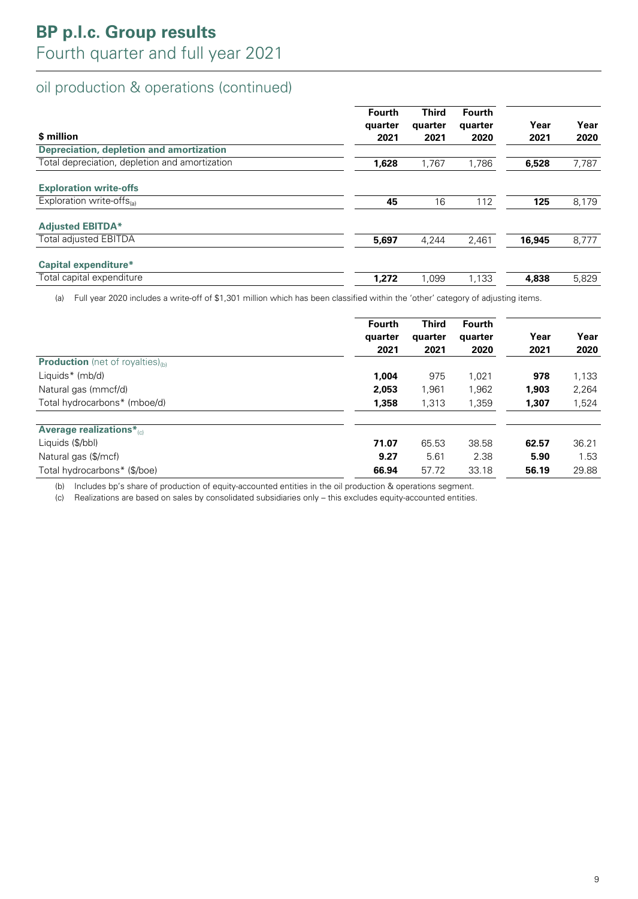### oil production & operations (continued)

| \$ million                                     | Fourth<br>quarter<br>2021 | <b>Third</b><br>quarter<br>2021 | Fourth<br>quarter<br>2020 | Year<br>2021 | Year<br>2020 |
|------------------------------------------------|---------------------------|---------------------------------|---------------------------|--------------|--------------|
| Depreciation, depletion and amortization       |                           |                                 |                           |              |              |
| Total depreciation, depletion and amortization | 1,628                     | 1,767                           | 1,786                     | 6,528        | 7,787        |
| <b>Exploration write-offs</b>                  |                           |                                 |                           |              |              |
| Exploration write-offs                         | 45                        | 16                              | 112                       | 125          | 8,179        |
| <b>Adjusted EBITDA*</b>                        |                           |                                 |                           |              |              |
| <b>Total adjusted EBITDA</b>                   | 5,697                     | 4,244                           | 2,461                     | 16,945       | 8,777        |
| Capital expenditure*                           |                           |                                 |                           |              |              |
| Total capital expenditure                      | 1,272                     | 1.099                           | 1,133                     | 4,838        | 5,829        |

(a) Full year 2020 includes a write-off of \$1,301 million which has been classified within the 'other' category of adjusting items.

|                                               | <b>Fourth</b><br>quarter<br>2021 | <b>Third</b><br>quarter<br>2021 | <b>Fourth</b><br>quarter<br>2020 | Year<br>2021 | Year<br>2020 |
|-----------------------------------------------|----------------------------------|---------------------------------|----------------------------------|--------------|--------------|
| <b>Production</b> (net of royalties) $_{(b)}$ |                                  |                                 |                                  |              |              |
| Liquids* (mb/d)                               | 1,004                            | 975                             | 1.021                            | 978          | 1,133        |
| Natural gas (mmcf/d)                          | 2,053                            | 1,961                           | 1,962                            | 1,903        | 2,264        |
| Total hydrocarbons* (mboe/d)                  | 1,358                            | 1,313                           | 1,359                            | 1,307        | 1,524        |
| <b>Average realizations*</b>                  |                                  |                                 |                                  |              |              |
| Liquids (\$/bbl)                              | 71.07                            | 65.53                           | 38.58                            | 62.57        | 36.21        |
| Natural gas (\$/mcf)                          | 9.27                             | 5.61                            | 2.38                             | 5.90         | 1.53         |
| Total hydrocarbons* (\$/boe)                  | 66.94                            | 57.72                           | 33.18                            | 56.19        | 29.88        |

(b) Includes bp's share of production of equity-accounted entities in the oil production & operations segment.

(c) Realizations are based on sales by consolidated subsidiaries only – this excludes equity-accounted entities.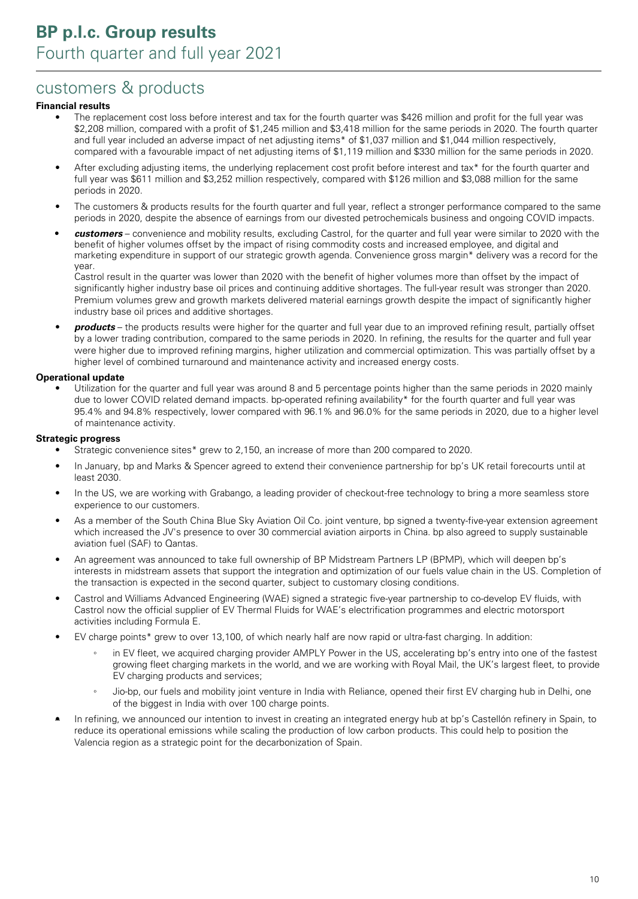## customers & products

#### **Financial results**

- The replacement cost loss before interest and tax for the fourth quarter was \$426 million and profit for the full year was \$2,208 million, compared with a profit of \$1,245 million and \$3,418 million for the same periods in 2020. The fourth quarter and full year included an adverse impact of net adjusting items\* of \$1,037 million and \$1,044 million respectively, compared with a favourable impact of net adjusting items of \$1,119 million and \$330 million for the same periods in 2020.
- After excluding adjusting items, the underlying replacement cost profit before interest and tax\* for the fourth quarter and full year was \$611 million and \$3,252 million respectively, compared with \$126 million and \$3,088 million for the same periods in 2020.
- The customers & products results for the fourth quarter and full year, reflect a stronger performance compared to the same periods in 2020, despite the absence of earnings from our divested petrochemicals business and ongoing COVID impacts.
- **• customers** convenience and mobility results, excluding Castrol, for the quarter and full year were similar to 2020 with the benefit of higher volumes offset by the impact of rising commodity costs and increased employee, and digital and marketing expenditure in support of our strategic growth agenda. Convenience gross margin\* delivery was a record for the year.

Castrol result in the quarter was lower than 2020 with the benefit of higher volumes more than offset by the impact of significantly higher industry base oil prices and continuing additive shortages. The full-year result was stronger than 2020. Premium volumes grew and growth markets delivered material earnings growth despite the impact of significantly higher industry base oil prices and additive shortages.

• **products** – the products results were higher for the quarter and full year due to an improved refining result, partially offset by a lower trading contribution, compared to the same periods in 2020. In refining, the results for the quarter and full year were higher due to improved refining margins, higher utilization and commercial optimization. This was partially offset by a higher level of combined turnaround and maintenance activity and increased energy costs.

#### **Operational update**

Utilization for the quarter and full year was around 8 and 5 percentage points higher than the same periods in 2020 mainly due to lower COVID related demand impacts. bp-operated refining availability\* for the fourth quarter and full year was 95.4% and 94.8% respectively, lower compared with 96.1% and 96.0% for the same periods in 2020, due to a higher level of maintenance activity.

#### **Strategic progress**

- Strategic convenience sites\* grew to 2,150, an increase of more than 200 compared to 2020.
- In January, bp and Marks & Spencer agreed to extend their convenience partnership for bp's UK retail forecourts until at least 2030.
- In the US, we are working with Grabango, a leading provider of checkout-free technology to bring a more seamless store experience to our customers.
- As a member of the South China Blue Sky Aviation Oil Co. joint venture, bp signed a twenty-five-year extension agreement which increased the JV's presence to over 30 commercial aviation airports in China. bp also agreed to supply sustainable aviation fuel (SAF) to Qantas.
- An agreement was announced to take full ownership of BP Midstream Partners LP (BPMP), which will deepen bp's interests in midstream assets that support the integration and optimization of our fuels value chain in the US. Completion of the transaction is expected in the second quarter, subject to customary closing conditions.
- Castrol and Williams Advanced Engineering (WAE) signed a strategic five-year partnership to co-develop EV fluids, with Castrol now the official supplier of EV Thermal Fluids for WAE's electrification programmes and electric motorsport activities including Formula E.
- EV charge points\* grew to over 13,100, of which nearly half are now rapid or ultra-fast charging. In addition:
	- in EV fleet, we acquired charging provider AMPLY Power in the US, accelerating bp's entry into one of the fastest growing fleet charging markets in the world, and we are working with Royal Mail, the UK's largest fleet, to provide EV charging products and services;
	- Jio-bp, our fuels and mobility joint venture in India with Reliance, opened their first EV charging hub in Delhi, one of the biggest in India with over 100 charge points.
- In refining, we announced our intention to invest in creating an integrated energy hub at bp's Castellón refinery in Spain, to reduce its operational emissions while scaling the production of low carbon products. This could help to position the Valencia region as a strategic point for the decarbonization of Spain.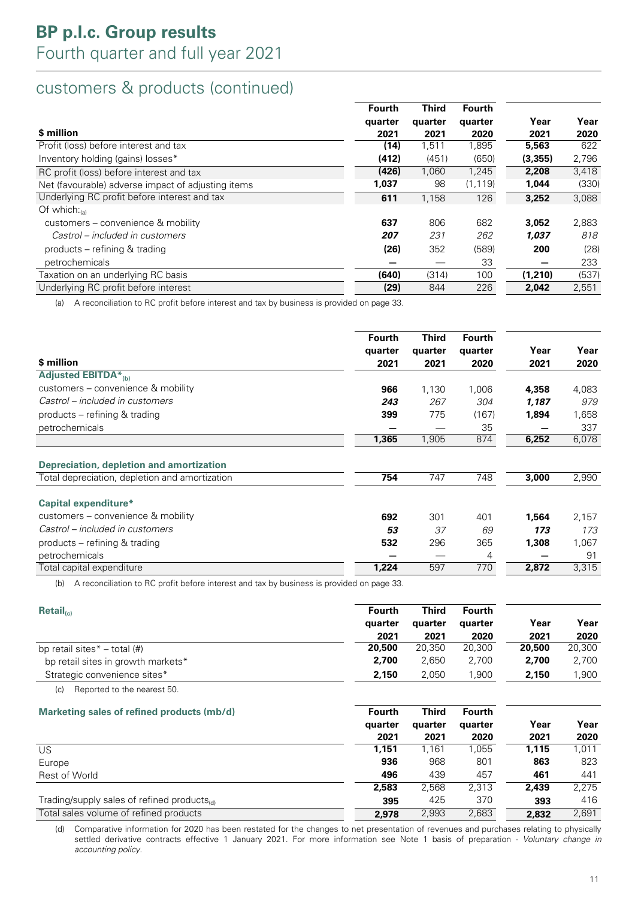## customers & products (continued)

|                                                    | Fourth  | <b>Third</b> | <b>Fourth</b> |         |       |
|----------------------------------------------------|---------|--------------|---------------|---------|-------|
|                                                    | quarter | quarter      | quarter       | Year    | Year  |
| \$ million                                         | 2021    | 2021         | 2020          | 2021    | 2020  |
| Profit (loss) before interest and tax              | (14)    | 1,511        | 1,895         | 5,563   | 622   |
| Inventory holding (gains) losses*                  | (412)   | (451)        | (650)         | (3,355) | 2,796 |
| RC profit (loss) before interest and tax           | (426)   | 1,060        | 1,245         | 2,208   | 3,418 |
| Net (favourable) adverse impact of adjusting items | 1,037   | 98           | (1, 119)      | 1,044   | (330) |
| Underlying RC profit before interest and tax       | 611     | 1,158        | 126           | 3,252   | 3,088 |
| Of which: $_{(a)}$                                 |         |              |               |         |       |
| customers – convenience & mobility                 | 637     | 806          | 682           | 3,052   | 2,883 |
| Castrol – included in customers                    | 207     | 231          | 262           | 1.037   | 818   |
| products – refining & trading                      | (26)    | 352          | (589)         | 200     | (28)  |
| petrochemicals                                     |         |              | 33            |         | 233   |
| Taxation on an underlying RC basis                 | (640)   | (314)        | 100           | (1,210) | (537) |
| Underlying RC profit before interest               | (29)    | 844          | 226           | 2.042   | 2,551 |

(a) A reconciliation to RC profit before interest and tax by business is provided on page 33.

|                                                | <b>Fourth</b><br>quarter | <b>Third</b><br>quarter | <b>Fourth</b><br>quarter | Year  | Year  |
|------------------------------------------------|--------------------------|-------------------------|--------------------------|-------|-------|
| \$ million                                     | 2021                     | 2021                    | 2020                     | 2021  | 2020  |
| Adjusted EBITDA* <sub>(b)</sub>                |                          |                         |                          |       |       |
| customers – convenience & mobility             | 966                      | 1,130                   | 1,006                    | 4,358 | 4,083 |
| Castrol – included in customers                | 243                      | 267                     | 304                      | 1,187 | 979   |
| products – refining & trading                  | 399                      | 775                     | (167)                    | 1,894 | 1,658 |
| petrochemicals                                 |                          |                         | 35                       |       | 337   |
|                                                | 1,365                    | 1,905                   | 874                      | 6,252 | 6,078 |
| Depreciation, depletion and amortization       |                          |                         |                          |       |       |
| Total depreciation, depletion and amortization | 754                      | 747                     | 748                      | 3,000 | 2,990 |
| Capital expenditure*                           |                          |                         |                          |       |       |
| customers – convenience & mobility             | 692                      | 301                     | 401                      | 1,564 | 2,157 |
| Castrol - included in customers                | 53                       | 37                      | 69                       | 173   | 173   |
| products – refining & trading                  | 532                      | 296                     | 365                      | 1,308 | 1,067 |
| petrochemicals                                 |                          |                         | 4                        |       | 91    |
| Total capital expenditure                      | 1,224                    | 597                     | 770                      | 2,872 | 3,315 |

(b) A reconciliation to RC profit before interest and tax by business is provided on page 33.

| $\mathsf{Retail}_{(c)}$            | <b>Fourth</b> | Third   | <b>Fourth</b> |        |        |
|------------------------------------|---------------|---------|---------------|--------|--------|
|                                    | quarter       | quarter | quarter       | Year   | Year   |
|                                    | 2021          | 2021    | 2020          | 2021   | 2020   |
| bp retail sites $* -$ total (#)    | 20,500        | 20.350  | 20.300        | 20,500 | 20,300 |
| bp retail sites in growth markets* | 2,700         | 2.650   | 2.700         | 2,700  | 2,700  |
| Strategic convenience sites*       | 2,150         | 2.050   | .900          | 2,150  | .900   |
|                                    |               |         |               |        |        |

(c) Reported to the nearest 50.

| Marketing sales of refined products (mb/d)              | Fourth  | <b>Third</b> | <b>Fourth</b> |       |       |
|---------------------------------------------------------|---------|--------------|---------------|-------|-------|
|                                                         | quarter | quarter      | quarter       | Year  | Year  |
|                                                         | 2021    | 2021         | 2020          | 2021  | 2020  |
| US                                                      | 1,151   | 1,161        | 1,055         | 1,115 | 1,011 |
| Europe                                                  | 936     | 968          | 801           | 863   | 823   |
| Rest of World                                           | 496     | 439          | 457           | 461   | 441   |
|                                                         | 2,583   | 2.568        | 2.313         | 2,439 | 2,275 |
| Trading/supply sales of refined products <sub>(d)</sub> | 395     | 425          | 370           | 393   | 416   |
| Total sales volume of refined products                  | 2,978   | 2,993        | 2,683         | 2.832 | 2,691 |

(d) Comparative information for 2020 has been restated for the changes to net presentation of revenues and purchases relating to physically settled derivative contracts effective 1 January 2021. For more information see Note 1 basis of preparation - Voluntary change in accounting policy.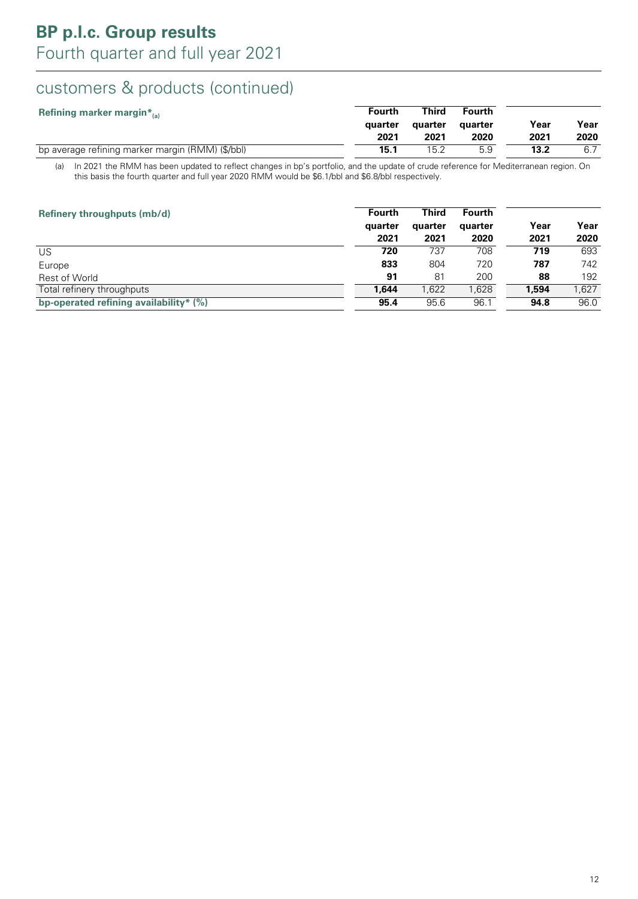## customers & products (continued)

| Refining marker margin $*_{{}_{(a)}}$            | <b>Fourth</b> | Third   | <b>Fourth</b> |      |      |
|--------------------------------------------------|---------------|---------|---------------|------|------|
|                                                  | quarter       | auarter | auarter       | Year | Year |
|                                                  | 2021          | 2021    | 2020          | 2021 | 2020 |
| bp average refining marker margin (RMM) (\$/bbl) | 15.1          | 15.2    | 5.9           | 13.2 |      |

(a) In 2021 the RMM has been updated to reflect changes in bp's portfolio, and the update of crude reference for Mediterranean region. On this basis the fourth quarter and full year 2020 RMM would be \$6.1/bbl and \$6.8/bbl respectively.

| Refinery throughputs (mb/d)            | <b>Fourth</b><br>quarter<br>2021 | <b>Third</b><br>quarter<br>2021 | <b>Fourth</b><br>quarter<br>2020 | Year<br>2021 | Year<br>2020 |
|----------------------------------------|----------------------------------|---------------------------------|----------------------------------|--------------|--------------|
| US                                     | 720                              | 737                             | 708                              | 719          | 693          |
| Europe                                 | 833                              | 804                             | 720                              | 787          | 742          |
| Rest of World                          | 91                               | 81                              | 200                              | 88           | 192          |
| Total refinery throughputs             | 1,644                            | 1,622                           | 1,628                            | 1,594        | 1,627        |
| bp-operated refining availability* (%) | 95.4                             | 95.6                            | 96.1                             | 94.8         | 96.0         |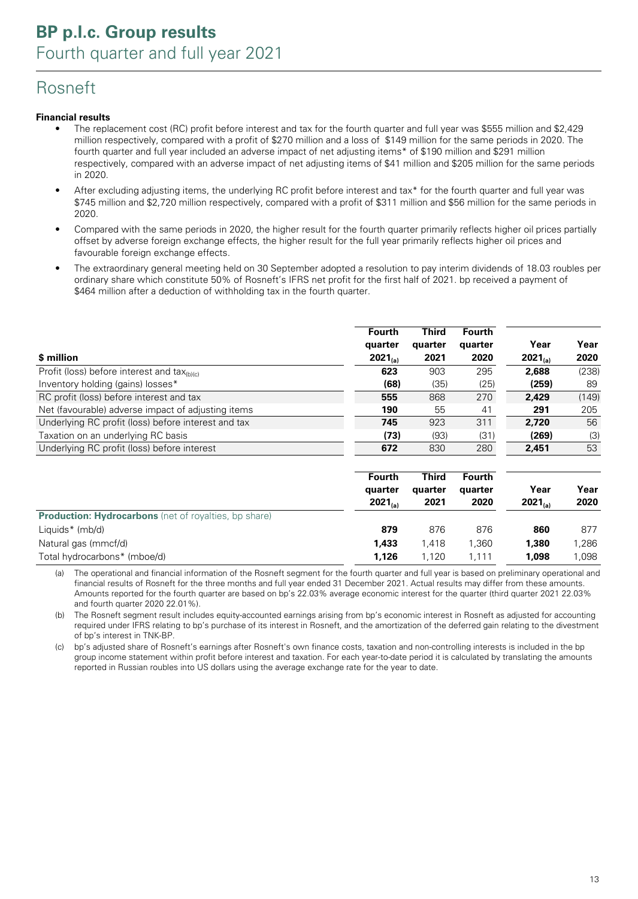## Rosneft

#### **Financial results**

- The replacement cost (RC) profit before interest and tax for the fourth quarter and full year was \$555 million and \$2,429 million respectively, compared with a profit of \$270 million and a loss of \$149 million for the same periods in 2020. The fourth quarter and full year included an adverse impact of net adjusting items<sup>\*</sup> of \$190 million and \$291 million respectively, compared with an adverse impact of net adjusting items of \$41 million and \$205 million for the same periods in 2020.
- After excluding adjusting items, the underlying RC profit before interest and tax\* for the fourth quarter and full year was \$745 million and \$2,720 million respectively, compared with a profit of \$311 million and \$56 million for the same periods in 2020.
- Compared with the same periods in 2020, the higher result for the fourth quarter primarily reflects higher oil prices partially offset by adverse foreign exchange effects, the higher result for the full year primarily reflects higher oil prices and favourable foreign exchange effects.
- The extraordinary general meeting held on 30 September adopted a resolution to pay interim dividends of 18.03 roubles per ordinary share which constitute 50% of Rosneft's IFRS net profit for the first half of 2021. bp received a payment of \$464 million after a deduction of withholding tax in the fourth quarter.

| \$ million                                                            | <b>Fourth</b><br>quarter<br>$2021_{(a)}$ | <b>Third</b><br>quarter<br>2021 | <b>Fourth</b><br>quarter<br>2020 | Year<br>$2021_{(a)}$ | Year<br>2020 |
|-----------------------------------------------------------------------|------------------------------------------|---------------------------------|----------------------------------|----------------------|--------------|
| Profit (loss) before interest and $\text{tax}_{\text{(b)}\text{(c)}}$ | 623                                      | 903                             | 295                              | 2,688                | (238)        |
| Inventory holding (gains) losses*                                     | (68)                                     | (35)                            | (25)                             | (259)                | 89           |
| RC profit (loss) before interest and tax                              | 555                                      | 868                             | 270                              | 2,429                | (149)        |
| Net (favourable) adverse impact of adjusting items                    | 190                                      | 55                              | 41                               | 291                  | 205          |
| Underlying RC profit (loss) before interest and tax                   | 745                                      | 923                             | 311                              | 2.720                | 56           |
| Taxation on an underlying RC basis                                    | (73)                                     | (93)                            | (31)                             | (269)                | (3)          |
| Underlying RC profit (loss) before interest                           | 672                                      | 830                             | 280                              | 2,451                | 53           |

|                                                              | Fourth<br>quarter<br>$2021_{(a)}$ | <b>Third</b><br>quarter<br>2021 | <b>Fourth</b><br>quarter<br>2020 | Year<br>$2021_{(a)}$ | Year<br>2020 |
|--------------------------------------------------------------|-----------------------------------|---------------------------------|----------------------------------|----------------------|--------------|
| <b>Production: Hydrocarbons</b> (net of royalties, bp share) |                                   |                                 |                                  |                      |              |
| Liquids* (mb/d)                                              | 879                               | 876                             | 876                              | 860                  | 877          |
| Natural gas (mmcf/d)                                         | 1,433                             | 1.418                           | 1.360                            | 1,380                | 1,286        |
| Total hydrocarbons* (mboe/d)                                 | 1,126                             | 1.120                           | 1.111                            | 1,098                | 1,098        |

(a) The operational and financial information of the Rosneft segment for the fourth quarter and full year is based on preliminary operational and financial results of Rosneft for the three months and full year ended 31 December 2021. Actual results may differ from these amounts. Amounts reported for the fourth quarter are based on bp's 22.03% average economic interest for the quarter (third quarter 2021 22.03% and fourth quarter 2020 22.01%).

(b) The Rosneft segment result includes equity-accounted earnings arising from bp's economic interest in Rosneft as adjusted for accounting required under IFRS relating to bp's purchase of its interest in Rosneft, and the amortization of the deferred gain relating to the divestment of bp's interest in TNK-BP.

(c) bp's adjusted share of Rosneft's earnings after Rosneft's own finance costs, taxation and non-controlling interests is included in the bp group income statement within profit before interest and taxation. For each year-to-date period it is calculated by translating the amounts reported in Russian roubles into US dollars using the average exchange rate for the year to date.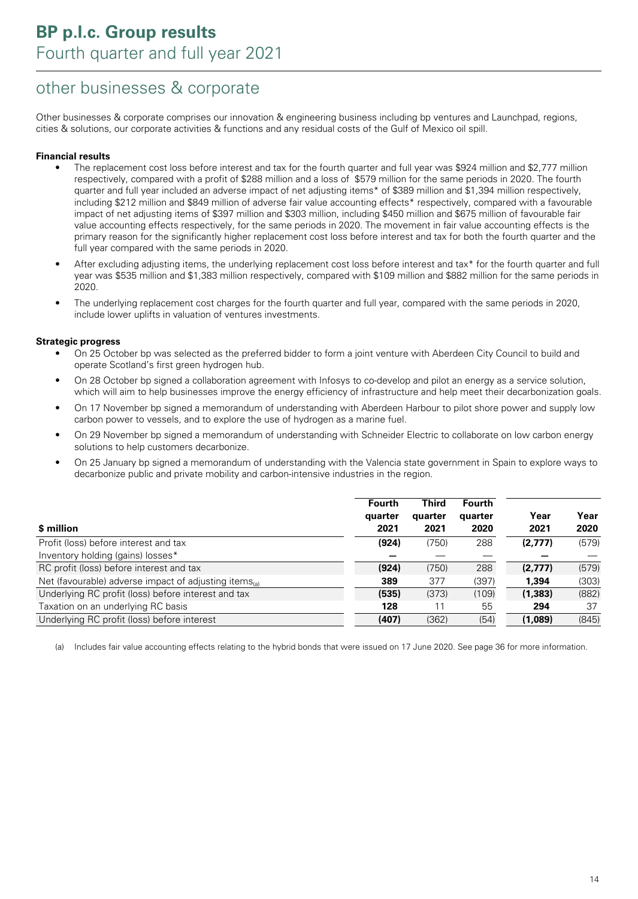## other businesses & corporate

Other businesses & corporate comprises our innovation & engineering business including bp ventures and Launchpad, regions, cities & solutions, our corporate activities & functions and any residual costs of the Gulf of Mexico oil spill.

#### **Financial results**

- The replacement cost loss before interest and tax for the fourth quarter and full year was \$924 million and \$2,777 million respectively, compared with a profit of \$288 million and a loss of \$579 million for the same periods in 2020. The fourth quarter and full year included an adverse impact of net adjusting items\* of \$389 million and \$1,394 million respectively, including \$212 million and \$849 million of adverse fair value accounting effects\* respectively, compared with a favourable impact of net adjusting items of \$397 million and \$303 million, including \$450 million and \$675 million of favourable fair value accounting effects respectively, for the same periods in 2020. The movement in fair value accounting effects is the primary reason for the significantly higher replacement cost loss before interest and tax for both the fourth quarter and the full year compared with the same periods in 2020.
- After excluding adjusting items, the underlying replacement cost loss before interest and tax\* for the fourth quarter and full year was \$535 million and \$1,383 million respectively, compared with \$109 million and \$882 million for the same periods in 2020.
- The underlying replacement cost charges for the fourth quarter and full year, compared with the same periods in 2020, include lower uplifts in valuation of ventures investments.

#### **Strategic progress**

- On 25 October bp was selected as the preferred bidder to form a joint venture with Aberdeen City Council to build and operate Scotland's first green hydrogen hub.
- On 28 October bp signed a collaboration agreement with Infosys to co-develop and pilot an energy as a service solution, which will aim to help businesses improve the energy efficiency of infrastructure and help meet their decarbonization goals.
- On 17 November bp signed a memorandum of understanding with Aberdeen Harbour to pilot shore power and supply low carbon power to vessels, and to explore the use of hydrogen as a marine fuel.
- On 29 November bp signed a memorandum of understanding with Schneider Electric to collaborate on low carbon energy solutions to help customers decarbonize.
- On 25 January bp signed a memorandum of understanding with the Valencia state government in Spain to explore ways to decarbonize public and private mobility and carbon-intensive industries in the region.

| \$ million                                            | <b>Fourth</b><br>quarter<br>2021 | <b>Third</b><br>quarter<br>2021 | <b>Fourth</b><br>quarter<br>2020 | Year<br>2021 | Year<br>2020 |
|-------------------------------------------------------|----------------------------------|---------------------------------|----------------------------------|--------------|--------------|
| Profit (loss) before interest and tax                 | (924)                            | (750)                           | 288                              | (2,777)      | (579)        |
| Inventory holding (gains) losses*                     |                                  |                                 |                                  |              |              |
| RC profit (loss) before interest and tax              | (924)                            | (750)                           | 288                              | (2,777)      | (579)        |
| Net (favourable) adverse impact of adjusting items(a) | 389                              | 377                             | (397)                            | 1,394        | (303)        |
| Underlying RC profit (loss) before interest and tax   | (535)                            | (373)                           | (109)                            | (1, 383)     | (882)        |
| Taxation on an underlying RC basis                    | 128                              | 11                              | 55                               | 294          | 37           |
| Underlying RC profit (loss) before interest           | (407)                            | (362)                           | (54)                             | (1,089)      | (845)        |

(a) Includes fair value accounting effects relating to the hybrid bonds that were issued on 17 June 2020. See page 36 for more information.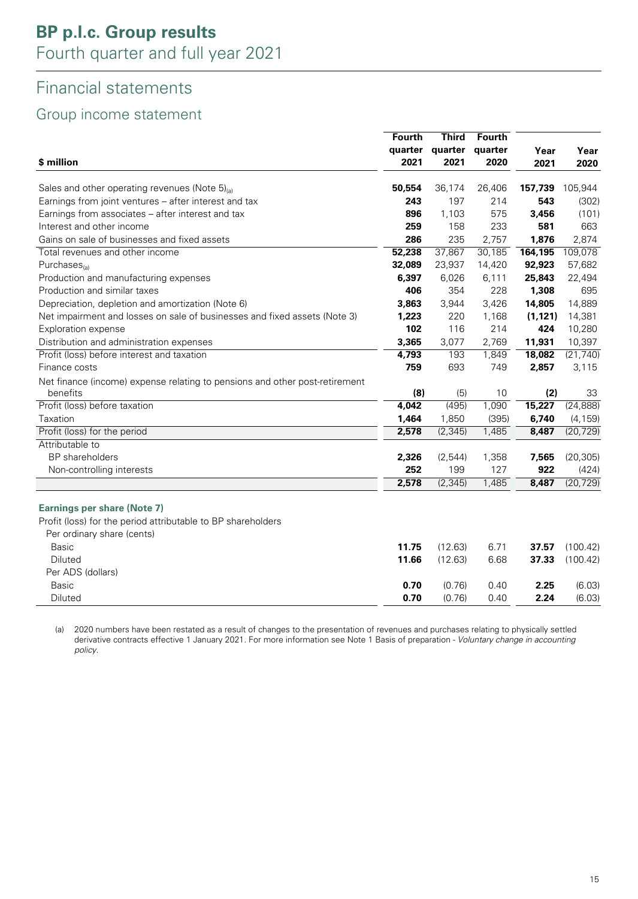## Financial statements

### Group income statement

|                                                                                         | <b>Fourth</b> | <b>Third</b> | Fourth  |          |           |
|-----------------------------------------------------------------------------------------|---------------|--------------|---------|----------|-----------|
|                                                                                         | quarter       | quarter      | quarter | Year     | Year      |
| \$ million                                                                              | 2021          | 2021         | 2020    | 2021     | 2020      |
| Sales and other operating revenues (Note $5)_{(a)}$                                     | 50,554        | 36,174       | 26,406  | 157,739  | 105,944   |
| Earnings from joint ventures - after interest and tax                                   | 243           | 197          | 214     | 543      | (302)     |
| Earnings from associates - after interest and tax                                       | 896           | 1,103        | 575     | 3,456    | (101)     |
| Interest and other income                                                               | 259           | 158          | 233     | 581      | 663       |
| Gains on sale of businesses and fixed assets                                            | 286           | 235          | 2,757   | 1,876    | 2,874     |
| Total revenues and other income                                                         | 52,238        | 37,867       | 30,185  | 164,195  | 109,078   |
| Purchases $_{(a)}$                                                                      | 32,089        | 23,937       | 14,420  | 92,923   | 57,682    |
| Production and manufacturing expenses                                                   | 6,397         | 6,026        | 6,111   | 25,843   | 22,494    |
| Production and similar taxes                                                            | 406           | 354          | 228     | 1,308    | 695       |
| Depreciation, depletion and amortization (Note 6)                                       | 3,863         | 3,944        | 3,426   | 14,805   | 14,889    |
| Net impairment and losses on sale of businesses and fixed assets (Note 3)               | 1,223         | 220          | 1,168   | (1, 121) | 14,381    |
| Exploration expense                                                                     | 102           | 116          | 214     | 424      | 10,280    |
| Distribution and administration expenses                                                | 3,365         | 3,077        | 2,769   | 11,931   | 10,397    |
| Profit (loss) before interest and taxation                                              | 4,793         | 193          | 1,849   | 18,082   | (21, 740) |
| Finance costs                                                                           | 759           | 693          | 749     | 2,857    | 3,115     |
|                                                                                         |               |              |         |          |           |
| Net finance (income) expense relating to pensions and other post-retirement<br>benefits | (8)           | (5)          | 10      | (2)      | 33        |
| Profit (loss) before taxation                                                           | 4,042         | (495)        | 1,090   | 15,227   | (24, 888) |
| Taxation                                                                                | 1,464         | 1,850        | (395)   | 6,740    | (4, 159)  |
| Profit (loss) for the period                                                            | 2,578         | (2, 345)     | 1,485   | 8,487    | (20, 729) |
| Attributable to                                                                         |               |              |         |          |           |
| <b>BP</b> shareholders                                                                  | 2,326         | (2,544)      | 1,358   | 7,565    | (20, 305) |
| Non-controlling interests                                                               | 252           | 199          | 127     | 922      | (424)     |
|                                                                                         | 2,578         | (2, 345)     | 1,485   | 8,487    | (20, 729) |
|                                                                                         |               |              |         |          |           |
| <b>Earnings per share (Note 7)</b>                                                      |               |              |         |          |           |
| Profit (loss) for the period attributable to BP shareholders                            |               |              |         |          |           |
| Per ordinary share (cents)                                                              |               |              |         |          |           |
| <b>Basic</b>                                                                            | 11.75         | (12.63)      | 6.71    | 37.57    | (100.42)  |
| Diluted                                                                                 | 11.66         | (12.63)      | 6.68    | 37.33    | (100.42)  |
| Per ADS (dollars)                                                                       |               |              |         |          |           |
| <b>Basic</b>                                                                            | 0.70          | (0.76)       | 0.40    | 2.25     | (6.03)    |
|                                                                                         |               |              |         | 2.24     |           |
| Diluted                                                                                 | 0.70          | (0.76)       | 0.40    |          | (6.03)    |

(a) 2020 numbers have been restated as a result of changes to the presentation of revenues and purchases relating to physically settled derivative contracts effective 1 January 2021. For more information see Note 1 Basis of preparation - *Voluntary change in accounting* policy.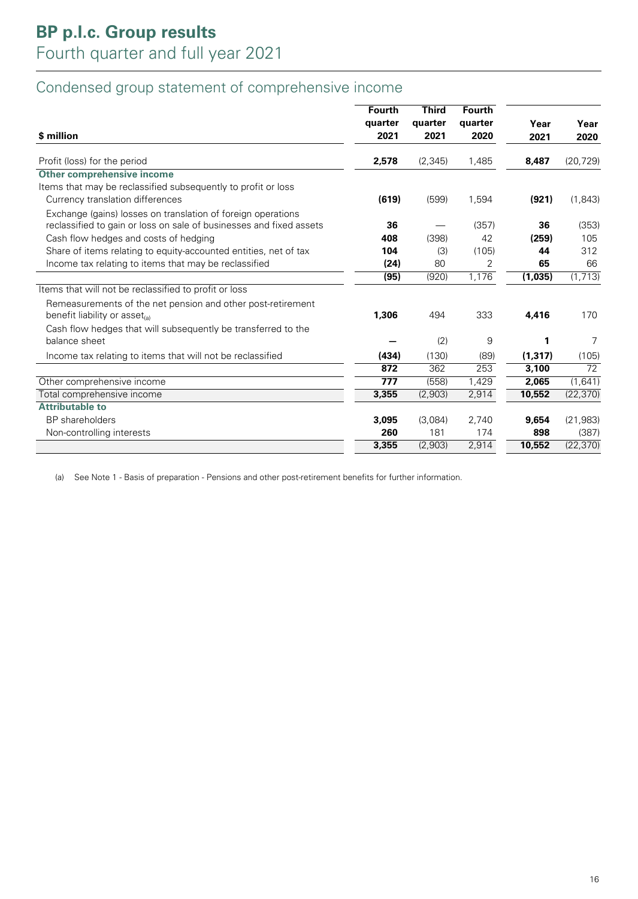## Condensed group statement of comprehensive income

| \$ million                                                                                         | <b>Fourth</b><br>quarter<br>2021 | <b>Third</b><br>quarter<br>2021 | <b>Fourth</b><br>quarter<br>2020 | Year<br>2021 | Year<br>2020 |
|----------------------------------------------------------------------------------------------------|----------------------------------|---------------------------------|----------------------------------|--------------|--------------|
| Profit (loss) for the period                                                                       | 2,578                            | (2, 345)                        | 1,485                            | 8,487        | (20, 729)    |
| Other comprehensive income                                                                         |                                  |                                 |                                  |              |              |
| Items that may be reclassified subsequently to profit or loss                                      |                                  |                                 |                                  |              |              |
| Currency translation differences                                                                   | (619)                            | (599)                           | 1,594                            | (921)        | (1,843)      |
| Exchange (gains) losses on translation of foreign operations                                       |                                  |                                 |                                  |              |              |
| reclassified to gain or loss on sale of businesses and fixed assets                                | 36                               |                                 | (357)                            | 36           | (353)        |
| Cash flow hedges and costs of hedging                                                              | 408                              | (398)                           | 42                               | (259)        | 105          |
| Share of items relating to equity-accounted entities, net of tax                                   | 104                              | (3)                             | (105)                            | 44           | 312          |
| Income tax relating to items that may be reclassified                                              | (24)                             | 80                              | 2                                | 65           | 66           |
|                                                                                                    | (95)                             | (920)                           | 1,176                            | (1,035)      | (1, 713)     |
| Items that will not be reclassified to profit or loss                                              |                                  |                                 |                                  |              |              |
| Remeasurements of the net pension and other post-retirement<br>benefit liability or asset $_{(a)}$ | 1,306                            | 494                             | 333                              | 4,416        | 170          |
| Cash flow hedges that will subsequently be transferred to the<br>balance sheet                     |                                  | (2)                             | 9                                |              | 7            |
| Income tax relating to items that will not be reclassified                                         | (434)                            | (130)                           | (89)                             | (1, 317)     | (105)        |
|                                                                                                    | 872                              | 362                             | 253                              | 3,100        | 72           |
| Other comprehensive income                                                                         | 777                              | (558)                           | 1,429                            | 2,065        | (1,641)      |
| Total comprehensive income                                                                         | 3,355                            | (2,903)                         | 2,914                            | 10,552       | (22, 370)    |
| <b>Attributable to</b>                                                                             |                                  |                                 |                                  |              |              |
| <b>BP</b> shareholders                                                                             | 3,095                            | (3,084)                         | 2,740                            | 9,654        | (21, 983)    |
| Non-controlling interests                                                                          | 260                              | 181                             | 174                              | 898          | (387)        |
|                                                                                                    | 3,355                            | (2,903)                         | 2,914                            | 10,552       | (22, 370)    |

(a) See Note 1 - Basis of preparation - Pensions and other post-retirement benefits for further information.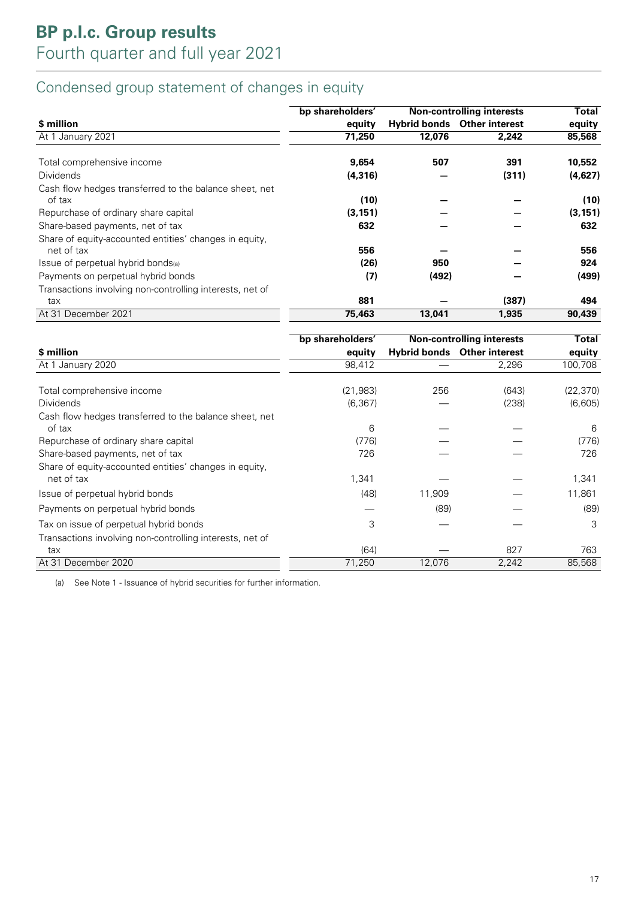## Condensed group statement of changes in equity

|                                                                      | bp shareholders' |        | <b>Non-controlling interests</b>   | <b>Total</b> |
|----------------------------------------------------------------------|------------------|--------|------------------------------------|--------------|
| \$ million                                                           | equity           |        | <b>Hybrid bonds</b> Other interest | equity       |
| At 1 January 2021                                                    | 71,250           | 12,076 | 2.242                              | 85,568       |
| Total comprehensive income                                           | 9,654            | 507    | 391                                | 10,552       |
| <b>Dividends</b>                                                     | (4, 316)         |        | (311)                              | (4,627)      |
| Cash flow hedges transferred to the balance sheet, net<br>of tax     | (10)             |        |                                    | (10)         |
| Repurchase of ordinary share capital                                 | (3, 151)         |        |                                    | (3, 151)     |
| Share-based payments, net of tax                                     | 632              |        |                                    | 632          |
| Share of equity-accounted entities' changes in equity,<br>net of tax | 556              |        |                                    | 556          |
| Issue of perpetual hybrid bonds(a)                                   | (26)             | 950    |                                    | 924          |
| Payments on perpetual hybrid bonds                                   | (7)              | (492)  |                                    | (499)        |
| Transactions involving non-controlling interests, net of<br>tax      | 881              |        | (387)                              | 494          |
| At 31 December 2021                                                  | 75,463           | 13,041 | 1,935                              | 90,439       |

|                                                                      | bp shareholders' |        | <b>Non-controlling interests</b>   | Total     |
|----------------------------------------------------------------------|------------------|--------|------------------------------------|-----------|
| \$ million                                                           | equity           |        | <b>Hybrid bonds</b> Other interest | equity    |
| At 1 January 2020                                                    | 98,412           |        | 2,296                              | 100,708   |
| Total comprehensive income                                           | (21, 983)        | 256    | (643)                              | (22, 370) |
| <b>Dividends</b>                                                     | (6, 367)         |        | (238)                              | (6,605)   |
| Cash flow hedges transferred to the balance sheet, net<br>of tax     | 6                |        |                                    | 6         |
| Repurchase of ordinary share capital                                 | (776)            |        |                                    | (776)     |
| Share-based payments, net of tax                                     | 726              |        |                                    | 726       |
| Share of equity-accounted entities' changes in equity,<br>net of tax | 1,341            |        |                                    | 1,341     |
| Issue of perpetual hybrid bonds                                      | (48)             | 11,909 |                                    | 11,861    |
| Payments on perpetual hybrid bonds                                   |                  | (89)   |                                    | (89)      |
| Tax on issue of perpetual hybrid bonds                               | 3                |        |                                    | 3         |
| Transactions involving non-controlling interests, net of             |                  |        |                                    |           |
| tax                                                                  | (64)             |        | 827                                | 763       |
| At 31 December 2020                                                  | 71,250           | 12,076 | 2,242                              | 85,568    |

(a) See Note 1 - Issuance of hybrid securities for further information.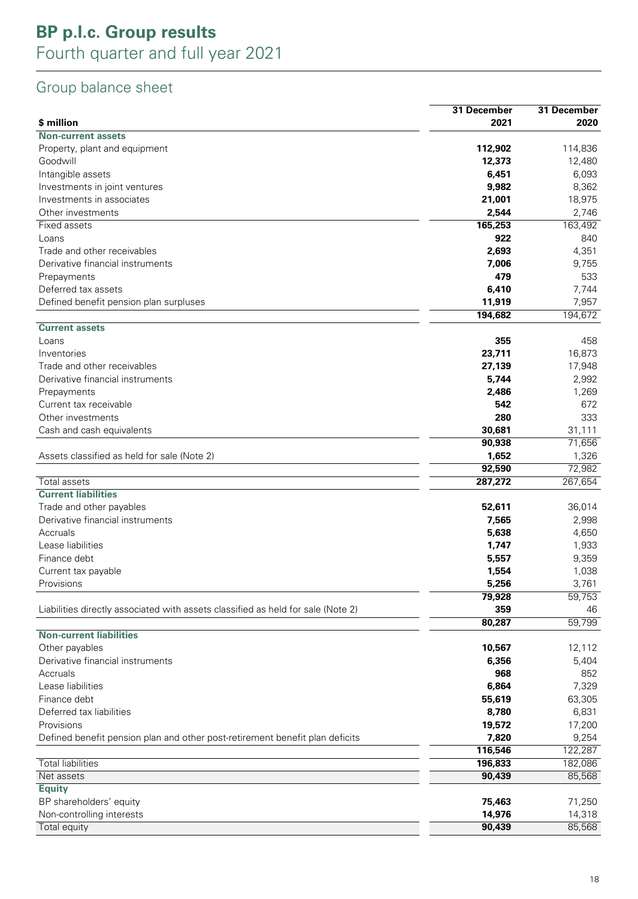## **BP p.l.c. Group results** Fourth quarter and full year 2021

## Group balance sheet

| \$ million<br>2021<br>2020<br><b>Non-current assets</b><br>112,902<br>Property, plant and equipment<br>114,836<br>Goodwill<br>12,373<br>12,480<br>Intangible assets<br>6,093<br>6,451<br>9,982<br>8,362<br>Investments in joint ventures<br>21,001<br>18,975<br>Investments in associates<br>Other investments<br>2,544<br>2,746<br>165,253<br>163,492<br>Fixed assets<br>922<br>840<br>Loans<br>2,693<br>4,351<br>Trade and other receivables<br>Derivative financial instruments<br>7,006<br>9,755<br>479<br>533<br>Prepayments<br>Deferred tax assets<br>6,410<br>7,744<br>11,919<br>7,957<br>Defined benefit pension plan surpluses<br>194,682<br>194,672<br><b>Current assets</b><br>355<br>458<br>Loans<br>23,711<br>16,873<br>Inventories<br>17,948<br>Trade and other receivables<br>27,139<br>5,744<br>2,992<br>Derivative financial instruments<br>Prepayments<br>2,486<br>1,269<br>542<br>Current tax receivable<br>672<br>280<br>333<br>Other investments<br>30,681<br>Cash and cash equivalents<br>31,111<br>90,938<br>71,656<br>1,652<br>1,326<br>Assets classified as held for sale (Note 2)<br>92,590<br>72,982<br>287,272<br>267,654<br>Total assets<br><b>Current liabilities</b><br>Trade and other payables<br>52,611<br>36,014<br>Derivative financial instruments<br>7,565<br>2,998<br>Accruals<br>5,638<br>4,650<br>Lease liabilities<br>1,747<br>1,933<br>9,359<br>Finance debt<br>5,557<br>1,038<br>1,554<br>Current tax payable<br>Provisions<br>5,256<br>3,761<br>79,928<br>Liabilities directly associated with assets classified as held for sale (Note 2)<br>359<br>46<br>59,799<br>80,287<br><b>Non-current liabilities</b><br>Other payables<br>10,567<br>12,112<br>Derivative financial instruments<br>5,404<br>6,356<br>Accruals<br>968<br>852<br>Lease liabilities<br>6,864<br>7,329<br>Finance debt<br>55,619<br>63,305<br>Deferred tax liabilities<br>8,780<br>6,831<br>Provisions<br>19,572<br>17,200<br>7,820<br>9,254<br>Defined benefit pension plan and other post-retirement benefit plan deficits<br>122,287<br>116,546<br><b>Total liabilities</b><br>196,833<br>182,086<br>Net assets<br>90,439<br>85,568<br><b>Equity</b><br>BP shareholders' equity<br>75,463<br>71,250<br>14,976<br>14,318<br>Non-controlling interests<br>85,568<br>90,439<br>Total equity | 31 December | 31 December |
|--------------------------------------------------------------------------------------------------------------------------------------------------------------------------------------------------------------------------------------------------------------------------------------------------------------------------------------------------------------------------------------------------------------------------------------------------------------------------------------------------------------------------------------------------------------------------------------------------------------------------------------------------------------------------------------------------------------------------------------------------------------------------------------------------------------------------------------------------------------------------------------------------------------------------------------------------------------------------------------------------------------------------------------------------------------------------------------------------------------------------------------------------------------------------------------------------------------------------------------------------------------------------------------------------------------------------------------------------------------------------------------------------------------------------------------------------------------------------------------------------------------------------------------------------------------------------------------------------------------------------------------------------------------------------------------------------------------------------------------------------------------------------------------------------------------------------------------------------------------------------------------------------------------------------------------------------------------------------------------------------------------------------------------------------------------------------------------------------------------------------------------------------------------------------------------------------------------------------------------------------------------------------------------------------------------|-------------|-------------|
|                                                                                                                                                                                                                                                                                                                                                                                                                                                                                                                                                                                                                                                                                                                                                                                                                                                                                                                                                                                                                                                                                                                                                                                                                                                                                                                                                                                                                                                                                                                                                                                                                                                                                                                                                                                                                                                                                                                                                                                                                                                                                                                                                                                                                                                                                                              |             |             |
|                                                                                                                                                                                                                                                                                                                                                                                                                                                                                                                                                                                                                                                                                                                                                                                                                                                                                                                                                                                                                                                                                                                                                                                                                                                                                                                                                                                                                                                                                                                                                                                                                                                                                                                                                                                                                                                                                                                                                                                                                                                                                                                                                                                                                                                                                                              |             |             |
|                                                                                                                                                                                                                                                                                                                                                                                                                                                                                                                                                                                                                                                                                                                                                                                                                                                                                                                                                                                                                                                                                                                                                                                                                                                                                                                                                                                                                                                                                                                                                                                                                                                                                                                                                                                                                                                                                                                                                                                                                                                                                                                                                                                                                                                                                                              |             |             |
| 59,753                                                                                                                                                                                                                                                                                                                                                                                                                                                                                                                                                                                                                                                                                                                                                                                                                                                                                                                                                                                                                                                                                                                                                                                                                                                                                                                                                                                                                                                                                                                                                                                                                                                                                                                                                                                                                                                                                                                                                                                                                                                                                                                                                                                                                                                                                                       |             |             |
|                                                                                                                                                                                                                                                                                                                                                                                                                                                                                                                                                                                                                                                                                                                                                                                                                                                                                                                                                                                                                                                                                                                                                                                                                                                                                                                                                                                                                                                                                                                                                                                                                                                                                                                                                                                                                                                                                                                                                                                                                                                                                                                                                                                                                                                                                                              |             |             |
|                                                                                                                                                                                                                                                                                                                                                                                                                                                                                                                                                                                                                                                                                                                                                                                                                                                                                                                                                                                                                                                                                                                                                                                                                                                                                                                                                                                                                                                                                                                                                                                                                                                                                                                                                                                                                                                                                                                                                                                                                                                                                                                                                                                                                                                                                                              |             |             |
|                                                                                                                                                                                                                                                                                                                                                                                                                                                                                                                                                                                                                                                                                                                                                                                                                                                                                                                                                                                                                                                                                                                                                                                                                                                                                                                                                                                                                                                                                                                                                                                                                                                                                                                                                                                                                                                                                                                                                                                                                                                                                                                                                                                                                                                                                                              |             |             |
|                                                                                                                                                                                                                                                                                                                                                                                                                                                                                                                                                                                                                                                                                                                                                                                                                                                                                                                                                                                                                                                                                                                                                                                                                                                                                                                                                                                                                                                                                                                                                                                                                                                                                                                                                                                                                                                                                                                                                                                                                                                                                                                                                                                                                                                                                                              |             |             |
|                                                                                                                                                                                                                                                                                                                                                                                                                                                                                                                                                                                                                                                                                                                                                                                                                                                                                                                                                                                                                                                                                                                                                                                                                                                                                                                                                                                                                                                                                                                                                                                                                                                                                                                                                                                                                                                                                                                                                                                                                                                                                                                                                                                                                                                                                                              |             |             |
|                                                                                                                                                                                                                                                                                                                                                                                                                                                                                                                                                                                                                                                                                                                                                                                                                                                                                                                                                                                                                                                                                                                                                                                                                                                                                                                                                                                                                                                                                                                                                                                                                                                                                                                                                                                                                                                                                                                                                                                                                                                                                                                                                                                                                                                                                                              |             |             |
|                                                                                                                                                                                                                                                                                                                                                                                                                                                                                                                                                                                                                                                                                                                                                                                                                                                                                                                                                                                                                                                                                                                                                                                                                                                                                                                                                                                                                                                                                                                                                                                                                                                                                                                                                                                                                                                                                                                                                                                                                                                                                                                                                                                                                                                                                                              |             |             |
|                                                                                                                                                                                                                                                                                                                                                                                                                                                                                                                                                                                                                                                                                                                                                                                                                                                                                                                                                                                                                                                                                                                                                                                                                                                                                                                                                                                                                                                                                                                                                                                                                                                                                                                                                                                                                                                                                                                                                                                                                                                                                                                                                                                                                                                                                                              |             |             |
|                                                                                                                                                                                                                                                                                                                                                                                                                                                                                                                                                                                                                                                                                                                                                                                                                                                                                                                                                                                                                                                                                                                                                                                                                                                                                                                                                                                                                                                                                                                                                                                                                                                                                                                                                                                                                                                                                                                                                                                                                                                                                                                                                                                                                                                                                                              |             |             |
|                                                                                                                                                                                                                                                                                                                                                                                                                                                                                                                                                                                                                                                                                                                                                                                                                                                                                                                                                                                                                                                                                                                                                                                                                                                                                                                                                                                                                                                                                                                                                                                                                                                                                                                                                                                                                                                                                                                                                                                                                                                                                                                                                                                                                                                                                                              |             |             |
|                                                                                                                                                                                                                                                                                                                                                                                                                                                                                                                                                                                                                                                                                                                                                                                                                                                                                                                                                                                                                                                                                                                                                                                                                                                                                                                                                                                                                                                                                                                                                                                                                                                                                                                                                                                                                                                                                                                                                                                                                                                                                                                                                                                                                                                                                                              |             |             |
|                                                                                                                                                                                                                                                                                                                                                                                                                                                                                                                                                                                                                                                                                                                                                                                                                                                                                                                                                                                                                                                                                                                                                                                                                                                                                                                                                                                                                                                                                                                                                                                                                                                                                                                                                                                                                                                                                                                                                                                                                                                                                                                                                                                                                                                                                                              |             |             |
|                                                                                                                                                                                                                                                                                                                                                                                                                                                                                                                                                                                                                                                                                                                                                                                                                                                                                                                                                                                                                                                                                                                                                                                                                                                                                                                                                                                                                                                                                                                                                                                                                                                                                                                                                                                                                                                                                                                                                                                                                                                                                                                                                                                                                                                                                                              |             |             |
|                                                                                                                                                                                                                                                                                                                                                                                                                                                                                                                                                                                                                                                                                                                                                                                                                                                                                                                                                                                                                                                                                                                                                                                                                                                                                                                                                                                                                                                                                                                                                                                                                                                                                                                                                                                                                                                                                                                                                                                                                                                                                                                                                                                                                                                                                                              |             |             |
|                                                                                                                                                                                                                                                                                                                                                                                                                                                                                                                                                                                                                                                                                                                                                                                                                                                                                                                                                                                                                                                                                                                                                                                                                                                                                                                                                                                                                                                                                                                                                                                                                                                                                                                                                                                                                                                                                                                                                                                                                                                                                                                                                                                                                                                                                                              |             |             |
|                                                                                                                                                                                                                                                                                                                                                                                                                                                                                                                                                                                                                                                                                                                                                                                                                                                                                                                                                                                                                                                                                                                                                                                                                                                                                                                                                                                                                                                                                                                                                                                                                                                                                                                                                                                                                                                                                                                                                                                                                                                                                                                                                                                                                                                                                                              |             |             |
|                                                                                                                                                                                                                                                                                                                                                                                                                                                                                                                                                                                                                                                                                                                                                                                                                                                                                                                                                                                                                                                                                                                                                                                                                                                                                                                                                                                                                                                                                                                                                                                                                                                                                                                                                                                                                                                                                                                                                                                                                                                                                                                                                                                                                                                                                                              |             |             |
|                                                                                                                                                                                                                                                                                                                                                                                                                                                                                                                                                                                                                                                                                                                                                                                                                                                                                                                                                                                                                                                                                                                                                                                                                                                                                                                                                                                                                                                                                                                                                                                                                                                                                                                                                                                                                                                                                                                                                                                                                                                                                                                                                                                                                                                                                                              |             |             |
|                                                                                                                                                                                                                                                                                                                                                                                                                                                                                                                                                                                                                                                                                                                                                                                                                                                                                                                                                                                                                                                                                                                                                                                                                                                                                                                                                                                                                                                                                                                                                                                                                                                                                                                                                                                                                                                                                                                                                                                                                                                                                                                                                                                                                                                                                                              |             |             |
|                                                                                                                                                                                                                                                                                                                                                                                                                                                                                                                                                                                                                                                                                                                                                                                                                                                                                                                                                                                                                                                                                                                                                                                                                                                                                                                                                                                                                                                                                                                                                                                                                                                                                                                                                                                                                                                                                                                                                                                                                                                                                                                                                                                                                                                                                                              |             |             |
|                                                                                                                                                                                                                                                                                                                                                                                                                                                                                                                                                                                                                                                                                                                                                                                                                                                                                                                                                                                                                                                                                                                                                                                                                                                                                                                                                                                                                                                                                                                                                                                                                                                                                                                                                                                                                                                                                                                                                                                                                                                                                                                                                                                                                                                                                                              |             |             |
|                                                                                                                                                                                                                                                                                                                                                                                                                                                                                                                                                                                                                                                                                                                                                                                                                                                                                                                                                                                                                                                                                                                                                                                                                                                                                                                                                                                                                                                                                                                                                                                                                                                                                                                                                                                                                                                                                                                                                                                                                                                                                                                                                                                                                                                                                                              |             |             |
|                                                                                                                                                                                                                                                                                                                                                                                                                                                                                                                                                                                                                                                                                                                                                                                                                                                                                                                                                                                                                                                                                                                                                                                                                                                                                                                                                                                                                                                                                                                                                                                                                                                                                                                                                                                                                                                                                                                                                                                                                                                                                                                                                                                                                                                                                                              |             |             |
|                                                                                                                                                                                                                                                                                                                                                                                                                                                                                                                                                                                                                                                                                                                                                                                                                                                                                                                                                                                                                                                                                                                                                                                                                                                                                                                                                                                                                                                                                                                                                                                                                                                                                                                                                                                                                                                                                                                                                                                                                                                                                                                                                                                                                                                                                                              |             |             |
|                                                                                                                                                                                                                                                                                                                                                                                                                                                                                                                                                                                                                                                                                                                                                                                                                                                                                                                                                                                                                                                                                                                                                                                                                                                                                                                                                                                                                                                                                                                                                                                                                                                                                                                                                                                                                                                                                                                                                                                                                                                                                                                                                                                                                                                                                                              |             |             |
|                                                                                                                                                                                                                                                                                                                                                                                                                                                                                                                                                                                                                                                                                                                                                                                                                                                                                                                                                                                                                                                                                                                                                                                                                                                                                                                                                                                                                                                                                                                                                                                                                                                                                                                                                                                                                                                                                                                                                                                                                                                                                                                                                                                                                                                                                                              |             |             |
|                                                                                                                                                                                                                                                                                                                                                                                                                                                                                                                                                                                                                                                                                                                                                                                                                                                                                                                                                                                                                                                                                                                                                                                                                                                                                                                                                                                                                                                                                                                                                                                                                                                                                                                                                                                                                                                                                                                                                                                                                                                                                                                                                                                                                                                                                                              |             |             |
|                                                                                                                                                                                                                                                                                                                                                                                                                                                                                                                                                                                                                                                                                                                                                                                                                                                                                                                                                                                                                                                                                                                                                                                                                                                                                                                                                                                                                                                                                                                                                                                                                                                                                                                                                                                                                                                                                                                                                                                                                                                                                                                                                                                                                                                                                                              |             |             |
|                                                                                                                                                                                                                                                                                                                                                                                                                                                                                                                                                                                                                                                                                                                                                                                                                                                                                                                                                                                                                                                                                                                                                                                                                                                                                                                                                                                                                                                                                                                                                                                                                                                                                                                                                                                                                                                                                                                                                                                                                                                                                                                                                                                                                                                                                                              |             |             |
|                                                                                                                                                                                                                                                                                                                                                                                                                                                                                                                                                                                                                                                                                                                                                                                                                                                                                                                                                                                                                                                                                                                                                                                                                                                                                                                                                                                                                                                                                                                                                                                                                                                                                                                                                                                                                                                                                                                                                                                                                                                                                                                                                                                                                                                                                                              |             |             |
|                                                                                                                                                                                                                                                                                                                                                                                                                                                                                                                                                                                                                                                                                                                                                                                                                                                                                                                                                                                                                                                                                                                                                                                                                                                                                                                                                                                                                                                                                                                                                                                                                                                                                                                                                                                                                                                                                                                                                                                                                                                                                                                                                                                                                                                                                                              |             |             |
|                                                                                                                                                                                                                                                                                                                                                                                                                                                                                                                                                                                                                                                                                                                                                                                                                                                                                                                                                                                                                                                                                                                                                                                                                                                                                                                                                                                                                                                                                                                                                                                                                                                                                                                                                                                                                                                                                                                                                                                                                                                                                                                                                                                                                                                                                                              |             |             |
|                                                                                                                                                                                                                                                                                                                                                                                                                                                                                                                                                                                                                                                                                                                                                                                                                                                                                                                                                                                                                                                                                                                                                                                                                                                                                                                                                                                                                                                                                                                                                                                                                                                                                                                                                                                                                                                                                                                                                                                                                                                                                                                                                                                                                                                                                                              |             |             |
|                                                                                                                                                                                                                                                                                                                                                                                                                                                                                                                                                                                                                                                                                                                                                                                                                                                                                                                                                                                                                                                                                                                                                                                                                                                                                                                                                                                                                                                                                                                                                                                                                                                                                                                                                                                                                                                                                                                                                                                                                                                                                                                                                                                                                                                                                                              |             |             |
|                                                                                                                                                                                                                                                                                                                                                                                                                                                                                                                                                                                                                                                                                                                                                                                                                                                                                                                                                                                                                                                                                                                                                                                                                                                                                                                                                                                                                                                                                                                                                                                                                                                                                                                                                                                                                                                                                                                                                                                                                                                                                                                                                                                                                                                                                                              |             |             |
|                                                                                                                                                                                                                                                                                                                                                                                                                                                                                                                                                                                                                                                                                                                                                                                                                                                                                                                                                                                                                                                                                                                                                                                                                                                                                                                                                                                                                                                                                                                                                                                                                                                                                                                                                                                                                                                                                                                                                                                                                                                                                                                                                                                                                                                                                                              |             |             |
|                                                                                                                                                                                                                                                                                                                                                                                                                                                                                                                                                                                                                                                                                                                                                                                                                                                                                                                                                                                                                                                                                                                                                                                                                                                                                                                                                                                                                                                                                                                                                                                                                                                                                                                                                                                                                                                                                                                                                                                                                                                                                                                                                                                                                                                                                                              |             |             |
|                                                                                                                                                                                                                                                                                                                                                                                                                                                                                                                                                                                                                                                                                                                                                                                                                                                                                                                                                                                                                                                                                                                                                                                                                                                                                                                                                                                                                                                                                                                                                                                                                                                                                                                                                                                                                                                                                                                                                                                                                                                                                                                                                                                                                                                                                                              |             |             |
|                                                                                                                                                                                                                                                                                                                                                                                                                                                                                                                                                                                                                                                                                                                                                                                                                                                                                                                                                                                                                                                                                                                                                                                                                                                                                                                                                                                                                                                                                                                                                                                                                                                                                                                                                                                                                                                                                                                                                                                                                                                                                                                                                                                                                                                                                                              |             |             |
|                                                                                                                                                                                                                                                                                                                                                                                                                                                                                                                                                                                                                                                                                                                                                                                                                                                                                                                                                                                                                                                                                                                                                                                                                                                                                                                                                                                                                                                                                                                                                                                                                                                                                                                                                                                                                                                                                                                                                                                                                                                                                                                                                                                                                                                                                                              |             |             |
|                                                                                                                                                                                                                                                                                                                                                                                                                                                                                                                                                                                                                                                                                                                                                                                                                                                                                                                                                                                                                                                                                                                                                                                                                                                                                                                                                                                                                                                                                                                                                                                                                                                                                                                                                                                                                                                                                                                                                                                                                                                                                                                                                                                                                                                                                                              |             |             |
|                                                                                                                                                                                                                                                                                                                                                                                                                                                                                                                                                                                                                                                                                                                                                                                                                                                                                                                                                                                                                                                                                                                                                                                                                                                                                                                                                                                                                                                                                                                                                                                                                                                                                                                                                                                                                                                                                                                                                                                                                                                                                                                                                                                                                                                                                                              |             |             |
|                                                                                                                                                                                                                                                                                                                                                                                                                                                                                                                                                                                                                                                                                                                                                                                                                                                                                                                                                                                                                                                                                                                                                                                                                                                                                                                                                                                                                                                                                                                                                                                                                                                                                                                                                                                                                                                                                                                                                                                                                                                                                                                                                                                                                                                                                                              |             |             |
|                                                                                                                                                                                                                                                                                                                                                                                                                                                                                                                                                                                                                                                                                                                                                                                                                                                                                                                                                                                                                                                                                                                                                                                                                                                                                                                                                                                                                                                                                                                                                                                                                                                                                                                                                                                                                                                                                                                                                                                                                                                                                                                                                                                                                                                                                                              |             |             |
|                                                                                                                                                                                                                                                                                                                                                                                                                                                                                                                                                                                                                                                                                                                                                                                                                                                                                                                                                                                                                                                                                                                                                                                                                                                                                                                                                                                                                                                                                                                                                                                                                                                                                                                                                                                                                                                                                                                                                                                                                                                                                                                                                                                                                                                                                                              |             |             |
|                                                                                                                                                                                                                                                                                                                                                                                                                                                                                                                                                                                                                                                                                                                                                                                                                                                                                                                                                                                                                                                                                                                                                                                                                                                                                                                                                                                                                                                                                                                                                                                                                                                                                                                                                                                                                                                                                                                                                                                                                                                                                                                                                                                                                                                                                                              |             |             |
|                                                                                                                                                                                                                                                                                                                                                                                                                                                                                                                                                                                                                                                                                                                                                                                                                                                                                                                                                                                                                                                                                                                                                                                                                                                                                                                                                                                                                                                                                                                                                                                                                                                                                                                                                                                                                                                                                                                                                                                                                                                                                                                                                                                                                                                                                                              |             |             |
|                                                                                                                                                                                                                                                                                                                                                                                                                                                                                                                                                                                                                                                                                                                                                                                                                                                                                                                                                                                                                                                                                                                                                                                                                                                                                                                                                                                                                                                                                                                                                                                                                                                                                                                                                                                                                                                                                                                                                                                                                                                                                                                                                                                                                                                                                                              |             |             |
|                                                                                                                                                                                                                                                                                                                                                                                                                                                                                                                                                                                                                                                                                                                                                                                                                                                                                                                                                                                                                                                                                                                                                                                                                                                                                                                                                                                                                                                                                                                                                                                                                                                                                                                                                                                                                                                                                                                                                                                                                                                                                                                                                                                                                                                                                                              |             |             |
|                                                                                                                                                                                                                                                                                                                                                                                                                                                                                                                                                                                                                                                                                                                                                                                                                                                                                                                                                                                                                                                                                                                                                                                                                                                                                                                                                                                                                                                                                                                                                                                                                                                                                                                                                                                                                                                                                                                                                                                                                                                                                                                                                                                                                                                                                                              |             |             |
|                                                                                                                                                                                                                                                                                                                                                                                                                                                                                                                                                                                                                                                                                                                                                                                                                                                                                                                                                                                                                                                                                                                                                                                                                                                                                                                                                                                                                                                                                                                                                                                                                                                                                                                                                                                                                                                                                                                                                                                                                                                                                                                                                                                                                                                                                                              |             |             |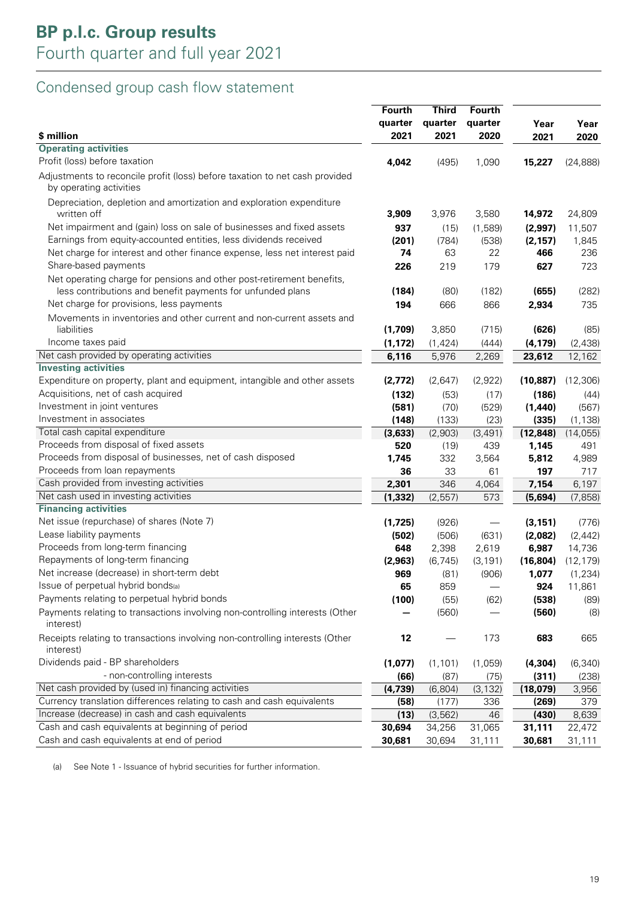## Condensed group cash flow statement

|                                                                                                                                     | <b>Fourth</b> | <b>Third</b> | <b>Fourth</b> |           |           |
|-------------------------------------------------------------------------------------------------------------------------------------|---------------|--------------|---------------|-----------|-----------|
|                                                                                                                                     | quarter       | quarter      | quarter       | Year      | Year      |
| \$ million                                                                                                                          | 2021          | 2021         | 2020          | 2021      | 2020      |
| <b>Operating activities</b>                                                                                                         |               |              |               |           |           |
| Profit (loss) before taxation                                                                                                       | 4,042         | (495)        | 1,090         | 15,227    | (24, 888) |
| Adjustments to reconcile profit (loss) before taxation to net cash provided<br>by operating activities                              |               |              |               |           |           |
| Depreciation, depletion and amortization and exploration expenditure                                                                |               |              |               |           |           |
| written off                                                                                                                         | 3,909         | 3,976        | 3,580         | 14,972    | 24,809    |
| Net impairment and (gain) loss on sale of businesses and fixed assets                                                               | 937           | (15)         | (1,589)       | (2,997)   | 11,507    |
| Earnings from equity-accounted entities, less dividends received                                                                    | (201)         | (784)        | (538)         | (2, 157)  | 1,845     |
| Net charge for interest and other finance expense, less net interest paid                                                           | 74            | 63           | 22            | 466       | 236       |
| Share-based payments                                                                                                                | 226           | 219          | 179           | 627       | 723       |
| Net operating charge for pensions and other post-retirement benefits,<br>less contributions and benefit payments for unfunded plans | (184)         | (80)         | (182)         | (655)     | (282)     |
| Net charge for provisions, less payments                                                                                            | 194           | 666          | 866           | 2,934     | 735       |
| Movements in inventories and other current and non-current assets and                                                               |               |              |               |           |           |
| liabilities                                                                                                                         | (1,709)       | 3,850        | (715)         | (626)     | (85)      |
| Income taxes paid                                                                                                                   | (1, 172)      | (1, 424)     | (444)         | (4, 179)  | (2,438)   |
| Net cash provided by operating activities                                                                                           | 6,116         | 5,976        | 2,269         | 23,612    | 12,162    |
| <b>Investing activities</b>                                                                                                         |               |              |               |           |           |
| Expenditure on property, plant and equipment, intangible and other assets                                                           | (2,772)       | (2,647)      | (2,922)       | (10, 887) | (12, 306) |
| Acquisitions, net of cash acquired                                                                                                  | (132)         | (53)         | (17)          | (186)     | (44)      |
| Investment in joint ventures                                                                                                        | (581)         | (70)         | (529)         | (1,440)   | (567)     |
| Investment in associates                                                                                                            | (148)         | (133)        | (23)          | (335)     | (1, 138)  |
| Total cash capital expenditure                                                                                                      | (3,633)       | (2,903)      | (3, 491)      | (12, 848) | (14, 055) |
| Proceeds from disposal of fixed assets                                                                                              | 520           | (19)         | 439           | 1,145     | 491       |
| Proceeds from disposal of businesses, net of cash disposed                                                                          | 1,745         | 332          | 3,564         | 5,812     | 4,989     |
| Proceeds from loan repayments                                                                                                       | 36            | 33           | 61            | 197       | 717       |
| Cash provided from investing activities                                                                                             | 2,301         | 346          | 4,064         | 7,154     | 6,197     |
| Net cash used in investing activities                                                                                               | (1, 332)      | (2, 557)     | 573           | (5,694)   | (7, 858)  |
| <b>Financing activities</b>                                                                                                         |               |              |               |           |           |
| Net issue (repurchase) of shares (Note 7)                                                                                           | (1,725)       | (926)        |               | (3, 151)  | (776)     |
| Lease liability payments                                                                                                            | (502)         | (506)        | (631)         | (2,082)   | (2, 442)  |
| Proceeds from long-term financing                                                                                                   | 648           | 2,398        | 2,619         | 6,987     | 14,736    |
| Repayments of long-term financing                                                                                                   | (2,963)       | (6, 745)     | (3, 191)      | (16, 804) | (12, 179) |
| Net increase (decrease) in short-term debt                                                                                          | 969           | (81)         | (906)         | 1,077     | (1, 234)  |
| Issue of perpetual hybrid bonds(a)                                                                                                  | 65            | 859          |               | 924       | 11,861    |
| Payments relating to perpetual hybrid bonds                                                                                         | (100)         | (55)         | (62)          | (538)     | (89)      |
| Payments relating to transactions involving non-controlling interests (Other<br>interest)                                           |               | (560)        |               | (560)     | (8)       |
| Receipts relating to transactions involving non-controlling interests (Other<br>interest)                                           | 12            |              | 173           | 683       | 665       |
| Dividends paid - BP shareholders                                                                                                    | (1,077)       | (1, 101)     | (1,059)       | (4, 304)  | (6, 340)  |
| - non-controlling interests                                                                                                         | (66)          | (87)         | (75)          | (311)     | (238)     |
| Net cash provided by (used in) financing activities                                                                                 | (4, 739)      | (6,804)      | (3, 132)      | (18,079)  | 3,956     |
| Currency translation differences relating to cash and cash equivalents                                                              | (58)          | (177)        | 336           | (269)     | 379       |
| Increase (decrease) in cash and cash equivalents                                                                                    | (13)          | (3, 562)     | 46            | (430)     | 8,639     |
| Cash and cash equivalents at beginning of period                                                                                    | 30,694        | 34,256       | 31,065        | 31,111    | 22,472    |
| Cash and cash equivalents at end of period                                                                                          | 30,681        | 30,694       | 31,111        | 30,681    | 31,111    |

(a) See Note 1 - Issuance of hybrid securities for further information.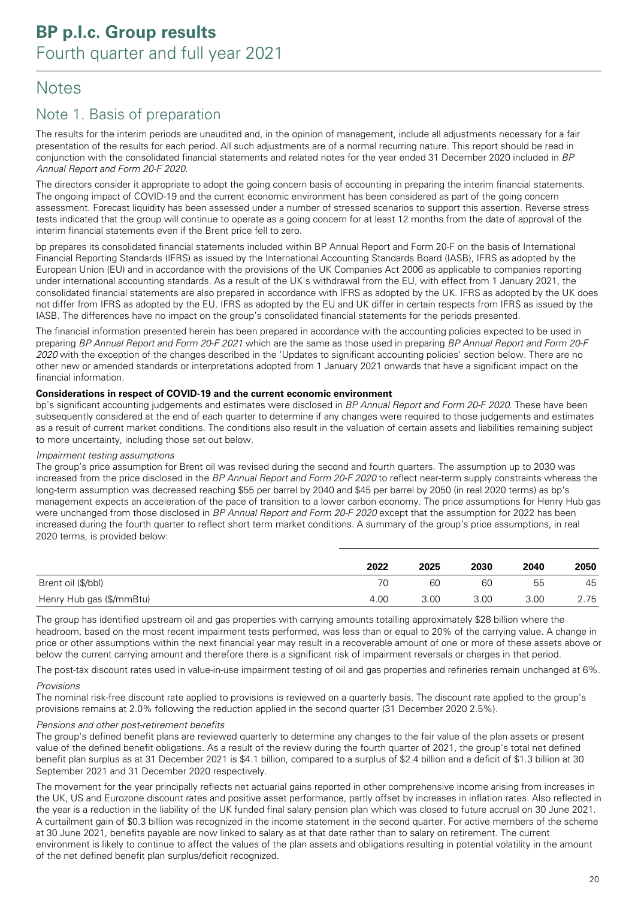## **Notes**

### Note 1. Basis of preparation

The results for the interim periods are unaudited and, in the opinion of management, include all adjustments necessary for a fair presentation of the results for each period. All such adjustments are of a normal recurring nature. This report should be read in conjunction with the consolidated financial statements and related notes for the year ended 31 December 2020 included in BP Annual Report and Form 20-F 2020.

The directors consider it appropriate to adopt the going concern basis of accounting in preparing the interim financial statements. The ongoing impact of COVID-19 and the current economic environment has been considered as part of the going concern assessment. Forecast liquidity has been assessed under a number of stressed scenarios to support this assertion. Reverse stress tests indicated that the group will continue to operate as a going concern for at least 12 months from the date of approval of the interim financial statements even if the Brent price fell to zero.

bp prepares its consolidated financial statements included within BP Annual Report and Form 20-F on the basis of International Financial Reporting Standards (IFRS) as issued by the International Accounting Standards Board (IASB), IFRS as adopted by the European Union (EU) and in accordance with the provisions of the UK Companies Act 2006 as applicable to companies reporting under international accounting standards. As a result of the UK's withdrawal from the EU, with effect from 1 January 2021, the consolidated financial statements are also prepared in accordance with IFRS as adopted by the UK. IFRS as adopted by the UK does not differ from IFRS as adopted by the EU. IFRS as adopted by the EU and UK differ in certain respects from IFRS as issued by the IASB. The differences have no impact on the group's consolidated financial statements for the periods presented.

The financial information presented herein has been prepared in accordance with the accounting policies expected to be used in preparing BP Annual Report and Form 20-F 2021 which are the same as those used in preparing BP Annual Report and Form 20-F 2020 with the exception of the changes described in the 'Updates to significant accounting policies' section below. There are no other new or amended standards or interpretations adopted from 1 January 2021 onwards that have a significant impact on the financial information.

#### **Considerations in respect of COVID-19 and the current economic environment**

bp's significant accounting judgements and estimates were disclosed in BP Annual Report and Form 20-F 2020. These have been subsequently considered at the end of each quarter to determine if any changes were required to those judgements and estimates as a result of current market conditions. The conditions also result in the valuation of certain assets and liabilities remaining subject to more uncertainty, including those set out below.

#### Impairment testing assumptions

The group's price assumption for Brent oil was revised during the second and fourth quarters. The assumption up to 2030 was increased from the price disclosed in the BP Annual Report and Form 20-F 2020 to reflect near-term supply constraints whereas the long-term assumption was decreased reaching \$55 per barrel by 2040 and \$45 per barrel by 2050 (in real 2020 terms) as bp's management expects an acceleration of the pace of transition to a lower carbon economy. The price assumptions for Henry Hub gas were unchanged from those disclosed in BP Annual Report and Form 20-F 2020 except that the assumption for 2022 has been increased during the fourth quarter to reflect short term market conditions. A summary of the group's price assumptions, in real 2020 terms, is provided below:

|                          | 2022 | 2025 | 2030 | 2040 | 2050 |
|--------------------------|------|------|------|------|------|
| Brent oil (\$/bbl)       |      | 60   | 60   | 55   | 45   |
| Henry Hub gas (\$/mmBtu) | 4.00 | 3.00 | 3.00 | 3.00 | 2.75 |

The group has identified upstream oil and gas properties with carrying amounts totalling approximately \$28 billion where the headroom, based on the most recent impairment tests performed, was less than or equal to 20% of the carrying value. A change in price or other assumptions within the next financial year may result in a recoverable amount of one or more of these assets above or below the current carrying amount and therefore there is a significant risk of impairment reversals or charges in that period.

The post-tax discount rates used in value-in-use impairment testing of oil and gas properties and refineries remain unchanged at 6%.

#### Provisions

The nominal risk-free discount rate applied to provisions is reviewed on a quarterly basis. The discount rate applied to the group's provisions remains at 2.0% following the reduction applied in the second quarter (31 December 2020 2.5%).

#### Pensions and other post-retirement benefits

The group's defined benefit plans are reviewed quarterly to determine any changes to the fair value of the plan assets or present value of the defined benefit obligations. As a result of the review during the fourth quarter of 2021, the group's total net defined benefit plan surplus as at 31 December 2021 is \$4.1 billion, compared to a surplus of \$2.4 billion and a deficit of \$1.3 billion at 30 September 2021 and 31 December 2020 respectively.

The movement for the year principally reflects net actuarial gains reported in other comprehensive income arising from increases in the UK, US and Eurozone discount rates and positive asset performance, partly offset by increases in inflation rates. Also reflected in the year is a reduction in the liability of the UK funded final salary pension plan which was closed to future accrual on 30 June 2021. A curtailment gain of \$0.3 billion was recognized in the income statement in the second quarter. For active members of the scheme at 30 June 2021, benefits payable are now linked to salary as at that date rather than to salary on retirement. The current environment is likely to continue to affect the values of the plan assets and obligations resulting in potential volatility in the amount of the net defined benefit plan surplus/deficit recognized.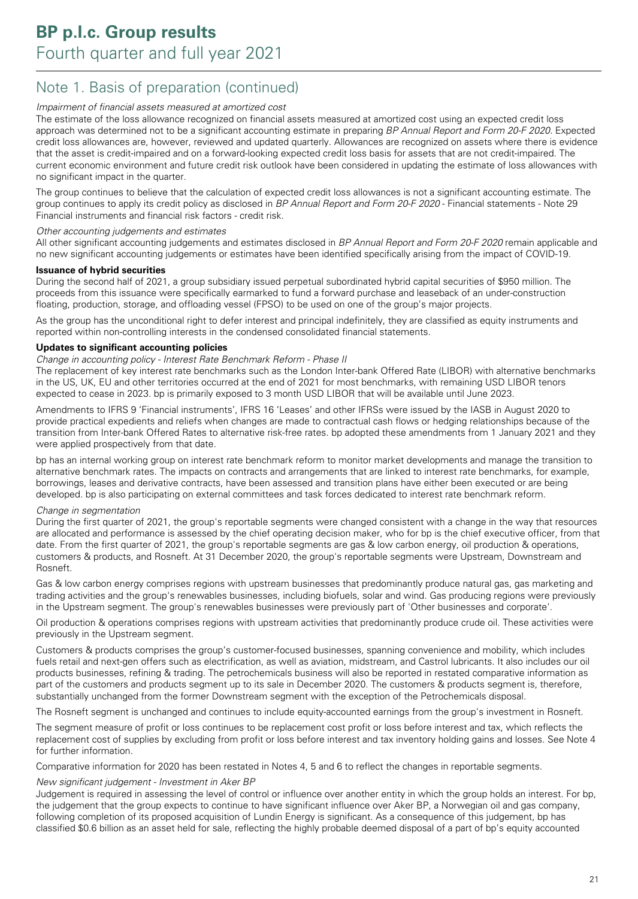### Note 1. Basis of preparation (continued)

#### Impairment of financial assets measured at amortized cost

The estimate of the loss allowance recognized on financial assets measured at amortized cost using an expected credit loss approach was determined not to be a significant accounting estimate in preparing BP Annual Report and Form 20-F 2020. Expected credit loss allowances are, however, reviewed and updated quarterly. Allowances are recognized on assets where there is evidence that the asset is credit-impaired and on a forward-looking expected credit loss basis for assets that are not credit-impaired. The current economic environment and future credit risk outlook have been considered in updating the estimate of loss allowances with no significant impact in the quarter.

The group continues to believe that the calculation of expected credit loss allowances is not a significant accounting estimate. The group continues to apply its credit policy as disclosed in BP Annual Report and Form 20-F 2020 - Financial statements - Note 29 Financial instruments and financial risk factors - credit risk.

#### Other accounting judgements and estimates

All other significant accounting judgements and estimates disclosed in BP Annual Report and Form 20-F 2020 remain applicable and no new significant accounting judgements or estimates have been identified specifically arising from the impact of COVID-19.

#### **Issuance of hybrid securities**

During the second half of 2021, a group subsidiary issued perpetual subordinated hybrid capital securities of \$950 million. The proceeds from this issuance were specifically earmarked to fund a forward purchase and leaseback of an under-construction floating, production, storage, and offloading vessel (FPSO) to be used on one of the group's major projects.

As the group has the unconditional right to defer interest and principal indefinitely, they are classified as equity instruments and reported within non-controlling interests in the condensed consolidated financial statements.

#### **Updates to significant accounting policies**

#### Change in accounting policy - Interest Rate Benchmark Reform - Phase II

The replacement of key interest rate benchmarks such as the London Inter-bank Offered Rate (LIBOR) with alternative benchmarks in the US, UK, EU and other territories occurred at the end of 2021 for most benchmarks, with remaining USD LIBOR tenors expected to cease in 2023. bp is primarily exposed to 3 month USD LIBOR that will be available until June 2023.

Amendments to IFRS 9 'Financial instruments', IFRS 16 'Leases' and other IFRSs were issued by the IASB in August 2020 to provide practical expedients and reliefs when changes are made to contractual cash flows or hedging relationships because of the transition from Inter-bank Offered Rates to alternative risk-free rates. bp adopted these amendments from 1 January 2021 and they were applied prospectively from that date.

bp has an internal working group on interest rate benchmark reform to monitor market developments and manage the transition to alternative benchmark rates. The impacts on contracts and arrangements that are linked to interest rate benchmarks, for example, borrowings, leases and derivative contracts, have been assessed and transition plans have either been executed or are being developed. bp is also participating on external committees and task forces dedicated to interest rate benchmark reform.

#### Change in segmentation

During the first quarter of 2021, the group's reportable segments were changed consistent with a change in the way that resources are allocated and performance is assessed by the chief operating decision maker, who for bp is the chief executive officer, from that date. From the first quarter of 2021, the group's reportable segments are gas & low carbon energy, oil production & operations, customers & products, and Rosneft. At 31 December 2020, the group's reportable segments were Upstream, Downstream and Rosneft.

Gas & low carbon energy comprises regions with upstream businesses that predominantly produce natural gas, gas marketing and trading activities and the group's renewables businesses, including biofuels, solar and wind. Gas producing regions were previously in the Upstream segment. The group's renewables businesses were previously part of 'Other businesses and corporate'.

Oil production & operations comprises regions with upstream activities that predominantly produce crude oil. These activities were previously in the Upstream segment.

Customers & products comprises the group's customer-focused businesses, spanning convenience and mobility, which includes fuels retail and next-gen offers such as electrification, as well as aviation, midstream, and Castrol lubricants. It also includes our oil products businesses, refining & trading. The petrochemicals business will also be reported in restated comparative information as part of the customers and products segment up to its sale in December 2020. The customers & products segment is, therefore, substantially unchanged from the former Downstream segment with the exception of the Petrochemicals disposal.

The Rosneft segment is unchanged and continues to include equity-accounted earnings from the group's investment in Rosneft.

The segment measure of profit or loss continues to be replacement cost profit or loss before interest and tax, which reflects the replacement cost of supplies by excluding from profit or loss before interest and tax inventory holding gains and losses. See Note 4 for further information.

Comparative information for 2020 has been restated in Notes 4, 5 and 6 to reflect the changes in reportable segments.

#### New significant judgement - Investment in Aker BP

Judgement is required in assessing the level of control or influence over another entity in which the group holds an interest. For bp, the judgement that the group expects to continue to have significant influence over Aker BP, a Norwegian oil and gas company, following completion of its proposed acquisition of Lundin Energy is significant. As a consequence of this judgement, bp has classified \$0.6 billion as an asset held for sale, reflecting the highly probable deemed disposal of a part of bp's equity accounted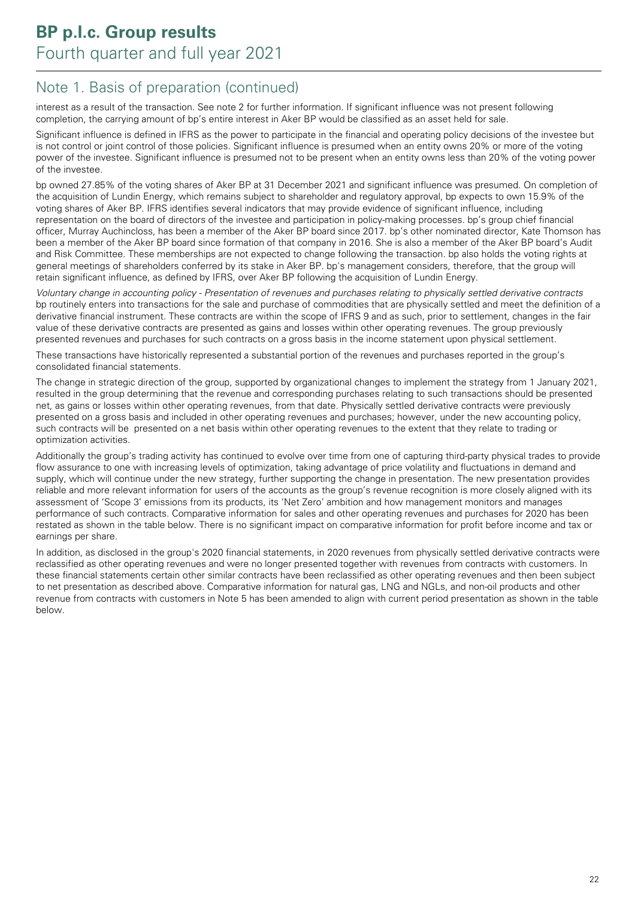### Note 1. Basis of preparation (continued)

interest as a result of the transaction. See note 2 for further information. If significant influence was not present following completion, the carrying amount of bp's entire interest in Aker BP would be classified as an asset held for sale.

Significant influence is defined in IFRS as the power to participate in the financial and operating policy decisions of the investee but is not control or joint control of those policies. Significant influence is presumed when an entity owns 20% or more of the voting power of the investee. Significant influence is presumed not to be present when an entity owns less than 20% of the voting power of the investee.

bp owned 27.85% of the voting shares of Aker BP at 31 December 2021 and significant influence was presumed. On completion of the acquisition of Lundin Energy, which remains subject to shareholder and regulatory approval, bp expects to own 15.9% of the voting shares of Aker BP. IFRS identifies several indicators that may provide evidence of significant influence, including representation on the board of directors of the investee and participation in policy-making processes. bp's group chief financial officer, Murray Auchincloss, has been a member of the Aker BP board since 2017. bp's other nominated director, Kate Thomson has been a member of the Aker BP board since formation of that company in 2016. She is also a member of the Aker BP board's Audit and Risk Committee. These memberships are not expected to change following the transaction. bp also holds the voting rights at general meetings of shareholders conferred by its stake in Aker BP. bp's management considers, therefore, that the group will retain significant influence, as defined by IFRS, over Aker BP following the acquisition of Lundin Energy.

Voluntary change in accounting policy - Presentation of revenues and purchases relating to physically settled derivative contracts bp routinely enters into transactions for the sale and purchase of commodities that are physically settled and meet the definition of a derivative financial instrument. These contracts are within the scope of IFRS 9 and as such, prior to settlement, changes in the fair value of these derivative contracts are presented as gains and losses within other operating revenues. The group previously presented revenues and purchases for such contracts on a gross basis in the income statement upon physical settlement.

These transactions have historically represented a substantial portion of the revenues and purchases reported in the group's consolidated financial statements.

The change in strategic direction of the group, supported by organizational changes to implement the strategy from 1 January 2021, resulted in the group determining that the revenue and corresponding purchases relating to such transactions should be presented net, as gains or losses within other operating revenues, from that date. Physically settled derivative contracts were previously presented on a gross basis and included in other operating revenues and purchases; however, under the new accounting policy, such contracts will be presented on a net basis within other operating revenues to the extent that they relate to trading or optimization activities.

Additionally the group's trading activity has continued to evolve over time from one of capturing third-party physical trades to provide flow assurance to one with increasing levels of optimization, taking advantage of price volatility and fluctuations in demand and supply, which will continue under the new strategy, further supporting the change in presentation. The new presentation provides reliable and more relevant information for users of the accounts as the group's revenue recognition is more closely aligned with its assessment of 'Scope 3' emissions from its products, its 'Net Zero' ambition and how management monitors and manages performance of such contracts. Comparative information for sales and other operating revenues and purchases for 2020 has been restated as shown in the table below. There is no significant impact on comparative information for profit before income and tax or earnings per share.

In addition, as disclosed in the group's 2020 financial statements, in 2020 revenues from physically settled derivative contracts were reclassified as other operating revenues and were no longer presented together with revenues from contracts with customers. In these financial statements certain other similar contracts have been reclassified as other operating revenues and then been subject to net presentation as described above. Comparative information for natural gas, LNG and NGLs, and non-oil products and other revenue from contracts with customers in Note 5 has been amended to align with current period presentation as shown in the table below.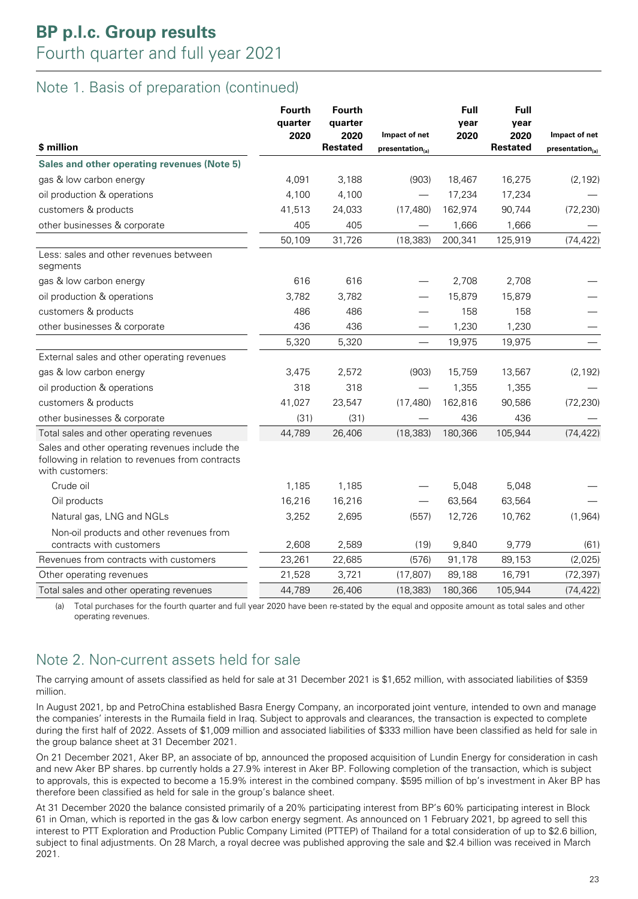### Note 1. Basis of preparation (continued)

| \$ million                                                                                                            | <b>Fourth</b><br>quarter<br>2020 | <b>Fourth</b><br>quarter<br>2020<br><b>Restated</b> | Impact of net<br>presentation <sub>(a)</sub> | <b>Full</b><br>year<br>2020 | <b>Full</b><br>year<br>2020<br><b>Restated</b> | Impact of net<br>presentation <sub>(a)</sub> |
|-----------------------------------------------------------------------------------------------------------------------|----------------------------------|-----------------------------------------------------|----------------------------------------------|-----------------------------|------------------------------------------------|----------------------------------------------|
| Sales and other operating revenues (Note 5)                                                                           |                                  |                                                     |                                              |                             |                                                |                                              |
| gas & low carbon energy                                                                                               | 4,091                            | 3,188                                               | (903)                                        | 18,467                      | 16,275                                         | (2, 192)                                     |
| oil production & operations                                                                                           | 4,100                            | 4,100                                               |                                              | 17,234                      | 17,234                                         |                                              |
| customers & products                                                                                                  | 41,513                           | 24,033                                              | (17, 480)                                    | 162,974                     | 90,744                                         | (72, 230)                                    |
| other businesses & corporate                                                                                          | 405                              | 405                                                 |                                              | 1,666                       | 1,666                                          |                                              |
|                                                                                                                       | 50,109                           | 31,726                                              | (18, 383)                                    | 200,341                     | 125,919                                        | (74, 422)                                    |
| Less: sales and other revenues between<br>segments                                                                    |                                  |                                                     |                                              |                             |                                                |                                              |
| gas & low carbon energy                                                                                               | 616                              | 616                                                 |                                              | 2,708                       | 2,708                                          |                                              |
| oil production & operations                                                                                           | 3,782                            | 3,782                                               |                                              | 15,879                      | 15,879                                         |                                              |
| customers & products                                                                                                  | 486                              | 486                                                 |                                              | 158                         | 158                                            |                                              |
| other businesses & corporate                                                                                          | 436                              | 436                                                 |                                              | 1,230                       | 1,230                                          |                                              |
|                                                                                                                       | 5,320                            | 5,320                                               |                                              | 19,975                      | 19,975                                         |                                              |
| External sales and other operating revenues                                                                           |                                  |                                                     |                                              |                             |                                                |                                              |
| gas & low carbon energy                                                                                               | 3,475                            | 2,572                                               | (903)                                        | 15,759                      | 13,567                                         | (2, 192)                                     |
| oil production & operations                                                                                           | 318                              | 318                                                 |                                              | 1,355                       | 1,355                                          |                                              |
| customers & products                                                                                                  | 41,027                           | 23,547                                              | (17, 480)                                    | 162,816                     | 90,586                                         | (72, 230)                                    |
| other businesses & corporate                                                                                          | (31)                             | (31)                                                |                                              | 436                         | 436                                            |                                              |
| Total sales and other operating revenues                                                                              | 44,789                           | 26,406                                              | (18, 383)                                    | 180,366                     | 105,944                                        | (74, 422)                                    |
| Sales and other operating revenues include the<br>following in relation to revenues from contracts<br>with customers: |                                  |                                                     |                                              |                             |                                                |                                              |
| Crude oil                                                                                                             | 1,185                            | 1,185                                               |                                              | 5,048                       | 5,048                                          |                                              |
| Oil products                                                                                                          | 16,216                           | 16,216                                              |                                              | 63,564                      | 63,564                                         |                                              |
| Natural gas, LNG and NGLs                                                                                             | 3,252                            | 2,695                                               | (557)                                        | 12,726                      | 10,762                                         | (1, 964)                                     |
| Non-oil products and other revenues from<br>contracts with customers                                                  | 2,608                            | 2,589                                               | (19)                                         | 9,840                       | 9,779                                          | (61)                                         |
| Revenues from contracts with customers                                                                                | 23,261                           | 22,685                                              | (576)                                        | 91,178                      | 89,153                                         | (2,025)                                      |
| Other operating revenues                                                                                              | 21,528                           | 3,721                                               | (17, 807)                                    | 89,188                      | 16,791                                         | (72, 397)                                    |
| Total sales and other operating revenues                                                                              | 44,789                           | 26,406                                              | (18, 383)                                    | 180,366                     | 105,944                                        | (74, 422)                                    |

(a) Total purchases for the fourth quarter and full year 2020 have been re-stated by the equal and opposite amount as total sales and other operating revenues.

### Note 2. Non-current assets held for sale

The carrying amount of assets classified as held for sale at 31 December 2021 is \$1,652 million, with associated liabilities of \$359 million.

In August 2021, bp and PetroChina established Basra Energy Company, an incorporated joint venture, intended to own and manage the companies' interests in the Rumaila field in Iraq. Subject to approvals and clearances, the transaction is expected to complete during the first half of 2022. Assets of \$1,009 million and associated liabilities of \$333 million have been classified as held for sale in the group balance sheet at 31 December 2021.

On 21 December 2021, Aker BP, an associate of bp, announced the proposed acquisition of Lundin Energy for consideration in cash and new Aker BP shares. bp currently holds a 27.9% interest in Aker BP. Following completion of the transaction, which is subject to approvals, this is expected to become a 15.9% interest in the combined company. \$595 million of bp's investment in Aker BP has therefore been classified as held for sale in the group's balance sheet.

At 31 December 2020 the balance consisted primarily of a 20% participating interest from BP's 60% participating interest in Block 61 in Oman, which is reported in the gas & low carbon energy segment. As announced on 1 February 2021, bp agreed to sell this interest to PTT Exploration and Production Public Company Limited (PTTEP) of Thailand for a total consideration of up to \$2.6 billion, subject to final adjustments. On 28 March, a royal decree was published approving the sale and \$2.4 billion was received in March 2021.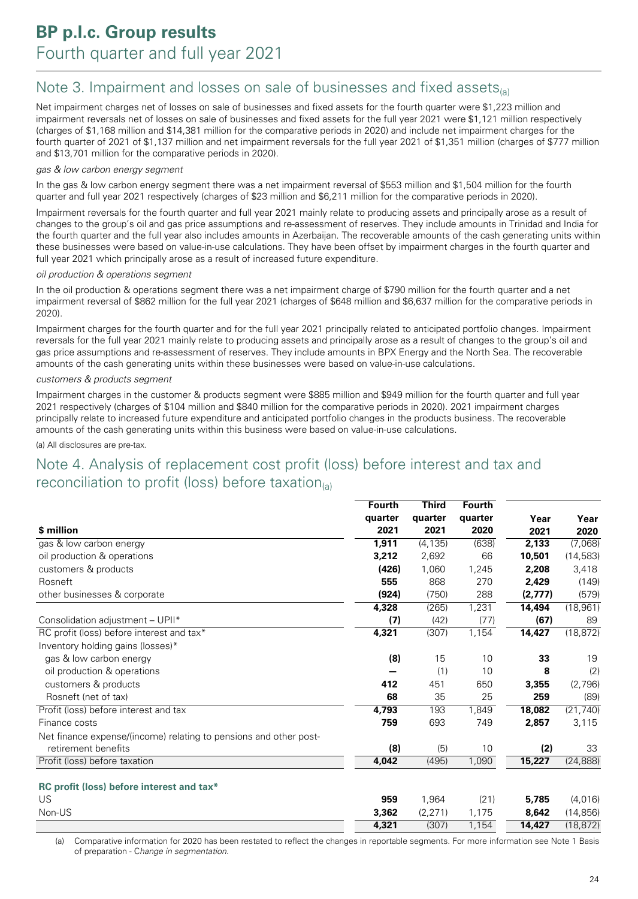### Note 3. Impairment and losses on sale of businesses and fixed assets $_{(a)}$

Net impairment charges net of losses on sale of businesses and fixed assets for the fourth quarter were \$1,223 million and impairment reversals net of losses on sale of businesses and fixed assets for the full year 2021 were \$1,121 million respectively (charges of \$1,168 million and \$14,381 million for the comparative periods in 2020) and include net impairment charges for the fourth quarter of 2021 of \$1,137 million and net impairment reversals for the full year 2021 of \$1,351 million (charges of \$777 million and \$13,701 million for the comparative periods in 2020).

#### gas & low carbon energy segment

In the gas & low carbon energy segment there was a net impairment reversal of \$553 million and \$1,504 million for the fourth quarter and full year 2021 respectively (charges of \$23 million and \$6,211 million for the comparative periods in 2020).

Impairment reversals for the fourth quarter and full year 2021 mainly relate to producing assets and principally arose as a result of changes to the group's oil and gas price assumptions and re-assessment of reserves. They include amounts in Trinidad and India for the fourth quarter and the full year also includes amounts in Azerbaijan. The recoverable amounts of the cash generating units within these businesses were based on value-in-use calculations. They have been offset by impairment charges in the fourth quarter and full year 2021 which principally arose as a result of increased future expenditure.

#### oil production & operations segment

In the oil production & operations segment there was a net impairment charge of \$790 million for the fourth quarter and a net impairment reversal of \$862 million for the full year 2021 (charges of \$648 million and \$6,637 million for the comparative periods in 2020).

Impairment charges for the fourth quarter and for the full year 2021 principally related to anticipated portfolio changes. Impairment reversals for the full year 2021 mainly relate to producing assets and principally arose as a result of changes to the group's oil and gas price assumptions and re-assessment of reserves. They include amounts in BPX Energy and the North Sea. The recoverable amounts of the cash generating units within these businesses were based on value-in-use calculations.

#### customers & products segment

Impairment charges in the customer & products segment were \$885 million and \$949 million for the fourth quarter and full year 2021 respectively (charges of \$104 million and \$840 million for the comparative periods in 2020). 2021 impairment charges principally relate to increased future expenditure and anticipated portfolio changes in the products business. The recoverable amounts of the cash generating units within this business were based on value-in-use calculations.

(a) All disclosures are pre-tax.

### Note 4. Analysis of replacement cost profit (loss) before interest and tax and reconciliation to profit (loss) before taxation $_{(a)}$

|                                                                   | <b>Fourth</b> | <b>Third</b> | <b>Fourth</b> |         |           |
|-------------------------------------------------------------------|---------------|--------------|---------------|---------|-----------|
|                                                                   | quarter       | quarter      | quarter       | Year    | Year      |
| \$ million                                                        | 2021          | 2021         | 2020          | 2021    | 2020      |
| gas & low carbon energy                                           | 1,911         | (4, 135)     | (638)         | 2,133   | (7,068)   |
| oil production & operations                                       | 3,212         | 2,692        | 66            | 10,501  | (14, 583) |
| customers & products                                              | (426)         | 1,060        | 1,245         | 2,208   | 3,418     |
| Rosneft                                                           | 555           | 868          | 270           | 2,429   | (149)     |
| other businesses & corporate                                      | (924)         | (750)        | 288           | (2,777) | (579)     |
|                                                                   | 4,328         | (265)        | 1,231         | 14,494  | (18,961)  |
| Consolidation adjustment - UPII*                                  | (7)           | (42)         | (77)          | (67)    | 89        |
| RC profit (loss) before interest and tax*                         | 4,321         | (307)        | 1,154         | 14,427  | (18, 872) |
| Inventory holding gains (losses)*                                 |               |              |               |         |           |
| gas & low carbon energy                                           | (8)           | 15           | 10            | 33      | 19        |
| oil production & operations                                       |               | (1)          | 10            | 8       | (2)       |
| customers & products                                              | 412           | 451          | 650           | 3,355   | (2,796)   |
| Rosneft (net of tax)                                              | 68            | 35           | 25            | 259     | (89)      |
| Profit (loss) before interest and tax                             | 4,793         | 193          | 1,849         | 18,082  | (21, 740) |
| Finance costs                                                     | 759           | 693          | 749           | 2,857   | 3,115     |
| Net finance expense/(income) relating to pensions and other post- |               |              |               |         |           |
| retirement benefits                                               | (8)           | (5)          | 10            | (2)     | 33        |
| Profit (loss) before taxation                                     | 4,042         | (495)        | 1,090         | 15,227  | (24, 888) |
|                                                                   |               |              |               |         |           |
| RC profit (loss) before interest and tax*                         |               |              |               |         |           |
| US                                                                | 959           | 1,964        | (21)          | 5,785   | (4,016)   |
| Non-US                                                            | 3,362         | (2, 271)     | 1,175         | 8,642   | (14, 856) |
|                                                                   | 4,321         | (307)        | 1,154         | 14,427  | (18, 872) |

(a) Comparative information for 2020 has been restated to reflect the changes in reportable segments. For more information see Note 1 Basis of preparation - Change in segmentation.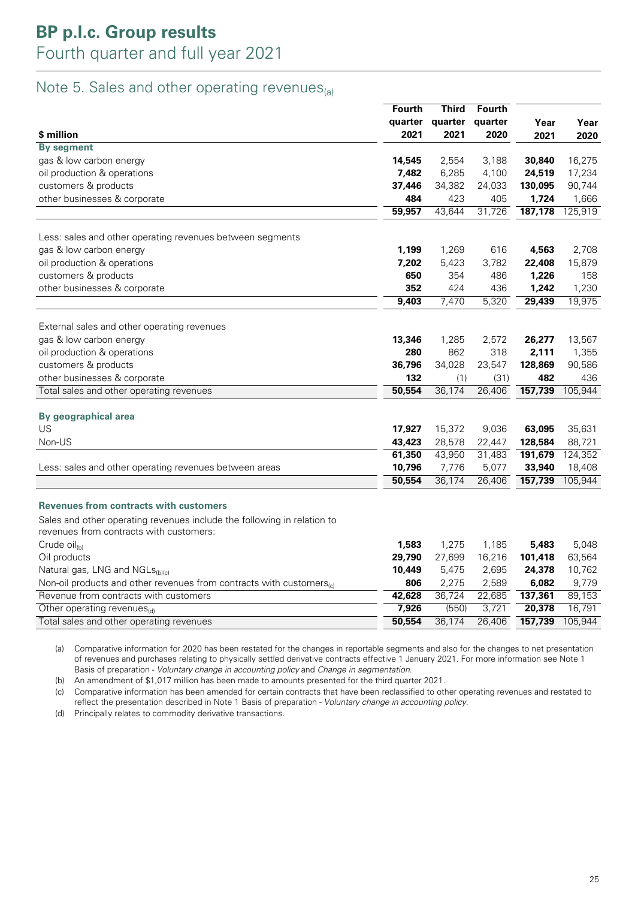### Note 5. Sales and other operating revenues $_{(a)}$

|                                                                         | <b>Fourth</b> | <b>Third</b> | <b>Fourth</b> |         |         |
|-------------------------------------------------------------------------|---------------|--------------|---------------|---------|---------|
|                                                                         | quarter       | quarter      | quarter       | Year    | Year    |
| \$ million                                                              | 2021          | 2021         | 2020          | 2021    | 2020    |
| <b>By segment</b>                                                       |               |              |               |         |         |
| gas & low carbon energy                                                 | 14,545        | 2,554        | 3,188         | 30,840  | 16,275  |
| oil production & operations                                             | 7,482         | 6,285        | 4,100         | 24,519  | 17,234  |
| customers & products                                                    | 37,446        | 34,382       | 24,033        | 130,095 | 90,744  |
| other businesses & corporate                                            | 484           | 423          | 405           | 1,724   | 1,666   |
|                                                                         | 59,957        | 43,644       | 31,726        | 187,178 | 125,919 |
| Less: sales and other operating revenues between segments               |               |              |               |         |         |
| gas & low carbon energy                                                 | 1,199         | 1,269        | 616           | 4,563   | 2,708   |
| oil production & operations                                             | 7,202         | 5,423        | 3,782         | 22,408  | 15,879  |
| customers & products                                                    | 650           | 354          | 486           | 1,226   | 158     |
| other businesses & corporate                                            | 352           | 424          | 436           | 1,242   | 1,230   |
|                                                                         | 9,403         | 7,470        | 5,320         | 29,439  | 19,975  |
| External sales and other operating revenues                             |               |              |               |         |         |
| gas & low carbon energy                                                 | 13,346        | 1,285        | 2,572         | 26,277  | 13,567  |
| oil production & operations                                             | 280           | 862          | 318           | 2,111   | 1,355   |
| customers & products                                                    | 36,796        | 34,028       | 23,547        | 128,869 | 90,586  |
| other businesses & corporate                                            | 132           | (1)          | (31)          | 482     | 436     |
| Total sales and other operating revenues                                | 50,554        | 36,174       | 26,406        | 157,739 | 105,944 |
| By geographical area                                                    |               |              |               |         |         |
| US                                                                      | 17,927        | 15,372       | 9,036         | 63,095  | 35,631  |
| Non-US                                                                  | 43,423        | 28,578       | 22,447        | 128,584 | 88,721  |
|                                                                         | 61,350        | 43,950       | 31,483        | 191,679 | 124,352 |
| Less: sales and other operating revenues between areas                  | 10,796        | 7,776        | 5,077         | 33,940  | 18,408  |
|                                                                         | 50,554        | 36,174       | 26,406        | 157,739 | 105,944 |
| <b>Revenues from contracts with customers</b>                           |               |              |               |         |         |
| Sales and other operating revenues include the following in relation to |               |              |               |         |         |
| revenues from contracts with customers:                                 |               |              |               |         |         |
| Crude oil <sub>(b)</sub>                                                | 1,583         | 1,275        | 1,185         | 5,483   | 5,048   |

| Cruce $O(1)$                                                                      | 1,903  | 1.Z / O | 1. IOU | D.40J   | 0.U40   |
|-----------------------------------------------------------------------------------|--------|---------|--------|---------|---------|
| Oil products                                                                      | 29,790 | 27.699  | 16.216 | 101,418 | 63.564  |
| Natural gas, LNG and NGLs <sub>(b)(c)</sub>                                       | 10.449 | 5.475   | 2.695  | 24,378  | 10.762  |
| Non-oil products and other revenues from contracts with customers $_{\text{col}}$ | 806    | 2.275   | 2.589  | 6.082   | 9.779   |
| Revenue from contracts with customers                                             | 42.628 | 36.724  | 22.685 | 137,361 | 89.153  |
| Other operating revenues $_{(d)}$                                                 | 7.926  | (550)   | 3.721  | 20.378  | 16.791  |
| Total sales and other operating revenues                                          | 50.554 | 36.174  | 26.406 | 157,739 | 105.944 |

(a) Comparative information for 2020 has been restated for the changes in reportable segments and also for the changes to net presentation of revenues and purchases relating to physically settled derivative contracts effective 1 January 2021. For more information see Note 1 Basis of preparation - Voluntary change in accounting policy and Change in segmentation.

(b) An amendment of \$1,017 million has been made to amounts presented for the third quarter 2021.

(c) Comparative information has been amended for certain contracts that have been reclassified to other operating revenues and restated to reflect the presentation described in Note 1 Basis of preparation - Voluntary change in accounting policy.

(d) Principally relates to commodity derivative transactions.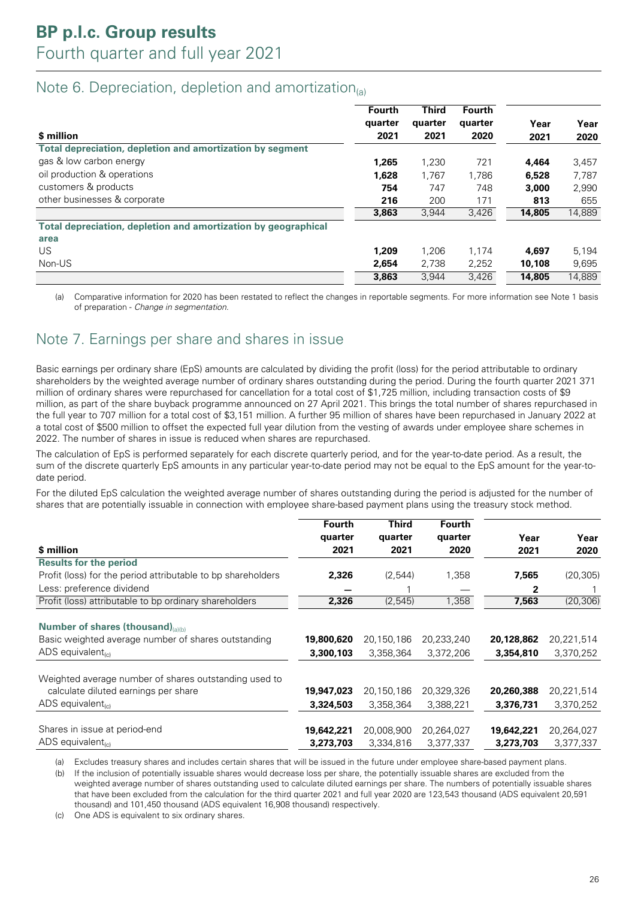### Note 6. Depreciation, depletion and amortization $_{(a)}$

|                                                                | Fourth<br>quarter | <b>Third</b><br>quarter | <b>Fourth</b><br>quarter | Year   | Year   |
|----------------------------------------------------------------|-------------------|-------------------------|--------------------------|--------|--------|
| \$ million                                                     | 2021              | 2021                    | 2020                     | 2021   | 2020   |
| Total depreciation, depletion and amortization by segment      |                   |                         |                          |        |        |
| gas & low carbon energy                                        | 1,265             | 1.230                   | 721                      | 4,464  | 3,457  |
| oil production & operations                                    | 1,628             | 1,767                   | 1,786                    | 6,528  | 7,787  |
| customers & products                                           | 754               | 747                     | 748                      | 3,000  | 2,990  |
| other businesses & corporate                                   | 216               | 200                     | 171                      | 813    | 655    |
|                                                                | 3,863             | 3,944                   | 3,426                    | 14,805 | 14,889 |
| Total depreciation, depletion and amortization by geographical |                   |                         |                          |        |        |
| area                                                           |                   |                         |                          |        |        |
| US.                                                            | 1,209             | 1.206                   | 1,174                    | 4,697  | 5,194  |
| Non-US                                                         | 2,654             | 2,738                   | 2,252                    | 10,108 | 9,695  |
|                                                                | 3,863             | 3.944                   | 3.426                    | 14,805 | 14.889 |

(a) Comparative information for 2020 has been restated to reflect the changes in reportable segments. For more information see Note 1 basis of preparation - Change in segmentation.

### Note 7. Earnings per share and shares in issue

Basic earnings per ordinary share (EpS) amounts are calculated by dividing the profit (loss) for the period attributable to ordinary shareholders by the weighted average number of ordinary shares outstanding during the period. During the fourth quarter 2021 371 million of ordinary shares were repurchased for cancellation for a total cost of \$1,725 million, including transaction costs of \$9 million, as part of the share buyback programme announced on 27 April 2021. This brings the total number of shares repurchased in the full year to 707 million for a total cost of \$3,151 million. A further 95 million of shares have been repurchased in January 2022 at a total cost of \$500 million to offset the expected full year dilution from the vesting of awards under employee share schemes in 2022. The number of shares in issue is reduced when shares are repurchased.

The calculation of EpS is performed separately for each discrete quarterly period, and for the year-to-date period. As a result, the sum of the discrete quarterly EpS amounts in any particular year-to-date period may not be equal to the EpS amount for the year-todate period.

For the diluted EpS calculation the weighted average number of shares outstanding during the period is adjusted for the number of shares that are potentially issuable in connection with employee share-based payment plans using the treasury stock method.

|                                                              | <b>Fourth</b> | <b>Third</b> | <b>Fourth</b> |            |            |
|--------------------------------------------------------------|---------------|--------------|---------------|------------|------------|
|                                                              | quarter       | quarter      | quarter       | Year       | Year       |
| \$ million                                                   | 2021          | 2021         | 2020          | 2021       | 2020       |
| <b>Results for the period</b>                                |               |              |               |            |            |
| Profit (loss) for the period attributable to bp shareholders | 2,326         | (2,544)      | 1,358         | 7,565      | (20, 305)  |
| Less: preference dividend                                    |               |              |               | 2          |            |
| Profit (loss) attributable to bp ordinary shareholders       | 2,326         | (2,545)      | 1,358         | 7,563      | (20, 306)  |
| Number of shares (thousand)(a)(b)                            |               |              |               |            |            |
| Basic weighted average number of shares outstanding          | 19,800,620    | 20,150,186   | 20,233,240    | 20,128,862 | 20,221,514 |
| ADS equivalent $_{(c)}$                                      | 3,300,103     | 3,358,364    | 3,372,206     | 3,354,810  | 3,370,252  |
| Weighted average number of shares outstanding used to        |               |              |               |            |            |
| calculate diluted earnings per share                         | 19,947,023    | 20,150,186   | 20,329,326    | 20,260,388 | 20,221,514 |
| $ADS$ equivalent <sub>(c)</sub>                              | 3,324,503     | 3,358,364    | 3,388,221     | 3,376,731  | 3,370,252  |
| Shares in issue at period-end                                | 19,642,221    | 20,008,900   | 20,264,027    | 19,642,221 | 20,264,027 |
| ADS equivalent <sub>(c)</sub>                                | 3,273,703     | 3,334,816    | 3,377,337     | 3,273,703  | 3,377,337  |

(a) Excludes treasury shares and includes certain shares that will be issued in the future under employee share-based payment plans.

(b) If the inclusion of potentially issuable shares would decrease loss per share, the potentially issuable shares are excluded from the weighted average number of shares outstanding used to calculate diluted earnings per share. The numbers of potentially issuable shares that have been excluded from the calculation for the third quarter 2021 and full year 2020 are 123,543 thousand (ADS equivalent 20,591 thousand) and 101,450 thousand (ADS equivalent 16,908 thousand) respectively.

(c) One ADS is equivalent to six ordinary shares.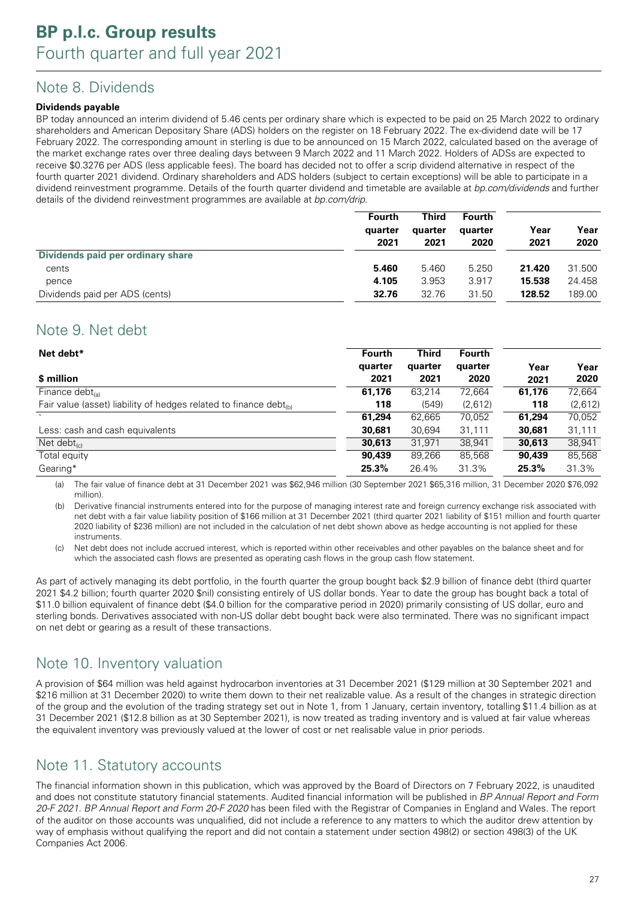### Note 8. Dividends

#### **Dividends payable**

BP today announced an interim dividend of 5.46 cents per ordinary share which is expected to be paid on 25 March 2022 to ordinary shareholders and American Depositary Share (ADS) holders on the register on 18 February 2022. The ex-dividend date will be 17 February 2022. The corresponding amount in sterling is due to be announced on 15 March 2022, calculated based on the average of the market exchange rates over three dealing days between 9 March 2022 and 11 March 2022. Holders of ADSs are expected to receive \$0.3276 per ADS (less applicable fees). The board has decided not to offer a scrip dividend alternative in respect of the fourth quarter 2021 dividend. Ordinary shareholders and ADS holders (subject to certain exceptions) will be able to participate in a dividend reinvestment programme. Details of the fourth quarter dividend and timetable are available at *bp.com/dividends* and further details of the dividend reinvestment programmes are available at bp.com/drip.

|                                   | Fourth<br>quarter<br>2021 | <b>Third</b><br>quarter<br>2021 | <b>Fourth</b><br>quarter<br>2020 | Year<br>2021 | Year<br>2020 |
|-----------------------------------|---------------------------|---------------------------------|----------------------------------|--------------|--------------|
| Dividends paid per ordinary share |                           |                                 |                                  |              |              |
| cents                             | 5.460                     | 5.460                           | 5.250                            | 21.420       | 31.500       |
| pence                             | 4.105                     | 3.953                           | 3.917                            | 15.538       | 24.458       |
| Dividends paid per ADS (cents)    | 32.76                     | 32.76                           | 31.50                            | 128.52       | 189.00       |

### Note 9. Net debt

| Net debt*                                                               | <b>Fourth</b> | Third   | <b>Fourth</b> |        |         |
|-------------------------------------------------------------------------|---------------|---------|---------------|--------|---------|
|                                                                         | quarter       | quarter | quarter       | Year   | Year    |
| \$ million                                                              | 2021          | 2021    | 2020          | 2021   | 2020    |
| Finance debt $_{(a)}$                                                   | 61,176        | 63,214  | 72,664        | 61,176 | 72,664  |
| Fair value (asset) liability of hedges related to finance debt $_{(b)}$ | 118           | (549)   | (2,612)       | 118    | (2,612) |
|                                                                         | 61,294        | 62,665  | 70,052        | 61,294 | 70,052  |
| Less: cash and cash equivalents                                         | 30,681        | 30,694  | 31,111        | 30,681 | 31,111  |
| Net debt $_{\text{lc}}$                                                 | 30,613        | 31,971  | 38,941        | 30,613 | 38,941  |
| Total equity                                                            | 90,439        | 89,266  | 85,568        | 90,439 | 85,568  |
| Gearing*                                                                | 25.3%         | 26.4%   | 31.3%         | 25.3%  | 31.3%   |

(a) The fair value of finance debt at 31 December 2021 was \$62,946 million (30 September 2021 \$65,316 million, 31 December 2020 \$76,092 million).

(b) Derivative financial instruments entered into for the purpose of managing interest rate and foreign currency exchange risk associated with net debt with a fair value liability position of \$166 million at 31 December 2021 (third quarter 2021 liability of \$151 million and fourth quarter 2020 liability of \$236 million) are not included in the calculation of net debt shown above as hedge accounting is not applied for these instruments.

Net debt does not include accrued interest, which is reported within other receivables and other payables on the balance sheet and for which the associated cash flows are presented as operating cash flows in the group cash flow statement.

As part of actively managing its debt portfolio, in the fourth quarter the group bought back \$2.9 billion of finance debt (third quarter 2021 \$4.2 billion; fourth quarter 2020 \$nil) consisting entirely of US dollar bonds. Year to date the group has bought back a total of \$11.0 billion equivalent of finance debt (\$4.0 billion for the comparative period in 2020) primarily consisting of US dollar, euro and sterling bonds. Derivatives associated with non-US dollar debt bought back were also terminated. There was no significant impact on net debt or gearing as a result of these transactions.

### Note 10. Inventory valuation

A provision of \$64 million was held against hydrocarbon inventories at 31 December 2021 (\$129 million at 30 September 2021 and \$216 million at 31 December 2020) to write them down to their net realizable value. As a result of the changes in strategic direction of the group and the evolution of the trading strategy set out in Note 1, from 1 January, certain inventory, totalling \$11.4 billion as at 31 December 2021 (\$12.8 billion as at 30 September 2021), is now treated as trading inventory and is valued at fair value whereas the equivalent inventory was previously valued at the lower of cost or net realisable value in prior periods.

### Note 11. Statutory accounts

The financial information shown in this publication, which was approved by the Board of Directors on 7 February 2022, is unaudited and does not constitute statutory financial statements. Audited financial information will be published in BP Annual Report and Form 20-F 2021. BP Annual Report and Form 20-F 2020 has been filed with the Registrar of Companies in England and Wales. The report of the auditor on those accounts was unqualified, did not include a reference to any matters to which the auditor drew attention by way of emphasis without qualifying the report and did not contain a statement under section 498(2) or section 498(3) of the UK Companies Act 2006.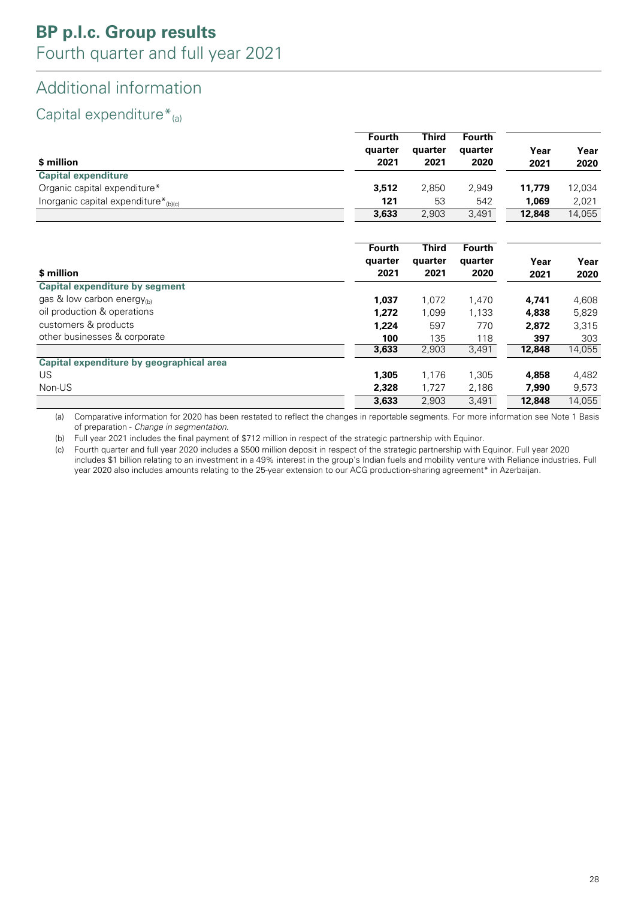## Additional information

## Capital expenditure $*_{(a)}$

|                                                  | <b>Fourth</b> | <b>Third</b> | <b>Fourth</b> |        |        |
|--------------------------------------------------|---------------|--------------|---------------|--------|--------|
|                                                  | quarter       | quarter      | quarter       | Year   | Year   |
| \$ million                                       | 2021          | 2021         | 2020          | 2021   | 2020   |
| <b>Capital expenditure</b>                       |               |              |               |        |        |
| Organic capital expenditure*                     | 3,512         | 2,850        | 2,949         | 11,779 | 12,034 |
| Inorganic capital expenditure* <sub>(b)(c)</sub> | 121           | 53           | 542           | 1,069  | 2,021  |
|                                                  | 3,633         | 2,903        | 3,491         | 12,848 | 14,055 |
|                                                  | Fourth        | <b>Third</b> | <b>Fourth</b> |        |        |
|                                                  | quarter       | quarter      | quarter       | Year   | Year   |
| \$ million                                       | 2021          | 2021         | 2020          | 2021   | 2020   |
| <b>Capital expenditure by segment</b>            |               |              |               |        |        |
| gas & low carbon energy $_{\text{th}}$           | 1,037         | 1,072        | 1,470         | 4,741  | 4,608  |
| oil production & operations                      | 1,272         | 1,099        | 1,133         | 4,838  | 5,829  |
| customers & products                             | 1,224         | 597          | 770           | 2,872  | 3,315  |
| other businesses & corporate                     | 100           | 135          | 118           | 397    | 303    |
|                                                  | 3,633         | 2,903        | 3,491         | 12,848 | 14,055 |
| Capital expenditure by geographical area         |               |              |               |        |        |
| US.                                              | 1,305         | 1,176        | 1,305         | 4,858  | 4,482  |
| Non-US                                           | 2,328         | 1,727        | 2,186         | 7,990  | 9,573  |
|                                                  | 3,633         | 2,903        | 3,491         | 12,848 | 14,055 |

(a) Comparative information for 2020 has been restated to reflect the changes in reportable segments. For more information see Note 1 Basis of preparation - Change in segmentation.

(b) Full year 2021 includes the final payment of \$712 million in respect of the strategic partnership with Equinor.

(c) Fourth quarter and full year 2020 includes a \$500 million deposit in respect of the strategic partnership with Equinor. Full year 2020 includes \$1 billion relating to an investment in a 49% interest in the group's Indian fuels and mobility venture with Reliance industries. Full year 2020 also includes amounts relating to the 25-year extension to our ACG production-sharing agreement\* in Azerbaijan.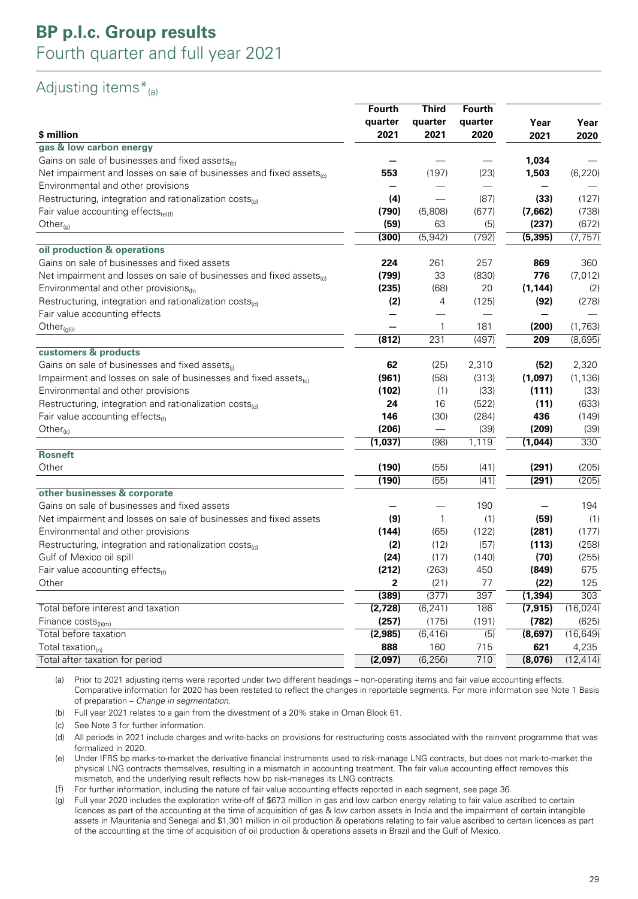## Adjusting items $*_{(a)}$

|                                                                                 | <b>Fourth</b><br>quarter | <b>Third</b><br>quarter | Fourth<br>quarter | Year     | Year      |
|---------------------------------------------------------------------------------|--------------------------|-------------------------|-------------------|----------|-----------|
| \$ million                                                                      | 2021                     | 2021                    | 2020              | 2021     | 2020      |
| gas & low carbon energy                                                         |                          |                         |                   |          |           |
| Gains on sale of businesses and fixed assets <sub>(b)</sub>                     |                          |                         |                   | 1,034    |           |
| Net impairment and losses on sale of businesses and fixed assets $_{(c)}$       | 553                      | (197)                   | (23)              | 1,503    | (6, 220)  |
| Environmental and other provisions                                              |                          |                         |                   |          |           |
| Restructuring, integration and rationalization costs <sub>(d)</sub>             | (4)                      |                         | (87)              | (33)     | (127)     |
| Fair value accounting effects $_{(e)(f)}$                                       | (790)                    | (5,808)                 | (677)             | (7,662)  | (738)     |
| Other $_{(g)}$                                                                  | (59)                     | 63                      | (5)               | (237)    | (672)     |
|                                                                                 | (300)                    | (5, 942)                | (792)             | (5, 395) | (7, 757)  |
| oil production & operations                                                     |                          |                         |                   |          |           |
| Gains on sale of businesses and fixed assets                                    | 224                      | 261                     | 257               | 869      | 360       |
| Net impairment and losses on sale of businesses and fixed assets <sub>(c)</sub> | (799)                    | 33                      | (830)             | 776      | (7, 012)  |
| Environmental and other provisions $_{(h)}$                                     | (235)                    | (68)                    | 20                | (1, 144) | (2)       |
| Restructuring, integration and rationalization costs <sub>(d)</sub>             | (2)                      | 4                       | (125)             | (92)     | (278)     |
| Fair value accounting effects                                                   |                          |                         |                   |          |           |
| $Other_{(g)(i)}$                                                                |                          | $\mathbf{1}$            | 181               | (200)    | (1,763)   |
|                                                                                 | (812)                    | 231                     | (497)             | 209      | (8,695)   |
| customers & products                                                            |                          |                         |                   |          |           |
| Gains on sale of businesses and fixed assets <sub>(i)</sub>                     | 62                       | (25)                    | 2,310             | (52)     | 2,320     |
| Impairment and losses on sale of businesses and fixed assets <sub>(c)</sub>     | (961)                    | (58)                    | (313)             | (1,097)  | (1, 136)  |
| Environmental and other provisions                                              | (102)                    | (1)                     | (33)              | (111)    | (33)      |
| Restructuring, integration and rationalization costs <sub>(d)</sub>             | 24                       | 16                      | (522)             | (11)     | (633)     |
| Fair value accounting effects $_{(f)}$                                          | 146                      | (30)                    | (284)             | 436      | (149)     |
| Other $_{(k)}$                                                                  | (206)                    |                         | (39)              | (209)    | (39)      |
|                                                                                 | (1,037)                  | (98)                    | 1,119             | (1,044)  | 330       |
| <b>Rosneft</b>                                                                  |                          |                         |                   |          |           |
| Other                                                                           | (190)                    | (55)                    | (41)              | (291)    | (205)     |
|                                                                                 | (190)                    | (55)                    | (41)              | (291)    | (205)     |
| other businesses & corporate                                                    |                          |                         |                   |          |           |
| Gains on sale of businesses and fixed assets                                    |                          |                         | 190               |          | 194       |
| Net impairment and losses on sale of businesses and fixed assets                | (9)                      | $\mathbf{1}$            | (1)               | (59)     | (1)       |
| Environmental and other provisions                                              | (144)                    | (65)                    | (122)             | (281)    | (177)     |
| Restructuring, integration and rationalization $cost_{\text{cd}}$               | (2)                      | (12)                    | (57)              | (113)    | (258)     |
| Gulf of Mexico oil spill                                                        | (24)                     | (17)                    | (140)             | (70)     | (255)     |
| Fair value accounting effects <sub>(f)</sub>                                    | (212)                    | (263)                   | 450               | (849)    | 675       |
| <b>Other</b>                                                                    | 2                        | (21)                    | $77 \,$           | (22)     | 125       |
|                                                                                 | (389)                    | (377)                   | 397               | (1, 394) | 303       |
| Total before interest and taxation                                              | (2,728)                  | (6, 241)                | 186               | (7, 915) | (16, 024) |
| Finance $costs_{(i)(m)}$                                                        | (257)                    | (175)                   | (191)             | (782)    | (625)     |
| Total before taxation                                                           | (2, 985)                 | (6, 416)                | $\overline{(5)}$  | (8,697)  | (16, 649) |
| Total taxation $_{(n)}$                                                         | 888                      | 160                     | 715               | 621      | 4,235     |
| Total after taxation for period                                                 | (2,097)                  | (6, 256)                | 710               | (8,076)  | (12, 414) |

(a) Prior to 2021 adjusting items were reported under two different headings – non-operating items and fair value accounting effects. Comparative information for 2020 has been restated to reflect the changes in reportable segments. For more information see Note 1 Basis of preparation – Change in segmentation.

(b) Full year 2021 relates to a gain from the divestment of a 20% stake in Oman Block 61.

(c) See Note 3 for further information.

(d) All periods in 2021 include charges and write-backs on provisions for restructuring costs associated with the reinvent programme that was formalized in 2020.

(e) Under IFRS bp marks-to-market the derivative financial instruments used to risk-manage LNG contracts, but does not mark-to-market the physical LNG contracts themselves, resulting in a mismatch in accounting treatment. The fair value accounting effect removes this mismatch, and the underlying result reflects how bp risk-manages its LNG contracts.

(f) For further information, including the nature of fair value accounting effects reported in each segment, see page 36.

(g) Full year 2020 includes the exploration write-off of \$673 million in gas and low carbon energy relating to fair value ascribed to certain licences as part of the accounting at the time of acquisition of gas & low carbon assets in India and the impairment of certain intangible assets in Mauritania and Senegal and \$1,301 million in oil production & operations relating to fair value ascribed to certain licences as part of the accounting at the time of acquisition of oil production & operations assets in Brazil and the Gulf of Mexico.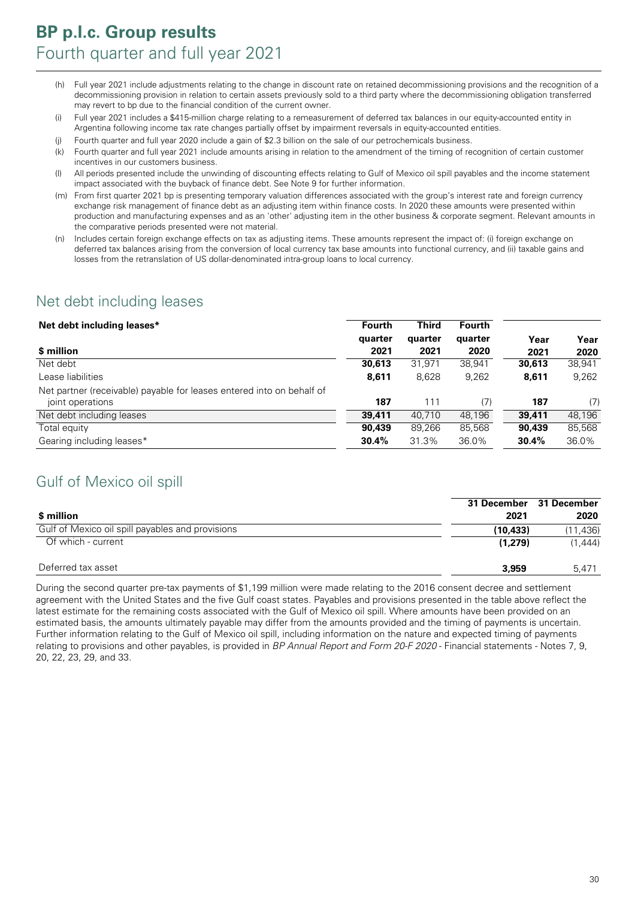- (h) Full year 2021 include adjustments relating to the change in discount rate on retained decommissioning provisions and the recognition of a decommissioning provision in relation to certain assets previously sold to a third party where the decommissioning obligation transferred may revert to bp due to the financial condition of the current owner.
- (i) Full year 2021 includes a \$415-million charge relating to a remeasurement of deferred tax balances in our equity-accounted entity in Argentina following income tax rate changes partially offset by impairment reversals in equity-accounted entities.
- (j) Fourth quarter and full year 2020 include a gain of \$2.3 billion on the sale of our petrochemicals business.
- (k) Fourth quarter and full year 2021 include amounts arising in relation to the amendment of the timing of recognition of certain customer incentives in our customers business.
- (l) All periods presented include the unwinding of discounting effects relating to Gulf of Mexico oil spill payables and the income statement impact associated with the buyback of finance debt. See Note 9 for further information.
- (m) From first quarter 2021 bp is presenting temporary valuation differences associated with the group's interest rate and foreign currency exchange risk management of finance debt as an adjusting item within finance costs. In 2020 these amounts were presented within production and manufacturing expenses and as an 'other' adjusting item in the other business & corporate segment. Relevant amounts in the comparative periods presented were not material.
- (n) Includes certain foreign exchange effects on tax as adjusting items. These amounts represent the impact of: (i) foreign exchange on deferred tax balances arising from the conversion of local currency tax base amounts into functional currency, and (ii) taxable gains and losses from the retranslation of US dollar-denominated intra-group loans to local currency.

### Net debt including leases

| Net debt including leases*                                            | <b>Fourth</b> | Third   | <b>Fourth</b> |        |        |
|-----------------------------------------------------------------------|---------------|---------|---------------|--------|--------|
|                                                                       | quarter       | quarter | quarter       | Year   | Year   |
| \$ million                                                            | 2021          | 2021    | 2020          | 2021   | 2020   |
| Net debt                                                              | 30,613        | 31.971  | 38,941        | 30,613 | 38,941 |
| Lease liabilities                                                     | 8,611         | 8,628   | 9,262         | 8,611  | 9,262  |
| Net partner (receivable) payable for leases entered into on behalf of |               |         |               |        |        |
| joint operations                                                      | 187           | 111     | (7)           | 187    | (7)    |
| Net debt including leases                                             | 39,411        | 40.710  | 48,196        | 39,411 | 48,196 |
| Total equity                                                          | 90,439        | 89.266  | 85,568        | 90,439 | 85,568 |
| Gearing including leases*                                             | 30.4%         | 31.3%   | 36.0%         | 30.4%  | 36.0%  |

### Gulf of Mexico oil spill

|                                                  | <b>31 December</b> | 31 December |
|--------------------------------------------------|--------------------|-------------|
| \$ million                                       | 2021               | 2020        |
| Gulf of Mexico oil spill payables and provisions | (10.433)           | (11,436)    |
| Of which - current                               | (1.279)            | (1.444)     |
| Deferred tax asset                               | 3,959              | 5.471       |

During the second quarter pre-tax payments of \$1,199 million were made relating to the 2016 consent decree and settlement agreement with the United States and the five Gulf coast states. Payables and provisions presented in the table above reflect the latest estimate for the remaining costs associated with the Gulf of Mexico oil spill. Where amounts have been provided on an estimated basis, the amounts ultimately payable may differ from the amounts provided and the timing of payments is uncertain. Further information relating to the Gulf of Mexico oil spill, including information on the nature and expected timing of payments relating to provisions and other payables, is provided in BP Annual Report and Form 20-F 2020 - Financial statements - Notes 7, 9, 20, 22, 23, 29, and 33.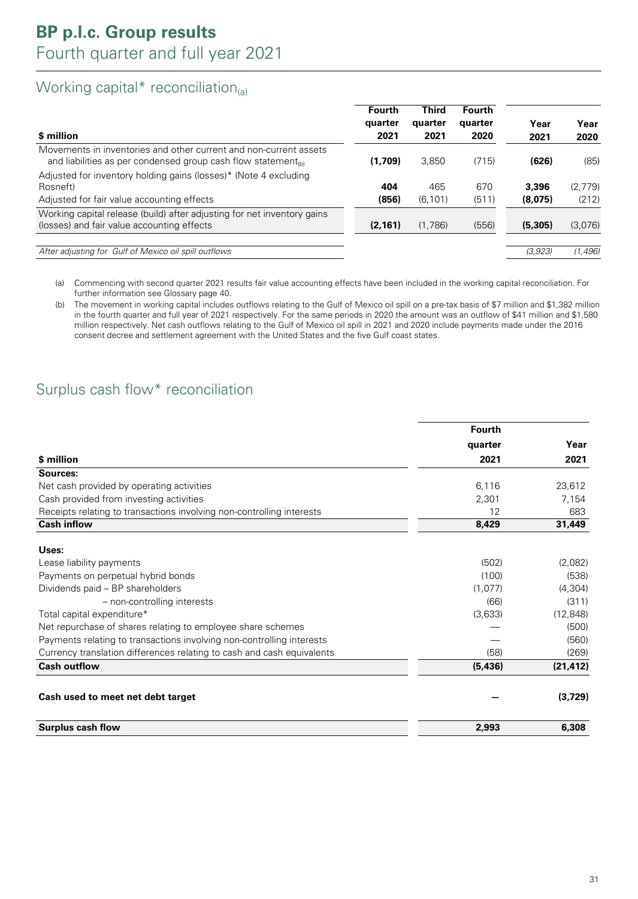### Working capital\* reconciliation $_{(a)}$

|                                                                                                                                                | <b>Fourth</b> | <b>Third</b> | <b>Fourth</b> |         |         |
|------------------------------------------------------------------------------------------------------------------------------------------------|---------------|--------------|---------------|---------|---------|
|                                                                                                                                                | quarter       | quarter      | quarter       | Year    | Year    |
| \$ million                                                                                                                                     | 2021          | 2021         | 2020          | 2021    | 2020    |
| Movements in inventories and other current and non-current assets<br>and liabilities as per condensed group cash flow statement <sub>(b)</sub> | (1,709)       | 3,850        | (715)         | (626)   | (85)    |
| Adjusted for inventory holding gains (losses)* (Note 4 excluding                                                                               |               |              |               |         |         |
| Rosneft)                                                                                                                                       | 404           | 465          | 670           | 3,396   | (2,779) |
| Adjusted for fair value accounting effects                                                                                                     | (856)         | (6, 101)     | (511)         | (8,075) | (212)   |
| Working capital release (build) after adjusting for net inventory gains                                                                        |               |              |               |         |         |
| (losses) and fair value accounting effects                                                                                                     | (2, 161)      | (1,786)      | (556)         | (5,305) | (3,076) |
|                                                                                                                                                |               |              |               |         |         |
| After adjusting for Gulf of Mexico oil spill outflows                                                                                          |               |              |               | (3,923) | (1.496) |

(a) Commencing with second quarter 2021 results fair value accounting effects have been included in the working capital reconciliation. For further information see Glossary page 40.

(b) The movement in working capital includes outflows relating to the Gulf of Mexico oil spill on a pre-tax basis of \$7 million and \$1,382 million in the fourth quarter and full year of 2021 respectively. For the same periods in 2020 the amount was an outflow of \$41 million and \$1,580 million respectively. Net cash outflows relating to the Gulf of Mexico oil spill in 2021 and 2020 include payments made under the 2016 consent decree and settlement agreement with the United States and the five Gulf coast states.

### Surplus cash flow\* reconciliation

|                                                                        | <b>Fourth</b> |           |
|------------------------------------------------------------------------|---------------|-----------|
|                                                                        | quarter       | Year      |
| \$ million                                                             | 2021          | 2021      |
| Sources:                                                               |               |           |
| Net cash provided by operating activities                              | 6,116         | 23,612    |
| Cash provided from investing activities                                | 2,301         | 7.154     |
| Receipts relating to transactions involving non-controlling interests  | 12            | 683       |
| <b>Cash inflow</b>                                                     | 8,429         | 31,449    |
| Uses:                                                                  |               |           |
| Lease liability payments                                               | (502)         | (2,082)   |
| Payments on perpetual hybrid bonds                                     | (100)         | (538)     |
| Dividends paid - BP shareholders                                       | (1,077)       | (4, 304)  |
| - non-controlling interests                                            | (66)          | (311)     |
| Total capital expenditure*                                             | (3,633)       | (12, 848) |
| Net repurchase of shares relating to employee share schemes            |               | (500)     |
| Payments relating to transactions involving non-controlling interests  |               | (560)     |
| Currency translation differences relating to cash and cash equivalents | (58)          | (269)     |
| <b>Cash outflow</b>                                                    | (5, 436)      | (21, 412) |
| Cash used to meet net debt target                                      |               | (3,729)   |
| <b>Surplus cash flow</b>                                               | 2,993         | 6,308     |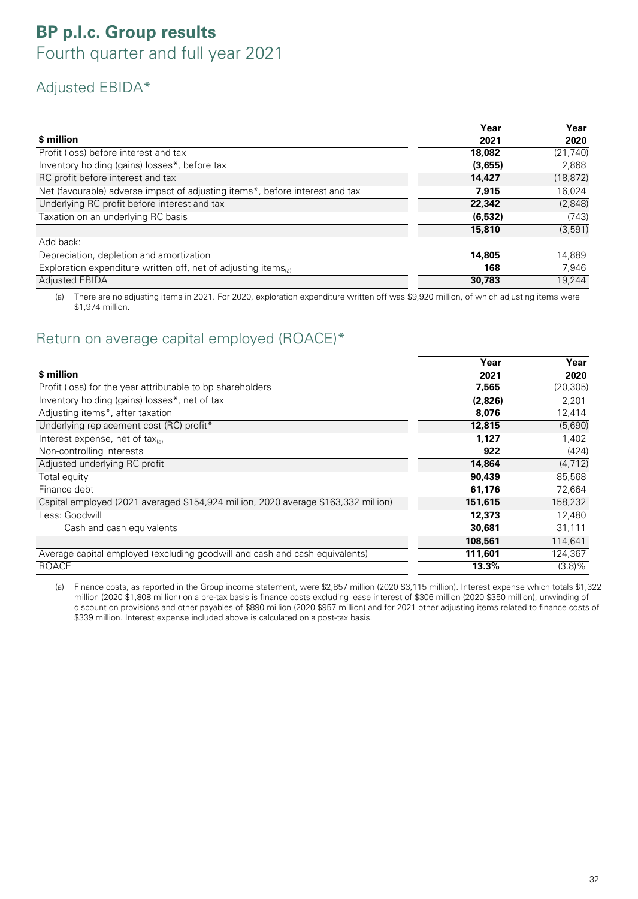## Adjusted EBIDA\*

|                                                                              | Year     | Year      |
|------------------------------------------------------------------------------|----------|-----------|
| \$ million                                                                   | 2021     | 2020      |
| Profit (loss) before interest and tax                                        | 18,082   | (21, 740) |
| Inventory holding (gains) losses*, before tax                                | (3,655)  | 2,868     |
| RC profit before interest and tax                                            | 14,427   | (18, 872) |
| Net (favourable) adverse impact of adjusting items*, before interest and tax | 7.915    | 16,024    |
| Underlying RC profit before interest and tax                                 | 22,342   | (2,848)   |
| Taxation on an underlying RC basis                                           | (6, 532) | (743)     |
|                                                                              | 15,810   | (3,591)   |
| Add back:                                                                    |          |           |
| Depreciation, depletion and amortization                                     | 14,805   | 14.889    |
| Exploration expenditure written off, net of adjusting items(a)               | 168      | 7,946     |
| <b>Adjusted EBIDA</b>                                                        | 30,783   | 19.244    |

(a) There are no adjusting items in 2021. For 2020, exploration expenditure written off was \$9,920 million, of which adjusting items were \$1,974 million.

### Return on average capital employed (ROACE)\*

|                                                                                    | Year    | Year      |
|------------------------------------------------------------------------------------|---------|-----------|
| \$ million                                                                         | 2021    | 2020      |
| Profit (loss) for the year attributable to bp shareholders                         | 7,565   | (20, 305) |
| Inventory holding (gains) losses*, net of tax                                      | (2,826) | 2,201     |
| Adjusting items*, after taxation                                                   | 8,076   | 12,414    |
| Underlying replacement cost (RC) profit*                                           | 12,815  | (5,690)   |
| Interest expense, net of tax $_{(a)}$                                              | 1,127   | 1,402     |
| Non-controlling interests                                                          | 922     | (424)     |
| Adjusted underlying RC profit                                                      | 14,864  | (4, 712)  |
| Total equity                                                                       | 90,439  | 85,568    |
| Finance debt                                                                       | 61,176  | 72,664    |
| Capital employed (2021 averaged \$154,924 million, 2020 average \$163,332 million) | 151,615 | 158,232   |
| Less: Goodwill                                                                     | 12,373  | 12,480    |
| Cash and cash equivalents                                                          | 30,681  | 31,111    |
|                                                                                    | 108,561 | 114,641   |
| Average capital employed (excluding goodwill and cash and cash equivalents)        | 111,601 | 124,367   |
| ROACE                                                                              | 13.3%   | $(3.8)\%$ |

(a) Finance costs, as reported in the Group income statement, were \$2,857 million (2020 \$3,115 million). Interest expense which totals \$1,322 million (2020 \$1,808 million) on a pre-tax basis is finance costs excluding lease interest of \$306 million (2020 \$350 million), unwinding of discount on provisions and other payables of \$890 million (2020 \$957 million) and for 2021 other adjusting items related to finance costs of \$339 million. Interest expense included above is calculated on a post-tax basis.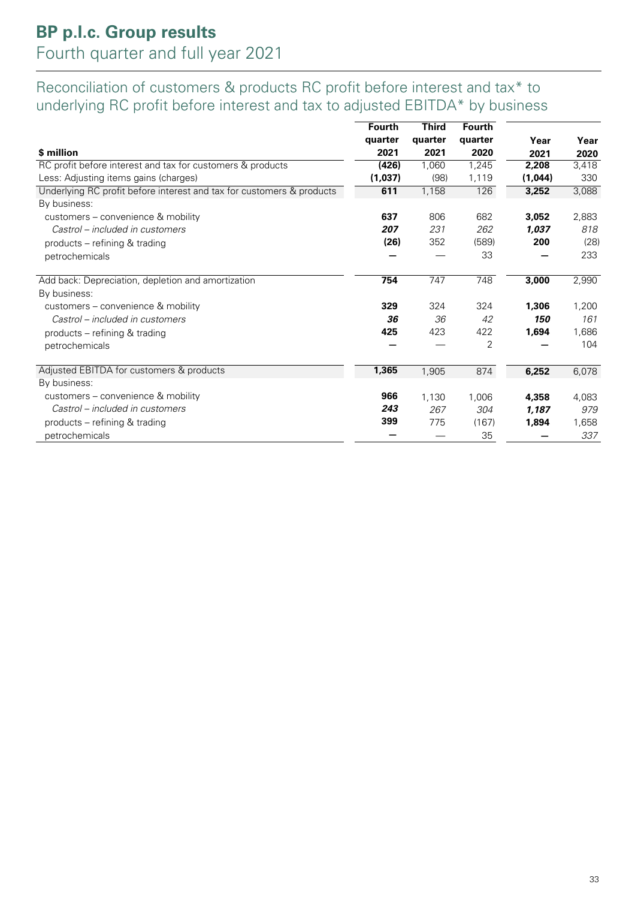## **BP p.l.c. Group results** Fourth quarter and full year 2021

### Reconciliation of customers & products RC profit before interest and tax\* to underlying RC profit before interest and tax to adjusted EBITDA\* by business

|                                                                       | <b>Fourth</b> | <b>Third</b> | <b>Fourth</b> |         |       |
|-----------------------------------------------------------------------|---------------|--------------|---------------|---------|-------|
|                                                                       | quarter       | quarter      | quarter       | Year    | Year  |
| \$ million                                                            | 2021          | 2021         | 2020          | 2021    | 2020  |
| RC profit before interest and tax for customers & products            | (426)         | 1,060        | 1,245         | 2,208   | 3,418 |
| Less: Adjusting items gains (charges)                                 | (1,037)       | (98)         | 1,119         | (1,044) | 330   |
| Underlying RC profit before interest and tax for customers & products | 611           | 1,158        | 126           | 3,252   | 3,088 |
| By business:                                                          |               |              |               |         |       |
| customers - convenience & mobility                                    | 637           | 806          | 682           | 3,052   | 2,883 |
| Castrol – included in customers                                       | 207           | 231          | 262           | 1,037   | 818   |
| products – refining & trading                                         | (26)          | 352          | (589)         | 200     | (28)  |
| petrochemicals                                                        |               |              | 33            |         | 233   |
| Add back: Depreciation, depletion and amortization                    | 754           | 747          | 748           | 3,000   | 2,990 |
| By business:                                                          |               |              |               |         |       |
| customers - convenience & mobility                                    | 329           | 324          | 324           | 1,306   | 1,200 |
| Castrol – included in customers                                       | 36            | 36           | 42            | 150     | 161   |
| products – refining & trading                                         | 425           | 423          | 422           | 1,694   | 1,686 |
| petrochemicals                                                        |               |              | 2             |         | 104   |
| Adjusted EBITDA for customers & products                              | 1,365         | 1,905        | 874           | 6,252   | 6,078 |
| By business:                                                          |               |              |               |         |       |
| customers - convenience & mobility                                    | 966           | 1,130        | 1,006         | 4,358   | 4,083 |
| Castrol – included in customers                                       | 243           | 267          | 304           | 1.187   | 979   |
| products – refining & trading                                         | 399           | 775          | (167)         | 1,894   | 1,658 |
| petrochemicals                                                        |               |              | 35            |         | 337   |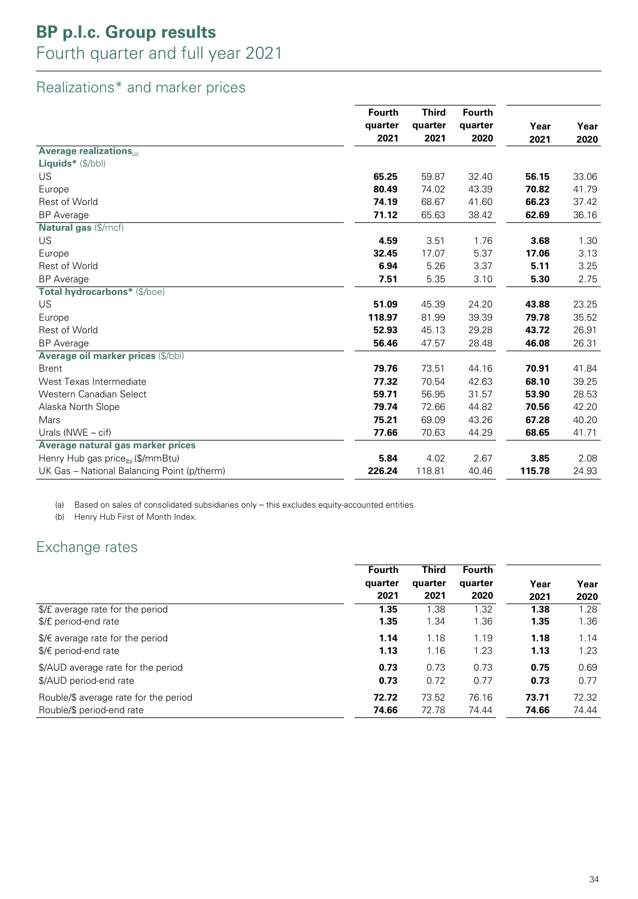## **BP p.l.c. Group results**

## Fourth quarter and full year 2021

## Realizations\* and marker prices

|                                             | Fourth<br>quarter | <b>Third</b> | <b>Fourth</b> |         |       |
|---------------------------------------------|-------------------|--------------|---------------|---------|-------|
|                                             |                   |              | quarter       | quarter | Year  |
|                                             | 2021              | 2021         | 2020          | 2021    | 2020  |
| <b>Average realizations</b>                 |                   |              |               |         |       |
| <b>Liquids</b> * $(\frac{f}{b})$            |                   |              |               |         |       |
| US                                          | 65.25             | 59.87        | 32.40         | 56.15   | 33.06 |
| Europe                                      | 80.49             | 74.02        | 43.39         | 70.82   | 41.79 |
| <b>Rest of World</b>                        | 74.19             | 68.67        | 41.60         | 66.23   | 37.42 |
| <b>BP</b> Average                           | 71.12             | 65.63        | 38.42         | 62.69   | 36.16 |
| Natural gas (\$/mcf)                        |                   |              |               |         |       |
| <b>US</b>                                   | 4.59              | 3.51         | 1.76          | 3.68    | 1.30  |
| Europe                                      | 32.45             | 17.07        | 5.37          | 17.06   | 3.13  |
| <b>Rest of World</b>                        | 6.94              | 5.26         | 3.37          | 5.11    | 3.25  |
| <b>BP</b> Average                           | 7.51              | 5.35         | 3.10          | 5.30    | 2.75  |
| Total hydrocarbons* (\$/boe)                |                   |              |               |         |       |
| US                                          | 51.09             | 45.39        | 24.20         | 43.88   | 23.25 |
| Europe                                      | 118.97            | 81.99        | 39.39         | 79.78   | 35.52 |
| <b>Rest of World</b>                        | 52.93             | 45.13        | 29.28         | 43.72   | 26.91 |
| <b>BP</b> Average                           | 56.46             | 47.57        | 28.48         | 46.08   | 26.31 |
| Average oil marker prices (\$/bbl)          |                   |              |               |         |       |
| <b>Brent</b>                                | 79.76             | 73.51        | 44.16         | 70.91   | 41.84 |
| West Texas Intermediate                     | 77.32             | 70.54        | 42.63         | 68.10   | 39.25 |
| Western Canadian Select                     | 59.71             | 56.95        | 31.57         | 53.90   | 28.53 |
| Alaska North Slope                          | 79.74             | 72.66        | 44.82         | 70.56   | 42.20 |
| Mars                                        | 75.21             | 69.09        | 43.26         | 67.28   | 40.20 |
| Urals ( $NWE - \text{cif}$ )                | 77.66             | 70.63        | 44.29         | 68.65   | 41.71 |
| Average natural gas marker prices           |                   |              |               |         |       |
| Henry Hub gas price $_{(b)}$ (\$/mmBtu)     | 5.84              | 4.02         | 2.67          | 3.85    | 2.08  |
| UK Gas - National Balancing Point (p/therm) | 226.24            | 118.81       | 40.46         | 115.78  | 24.93 |

(a) Based on sales of consolidated subsidiaries only – this excludes equity-accounted entities.

(b) Henry Hub First of Month Index.

### Exchange rates

|                                           | Fourth<br>quarter<br>2021 | <b>Third</b><br>quarter<br>2021 | <b>Fourth</b><br>quarter<br>2020 | Year<br>2021 | Year<br>2020 |
|-------------------------------------------|---------------------------|---------------------------------|----------------------------------|--------------|--------------|
| \$/£ average rate for the period          | 1.35                      | 1.38                            | 1.32                             | 1.38         | 1.28         |
| \$/£ period-end rate                      | 1.35                      | 1.34                            | 1.36                             | 1.35         | 1.36         |
| $\frac{1}{2}$ average rate for the period | 1.14                      | 1.18                            | 1.19                             | 1.18         | 1.14         |
| $\frac{1}{2}$ period-end rate             | 1.13                      | 1.16                            | 1.23                             | 1.13         | 1.23         |
| \$/AUD average rate for the period        | 0.73                      | 0.73                            | 0.73                             | 0.75         | 0.69         |
| \$/AUD period-end rate                    | 0.73                      | 0.72                            | 0.77                             | 0.73         | 0.77         |
| Rouble/\$ average rate for the period     | 72.72                     | 73.52                           | 76.16                            | 73.71        | 72.32        |
| Rouble/\$ period-end rate                 | 74.66                     | 72.78                           | 74.44                            | 74.66        | 74.44        |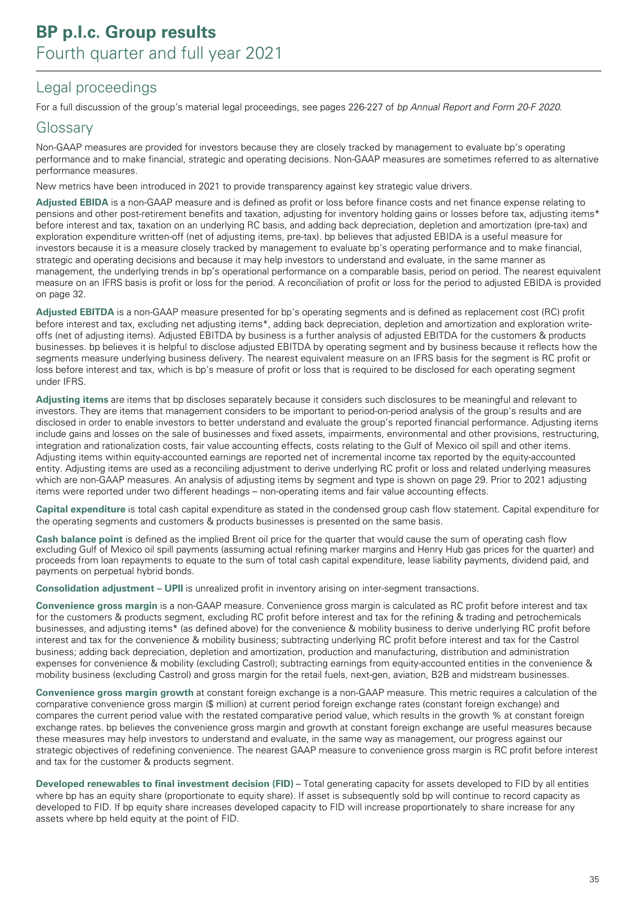### Legal proceedings

For a full discussion of the group's material legal proceedings, see pages 226-227 of bp Annual Report and Form 20-F 2020.

### Glossary

Non-GAAP measures are provided for investors because they are closely tracked by management to evaluate bp's operating performance and to make financial, strategic and operating decisions. Non-GAAP measures are sometimes referred to as alternative performance measures.

New metrics have been introduced in 2021 to provide transparency against key strategic value drivers.

**Adjusted EBIDA** is a non-GAAP measure and is defined as profit or loss before finance costs and net finance expense relating to pensions and other post-retirement benefits and taxation, adjusting for inventory holding gains or losses before tax, adjusting items\* before interest and tax, taxation on an underlying RC basis, and adding back depreciation, depletion and amortization (pre-tax) and exploration expenditure written-off (net of adjusting items, pre-tax). bp believes that adjusted EBIDA is a useful measure for investors because it is a measure closely tracked by management to evaluate bp's operating performance and to make financial, strategic and operating decisions and because it may help investors to understand and evaluate, in the same manner as management, the underlying trends in bp's operational performance on a comparable basis, period on period. The nearest equivalent measure on an IFRS basis is profit or loss for the period. A reconciliation of profit or loss for the period to adjusted EBIDA is provided on page 32.

**Adjusted EBITDA** is a non-GAAP measure presented for bp's operating segments and is defined as replacement cost (RC) profit before interest and tax, excluding net adjusting items\*, adding back depreciation, depletion and amortization and exploration writeoffs (net of adjusting items). Adjusted EBITDA by business is a further analysis of adjusted EBITDA for the customers & products businesses. bp believes it is helpful to disclose adjusted EBITDA by operating segment and by business because it reflects how the segments measure underlying business delivery. The nearest equivalent measure on an IFRS basis for the segment is RC profit or loss before interest and tax, which is bp's measure of profit or loss that is required to be disclosed for each operating segment under IFRS.

**Adjusting items** are items that bp discloses separately because it considers such disclosures to be meaningful and relevant to investors. They are items that management considers to be important to period-on-period analysis of the group's results and are disclosed in order to enable investors to better understand and evaluate the group's reported financial performance. Adjusting items include gains and losses on the sale of businesses and fixed assets, impairments, environmental and other provisions, restructuring, integration and rationalization costs, fair value accounting effects, costs relating to the Gulf of Mexico oil spill and other items. Adjusting items within equity-accounted earnings are reported net of incremental income tax reported by the equity-accounted entity. Adjusting items are used as a reconciling adjustment to derive underlying RC profit or loss and related underlying measures which are non-GAAP measures. An analysis of adjusting items by segment and type is shown on page 29. Prior to 2021 adjusting items were reported under two different headings – non-operating items and fair value accounting effects.

**Capital expenditure** is total cash capital expenditure as stated in the condensed group cash flow statement. Capital expenditure for the operating segments and customers & products businesses is presented on the same basis.

**Cash balance point** is defined as the implied Brent oil price for the quarter that would cause the sum of operating cash flow excluding Gulf of Mexico oil spill payments (assuming actual refining marker margins and Henry Hub gas prices for the quarter) and proceeds from loan repayments to equate to the sum of total cash capital expenditure, lease liability payments, dividend paid, and payments on perpetual hybrid bonds.

**Consolidation adjustment – UPII** is unrealized profit in inventory arising on inter-segment transactions.

**Convenience gross margin** is a non-GAAP measure. Convenience gross margin is calculated as RC profit before interest and tax for the customers & products segment, excluding RC profit before interest and tax for the refining & trading and petrochemicals businesses, and adjusting items\* (as defined above) for the convenience & mobility business to derive underlying RC profit before interest and tax for the convenience & mobility business; subtracting underlying RC profit before interest and tax for the Castrol business; adding back depreciation, depletion and amortization, production and manufacturing, distribution and administration expenses for convenience & mobility (excluding Castrol); subtracting earnings from equity-accounted entities in the convenience & mobility business (excluding Castrol) and gross margin for the retail fuels, next-gen, aviation, B2B and midstream businesses.

**Convenience gross margin growth** at constant foreign exchange is a non-GAAP measure. This metric requires a calculation of the comparative convenience gross margin (\$ million) at current period foreign exchange rates (constant foreign exchange) and compares the current period value with the restated comparative period value, which results in the growth % at constant foreign exchange rates. bp believes the convenience gross margin and growth at constant foreign exchange are useful measures because these measures may help investors to understand and evaluate, in the same way as management, our progress against our strategic objectives of redefining convenience. The nearest GAAP measure to convenience gross margin is RC profit before interest and tax for the customer & products segment.

**Developed renewables to final investment decision (FID)** – Total generating capacity for assets developed to FID by all entities where bp has an equity share (proportionate to equity share). If asset is subsequently sold bp will continue to record capacity as developed to FID. If bp equity share increases developed capacity to FID will increase proportionately to share increase for any assets where bp held equity at the point of FID.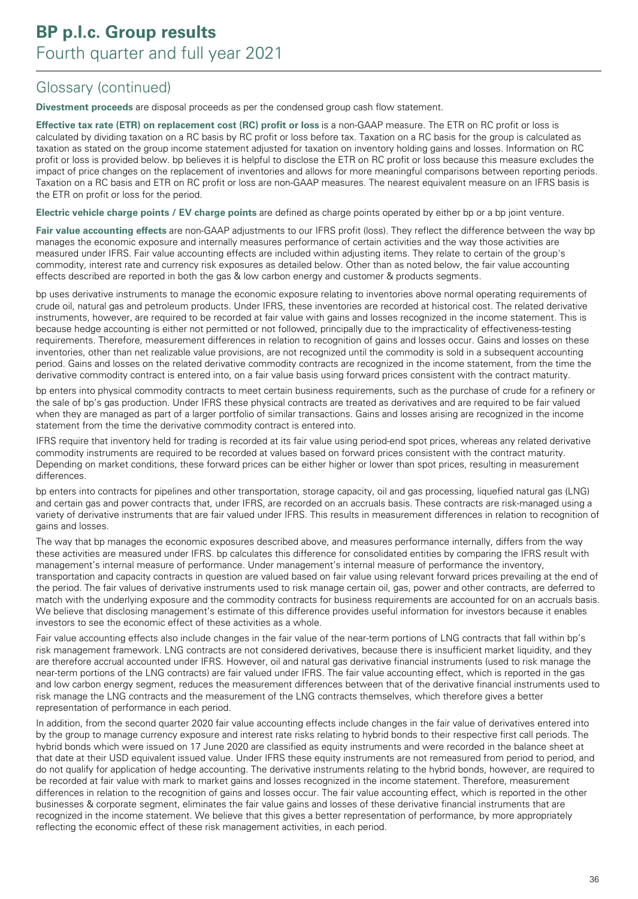**Divestment proceeds** are disposal proceeds as per the condensed group cash flow statement.

**Effective tax rate (ETR) on replacement cost (RC) profit or loss** is a non-GAAP measure. The ETR on RC profit or loss is calculated by dividing taxation on a RC basis by RC profit or loss before tax. Taxation on a RC basis for the group is calculated as taxation as stated on the group income statement adjusted for taxation on inventory holding gains and losses. Information on RC profit or loss is provided below. bp believes it is helpful to disclose the ETR on RC profit or loss because this measure excludes the impact of price changes on the replacement of inventories and allows for more meaningful comparisons between reporting periods. Taxation on a RC basis and ETR on RC profit or loss are non-GAAP measures. The nearest equivalent measure on an IFRS basis is the ETR on profit or loss for the period.

**Electric vehicle charge points / EV charge points** are defined as charge points operated by either bp or a bp joint venture.

**Fair value accounting effects** are non-GAAP adjustments to our IFRS profit (loss). They reflect the difference between the way bp manages the economic exposure and internally measures performance of certain activities and the way those activities are measured under IFRS. Fair value accounting effects are included within adjusting items. They relate to certain of the group's commodity, interest rate and currency risk exposures as detailed below. Other than as noted below, the fair value accounting effects described are reported in both the gas & low carbon energy and customer & products segments.

bp uses derivative instruments to manage the economic exposure relating to inventories above normal operating requirements of crude oil, natural gas and petroleum products. Under IFRS, these inventories are recorded at historical cost. The related derivative instruments, however, are required to be recorded at fair value with gains and losses recognized in the income statement. This is because hedge accounting is either not permitted or not followed, principally due to the impracticality of effectiveness-testing requirements. Therefore, measurement differences in relation to recognition of gains and losses occur. Gains and losses on these inventories, other than net realizable value provisions, are not recognized until the commodity is sold in a subsequent accounting period. Gains and losses on the related derivative commodity contracts are recognized in the income statement, from the time the derivative commodity contract is entered into, on a fair value basis using forward prices consistent with the contract maturity.

bp enters into physical commodity contracts to meet certain business requirements, such as the purchase of crude for a refinery or the sale of bp's gas production. Under IFRS these physical contracts are treated as derivatives and are required to be fair valued when they are managed as part of a larger portfolio of similar transactions. Gains and losses arising are recognized in the income statement from the time the derivative commodity contract is entered into.

IFRS require that inventory held for trading is recorded at its fair value using period-end spot prices, whereas any related derivative commodity instruments are required to be recorded at values based on forward prices consistent with the contract maturity. Depending on market conditions, these forward prices can be either higher or lower than spot prices, resulting in measurement differences.

bp enters into contracts for pipelines and other transportation, storage capacity, oil and gas processing, liquefied natural gas (LNG) and certain gas and power contracts that, under IFRS, are recorded on an accruals basis. These contracts are risk-managed using a variety of derivative instruments that are fair valued under IFRS. This results in measurement differences in relation to recognition of gains and losses.

The way that bp manages the economic exposures described above, and measures performance internally, differs from the way these activities are measured under IFRS. bp calculates this difference for consolidated entities by comparing the IFRS result with management's internal measure of performance. Under management's internal measure of performance the inventory, transportation and capacity contracts in question are valued based on fair value using relevant forward prices prevailing at the end of the period. The fair values of derivative instruments used to risk manage certain oil, gas, power and other contracts, are deferred to match with the underlying exposure and the commodity contracts for business requirements are accounted for on an accruals basis. We believe that disclosing management's estimate of this difference provides useful information for investors because it enables investors to see the economic effect of these activities as a whole.

Fair value accounting effects also include changes in the fair value of the near-term portions of LNG contracts that fall within bp's risk management framework. LNG contracts are not considered derivatives, because there is insufficient market liquidity, and they are therefore accrual accounted under IFRS. However, oil and natural gas derivative financial instruments (used to risk manage the near-term portions of the LNG contracts) are fair valued under IFRS. The fair value accounting effect, which is reported in the gas and low carbon energy segment, reduces the measurement differences between that of the derivative financial instruments used to risk manage the LNG contracts and the measurement of the LNG contracts themselves, which therefore gives a better representation of performance in each period.

In addition, from the second quarter 2020 fair value accounting effects include changes in the fair value of derivatives entered into by the group to manage currency exposure and interest rate risks relating to hybrid bonds to their respective first call periods. The hybrid bonds which were issued on 17 June 2020 are classified as equity instruments and were recorded in the balance sheet at that date at their USD equivalent issued value. Under IFRS these equity instruments are not remeasured from period to period, and do not qualify for application of hedge accounting. The derivative instruments relating to the hybrid bonds, however, are required to be recorded at fair value with mark to market gains and losses recognized in the income statement. Therefore, measurement differences in relation to the recognition of gains and losses occur. The fair value accounting effect, which is reported in the other businesses & corporate segment, eliminates the fair value gains and losses of these derivative financial instruments that are recognized in the income statement. We believe that this gives a better representation of performance, by more appropriately reflecting the economic effect of these risk management activities, in each period.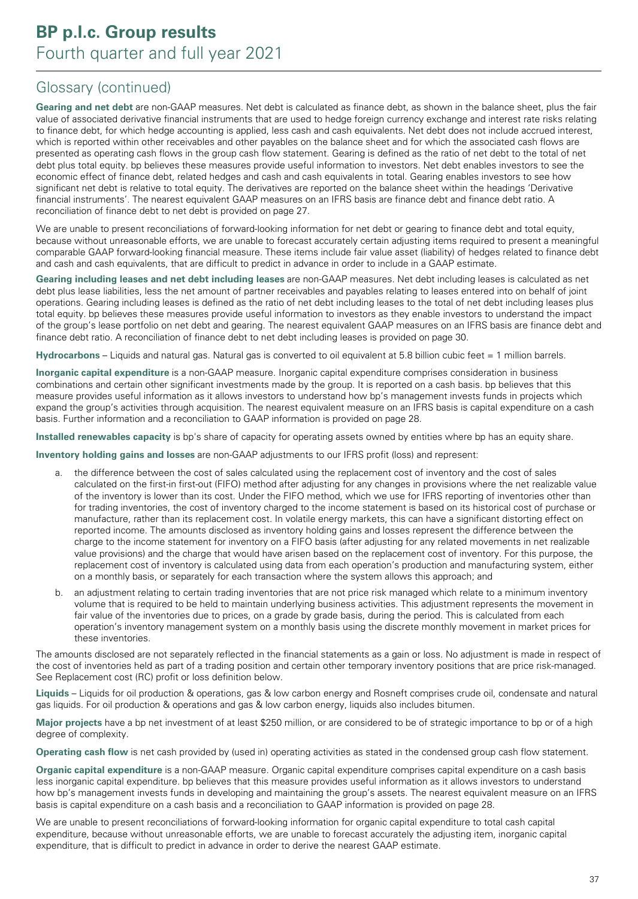**Gearing and net debt** are non-GAAP measures. Net debt is calculated as finance debt, as shown in the balance sheet, plus the fair value of associated derivative financial instruments that are used to hedge foreign currency exchange and interest rate risks relating to finance debt, for which hedge accounting is applied, less cash and cash equivalents. Net debt does not include accrued interest, which is reported within other receivables and other payables on the balance sheet and for which the associated cash flows are presented as operating cash flows in the group cash flow statement. Gearing is defined as the ratio of net debt to the total of net debt plus total equity. bp believes these measures provide useful information to investors. Net debt enables investors to see the economic effect of finance debt, related hedges and cash and cash equivalents in total. Gearing enables investors to see how significant net debt is relative to total equity. The derivatives are reported on the balance sheet within the headings 'Derivative financial instruments'. The nearest equivalent GAAP measures on an IFRS basis are finance debt and finance debt ratio. A reconciliation of finance debt to net debt is provided on page 27.

We are unable to present reconciliations of forward-looking information for net debt or gearing to finance debt and total equity, because without unreasonable efforts, we are unable to forecast accurately certain adjusting items required to present a meaningful comparable GAAP forward-looking financial measure. These items include fair value asset (liability) of hedges related to finance debt and cash and cash equivalents, that are difficult to predict in advance in order to include in a GAAP estimate.

**Gearing including leases and net debt including leases** are non-GAAP measures. Net debt including leases is calculated as net debt plus lease liabilities, less the net amount of partner receivables and payables relating to leases entered into on behalf of joint operations. Gearing including leases is defined as the ratio of net debt including leases to the total of net debt including leases plus total equity. bp believes these measures provide useful information to investors as they enable investors to understand the impact of the group's lease portfolio on net debt and gearing. The nearest equivalent GAAP measures on an IFRS basis are finance debt and finance debt ratio. A reconciliation of finance debt to net debt including leases is provided on page 30.

**Hydrocarbons** – Liquids and natural gas. Natural gas is converted to oil equivalent at 5.8 billion cubic feet = 1 million barrels.

**Inorganic capital expenditure** is a non-GAAP measure. Inorganic capital expenditure comprises consideration in business combinations and certain other significant investments made by the group. It is reported on a cash basis. bp believes that this measure provides useful information as it allows investors to understand how bp's management invests funds in projects which expand the group's activities through acquisition. The nearest equivalent measure on an IFRS basis is capital expenditure on a cash basis. Further information and a reconciliation to GAAP information is provided on page 28.

**Installed renewables capacity** is bp's share of capacity for operating assets owned by entities where bp has an equity share.

**Inventory holding gains and losses** are non-GAAP adjustments to our IFRS profit (loss) and represent:

- a. the difference between the cost of sales calculated using the replacement cost of inventory and the cost of sales calculated on the first-in first-out (FIFO) method after adjusting for any changes in provisions where the net realizable value of the inventory is lower than its cost. Under the FIFO method, which we use for IFRS reporting of inventories other than for trading inventories, the cost of inventory charged to the income statement is based on its historical cost of purchase or manufacture, rather than its replacement cost. In volatile energy markets, this can have a significant distorting effect on reported income. The amounts disclosed as inventory holding gains and losses represent the difference between the charge to the income statement for inventory on a FIFO basis (after adjusting for any related movements in net realizable value provisions) and the charge that would have arisen based on the replacement cost of inventory. For this purpose, the replacement cost of inventory is calculated using data from each operation's production and manufacturing system, either on a monthly basis, or separately for each transaction where the system allows this approach; and
- b. an adjustment relating to certain trading inventories that are not price risk managed which relate to a minimum inventory volume that is required to be held to maintain underlying business activities. This adjustment represents the movement in fair value of the inventories due to prices, on a grade by grade basis, during the period. This is calculated from each operation's inventory management system on a monthly basis using the discrete monthly movement in market prices for these inventories.

The amounts disclosed are not separately reflected in the financial statements as a gain or loss. No adjustment is made in respect of the cost of inventories held as part of a trading position and certain other temporary inventory positions that are price risk-managed. See Replacement cost (RC) profit or loss definition below.

**Liquids** – Liquids for oil production & operations, gas & low carbon energy and Rosneft comprises crude oil, condensate and natural gas liquids. For oil production & operations and gas & low carbon energy, liquids also includes bitumen.

**Major projects** have a bp net investment of at least \$250 million, or are considered to be of strategic importance to bp or of a high degree of complexity.

**Operating cash flow** is net cash provided by (used in) operating activities as stated in the condensed group cash flow statement.

**Organic capital expenditure** is a non-GAAP measure. Organic capital expenditure comprises capital expenditure on a cash basis less inorganic capital expenditure. bp believes that this measure provides useful information as it allows investors to understand how bp's management invests funds in developing and maintaining the group's assets. The nearest equivalent measure on an IFRS basis is capital expenditure on a cash basis and a reconciliation to GAAP information is provided on page 28.

We are unable to present reconciliations of forward-looking information for organic capital expenditure to total cash capital expenditure, because without unreasonable efforts, we are unable to forecast accurately the adjusting item, inorganic capital expenditure, that is difficult to predict in advance in order to derive the nearest GAAP estimate.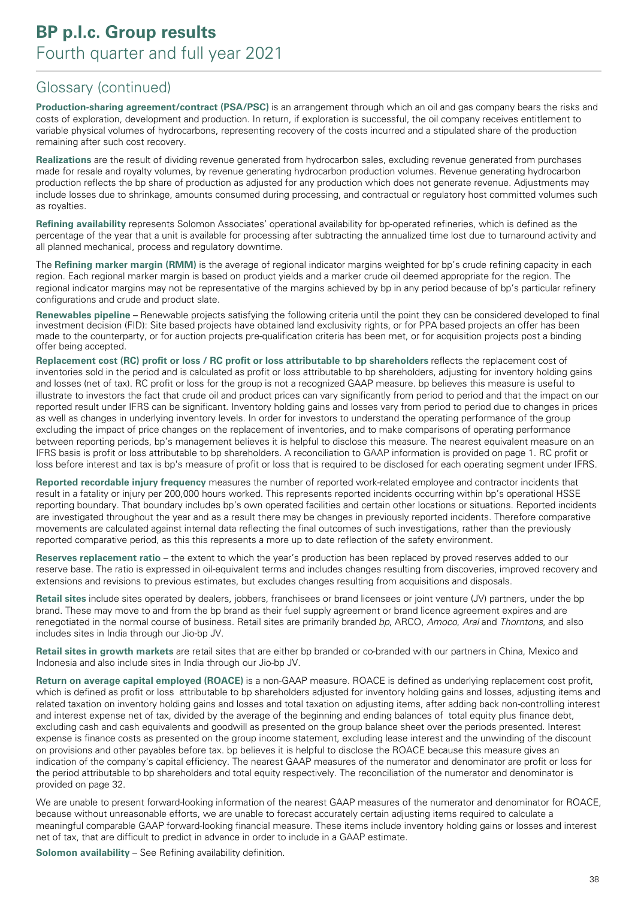**Production-sharing agreement/contract (PSA/PSC)** is an arrangement through which an oil and gas company bears the risks and costs of exploration, development and production. In return, if exploration is successful, the oil company receives entitlement to variable physical volumes of hydrocarbons, representing recovery of the costs incurred and a stipulated share of the production remaining after such cost recovery.

**Realizations** are the result of dividing revenue generated from hydrocarbon sales, excluding revenue generated from purchases made for resale and royalty volumes, by revenue generating hydrocarbon production volumes. Revenue generating hydrocarbon production reflects the bp share of production as adjusted for any production which does not generate revenue. Adjustments may include losses due to shrinkage, amounts consumed during processing, and contractual or regulatory host committed volumes such as royalties.

**Refining availability** represents Solomon Associates' operational availability for bp-operated refineries, which is defined as the percentage of the year that a unit is available for processing after subtracting the annualized time lost due to turnaround activity and all planned mechanical, process and regulatory downtime.

The **Refining marker margin (RMM)** is the average of regional indicator margins weighted for bp's crude refining capacity in each region. Each regional marker margin is based on product yields and a marker crude oil deemed appropriate for the region. The regional indicator margins may not be representative of the margins achieved by bp in any period because of bp's particular refinery configurations and crude and product slate.

**Renewables pipeline** – Renewable projects satisfying the following criteria until the point they can be considered developed to final investment decision (FID): Site based projects have obtained land exclusivity rights, or for PPA based projects an offer has been made to the counterparty, or for auction projects pre-qualification criteria has been met, or for acquisition projects post a binding offer being accepted.

**Replacement cost (RC) profit or loss / RC profit or loss attributable to bp shareholders** reflects the replacement cost of inventories sold in the period and is calculated as profit or loss attributable to bp shareholders, adjusting for inventory holding gains and losses (net of tax). RC profit or loss for the group is not a recognized GAAP measure. bp believes this measure is useful to illustrate to investors the fact that crude oil and product prices can vary significantly from period to period and that the impact on our reported result under IFRS can be significant. Inventory holding gains and losses vary from period to period due to changes in prices as well as changes in underlying inventory levels. In order for investors to understand the operating performance of the group excluding the impact of price changes on the replacement of inventories, and to make comparisons of operating performance between reporting periods, bp's management believes it is helpful to disclose this measure. The nearest equivalent measure on an IFRS basis is profit or loss attributable to bp shareholders. A reconciliation to GAAP information is provided on page 1. RC profit or loss before interest and tax is bp's measure of profit or loss that is required to be disclosed for each operating segment under IFRS.

**Reported recordable injury frequency** measures the number of reported work-related employee and contractor incidents that result in a fatality or injury per 200,000 hours worked. This represents reported incidents occurring within bp's operational HSSE reporting boundary. That boundary includes bp's own operated facilities and certain other locations or situations. Reported incidents are investigated throughout the year and as a result there may be changes in previously reported incidents. Therefore comparative movements are calculated against internal data reflecting the final outcomes of such investigations, rather than the previously reported comparative period, as this this represents a more up to date reflection of the safety environment.

**Reserves replacement ratio** – the extent to which the year's production has been replaced by proved reserves added to our reserve base. The ratio is expressed in oil-equivalent terms and includes changes resulting from discoveries, improved recovery and extensions and revisions to previous estimates, but excludes changes resulting from acquisitions and disposals.

**Retail sites** include sites operated by dealers, jobbers, franchisees or brand licensees or joint venture (JV) partners, under the bp brand. These may move to and from the bp brand as their fuel supply agreement or brand licence agreement expires and are renegotiated in the normal course of business. Retail sites are primarily branded bp, ARCO, Amoco, Aral and Thorntons, and also includes sites in India through our Jio-bp JV.

**Retail sites in growth markets** are retail sites that are either bp branded or co-branded with our partners in China, Mexico and Indonesia and also include sites in India through our Jio-bp JV.

**Return on average capital employed (ROACE)** is a non-GAAP measure. ROACE is defined as underlying replacement cost profit, which is defined as profit or loss attributable to bp shareholders adjusted for inventory holding gains and losses, adjusting items and related taxation on inventory holding gains and losses and total taxation on adjusting items, after adding back non-controlling interest and interest expense net of tax, divided by the average of the beginning and ending balances of total equity plus finance debt, excluding cash and cash equivalents and goodwill as presented on the group balance sheet over the periods presented. Interest expense is finance costs as presented on the group income statement, excluding lease interest and the unwinding of the discount on provisions and other payables before tax. bp believes it is helpful to disclose the ROACE because this measure gives an indication of the company's capital efficiency. The nearest GAAP measures of the numerator and denominator are profit or loss for the period attributable to bp shareholders and total equity respectively. The reconciliation of the numerator and denominator is provided on page 32.

We are unable to present forward-looking information of the nearest GAAP measures of the numerator and denominator for ROACE, because without unreasonable efforts, we are unable to forecast accurately certain adjusting items required to calculate a meaningful comparable GAAP forward-looking financial measure. These items include inventory holding gains or losses and interest net of tax, that are difficult to predict in advance in order to include in a GAAP estimate.

**Solomon availability** – See Refining availability definition.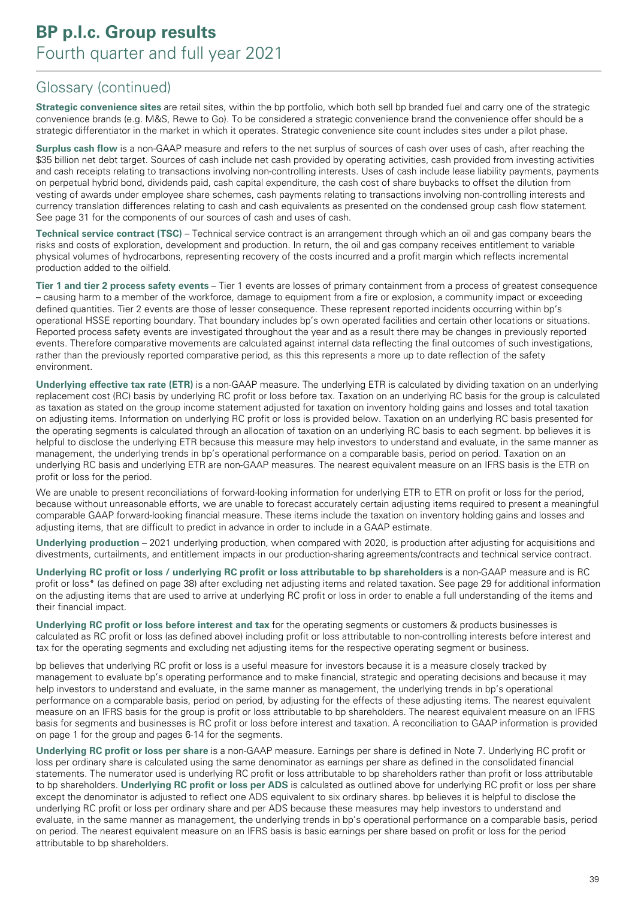**Strategic convenience sites** are retail sites, within the bp portfolio, which both sell bp branded fuel and carry one of the strategic convenience brands (e.g. M&S, Rewe to Go). To be considered a strategic convenience brand the convenience offer should be a strategic differentiator in the market in which it operates. Strategic convenience site count includes sites under a pilot phase.

**Surplus cash flow** is a non-GAAP measure and refers to the net surplus of sources of cash over uses of cash, after reaching the \$35 billion net debt target. Sources of cash include net cash provided by operating activities, cash provided from investing activities and cash receipts relating to transactions involving non-controlling interests. Uses of cash include lease liability payments, payments on perpetual hybrid bond, dividends paid, cash capital expenditure, the cash cost of share buybacks to offset the dilution from vesting of awards under employee share schemes, cash payments relating to transactions involving non-controlling interests and currency translation differences relating to cash and cash equivalents as presented on the condensed group cash flow statement. See page 31 for the components of our sources of cash and uses of cash.

**Technical service contract (TSC)** – Technical service contract is an arrangement through which an oil and gas company bears the risks and costs of exploration, development and production. In return, the oil and gas company receives entitlement to variable physical volumes of hydrocarbons, representing recovery of the costs incurred and a profit margin which reflects incremental production added to the oilfield.

**Tier 1 and tier 2 process safety events** – Tier 1 events are losses of primary containment from a process of greatest consequence – causing harm to a member of the workforce, damage to equipment from a fire or explosion, a community impact or exceeding defined quantities. Tier 2 events are those of lesser consequence. These represent reported incidents occurring within bp's operational HSSE reporting boundary. That boundary includes bp's own operated facilities and certain other locations or situations. Reported process safety events are investigated throughout the year and as a result there may be changes in previously reported events. Therefore comparative movements are calculated against internal data reflecting the final outcomes of such investigations, rather than the previously reported comparative period, as this this represents a more up to date reflection of the safety environment.

**Underlying effective tax rate (ETR)** is a non-GAAP measure. The underlying ETR is calculated by dividing taxation on an underlying replacement cost (RC) basis by underlying RC profit or loss before tax. Taxation on an underlying RC basis for the group is calculated as taxation as stated on the group income statement adjusted for taxation on inventory holding gains and losses and total taxation on adjusting items. Information on underlying RC profit or loss is provided below. Taxation on an underlying RC basis presented for the operating segments is calculated through an allocation of taxation on an underlying RC basis to each segment. bp believes it is helpful to disclose the underlying ETR because this measure may help investors to understand and evaluate, in the same manner as management, the underlying trends in bp's operational performance on a comparable basis, period on period. Taxation on an underlying RC basis and underlying ETR are non-GAAP measures. The nearest equivalent measure on an IFRS basis is the ETR on profit or loss for the period.

We are unable to present reconciliations of forward-looking information for underlying ETR to ETR on profit or loss for the period, because without unreasonable efforts, we are unable to forecast accurately certain adjusting items required to present a meaningful comparable GAAP forward-looking financial measure. These items include the taxation on inventory holding gains and losses and adjusting items, that are difficult to predict in advance in order to include in a GAAP estimate.

**Underlying production** – 2021 underlying production, when compared with 2020, is production after adjusting for acquisitions and divestments, curtailments, and entitlement impacts in our production-sharing agreements/contracts and technical service contract.

**Underlying RC profit or loss / underlying RC profit or loss attributable to bp shareholders** is a non-GAAP measure and is RC profit or loss\* (as defined on page 38) after excluding net adjusting items and related taxation. See page 29 for additional information on the adjusting items that are used to arrive at underlying RC profit or loss in order to enable a full understanding of the items and their financial impact.

**Underlying RC profit or loss before interest and tax** for the operating segments or customers & products businesses is calculated as RC profit or loss (as defined above) including profit or loss attributable to non-controlling interests before interest and tax for the operating segments and excluding net adjusting items for the respective operating segment or business.

bp believes that underlying RC profit or loss is a useful measure for investors because it is a measure closely tracked by management to evaluate bp's operating performance and to make financial, strategic and operating decisions and because it may help investors to understand and evaluate, in the same manner as management, the underlying trends in bp's operational performance on a comparable basis, period on period, by adjusting for the effects of these adjusting items. The nearest equivalent measure on an IFRS basis for the group is profit or loss attributable to bp shareholders. The nearest equivalent measure on an IFRS basis for segments and businesses is RC profit or loss before interest and taxation. A reconciliation to GAAP information is provided on page 1 for the group and pages 6-14 for the segments.

**Underlying RC profit or loss per share** is a non-GAAP measure. Earnings per share is defined in Note 7. Underlying RC profit or loss per ordinary share is calculated using the same denominator as earnings per share as defined in the consolidated financial statements. The numerator used is underlying RC profit or loss attributable to bp shareholders rather than profit or loss attributable to bp shareholders. **Underlying RC profit or loss per ADS** is calculated as outlined above for underlying RC profit or loss per share except the denominator is adjusted to reflect one ADS equivalent to six ordinary shares. bp believes it is helpful to disclose the underlying RC profit or loss per ordinary share and per ADS because these measures may help investors to understand and evaluate, in the same manner as management, the underlying trends in bp's operational performance on a comparable basis, period on period. The nearest equivalent measure on an IFRS basis is basic earnings per share based on profit or loss for the period attributable to bp shareholders.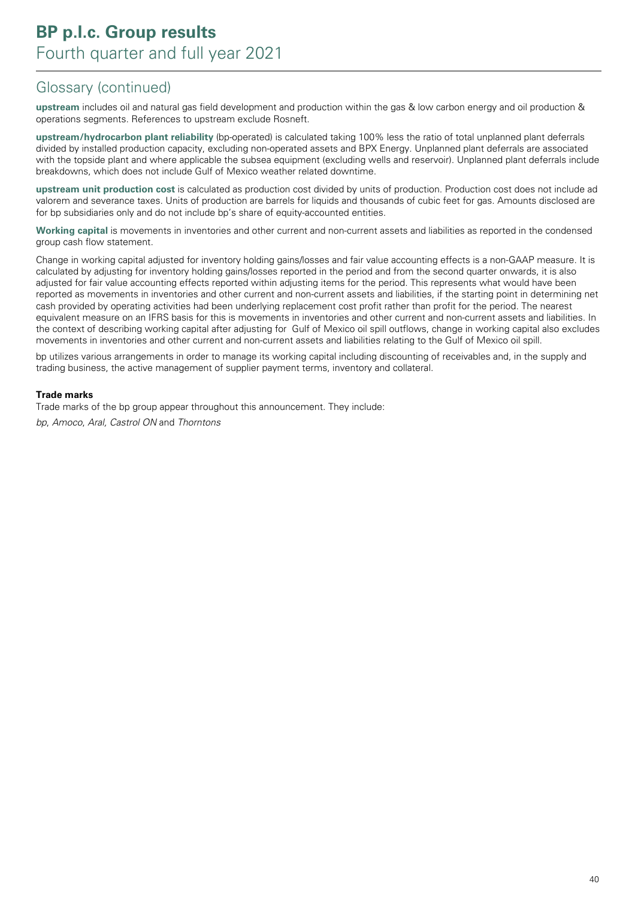**upstream** includes oil and natural gas field development and production within the gas & low carbon energy and oil production & operations segments. References to upstream exclude Rosneft.

**upstream/hydrocarbon plant reliability** (bp-operated) is calculated taking 100% less the ratio of total unplanned plant deferrals divided by installed production capacity, excluding non-operated assets and BPX Energy. Unplanned plant deferrals are associated with the topside plant and where applicable the subsea equipment (excluding wells and reservoir). Unplanned plant deferrals include breakdowns, which does not include Gulf of Mexico weather related downtime.

**upstream unit production cost** is calculated as production cost divided by units of production. Production cost does not include ad valorem and severance taxes. Units of production are barrels for liquids and thousands of cubic feet for gas. Amounts disclosed are for bp subsidiaries only and do not include bp's share of equity-accounted entities.

**Working capital** is movements in inventories and other current and non-current assets and liabilities as reported in the condensed group cash flow statement.

Change in working capital adjusted for inventory holding gains/losses and fair value accounting effects is a non-GAAP measure. It is calculated by adjusting for inventory holding gains/losses reported in the period and from the second quarter onwards, it is also adjusted for fair value accounting effects reported within adjusting items for the period. This represents what would have been reported as movements in inventories and other current and non-current assets and liabilities, if the starting point in determining net cash provided by operating activities had been underlying replacement cost profit rather than profit for the period. The nearest equivalent measure on an IFRS basis for this is movements in inventories and other current and non-current assets and liabilities. In the context of describing working capital after adjusting for Gulf of Mexico oil spill outflows, change in working capital also excludes movements in inventories and other current and non-current assets and liabilities relating to the Gulf of Mexico oil spill.

bp utilizes various arrangements in order to manage its working capital including discounting of receivables and, in the supply and trading business, the active management of supplier payment terms, inventory and collateral.

#### **Trade marks**

Trade marks of the bp group appear throughout this announcement. They include: bp, Amoco, Aral, Castrol ON and Thorntons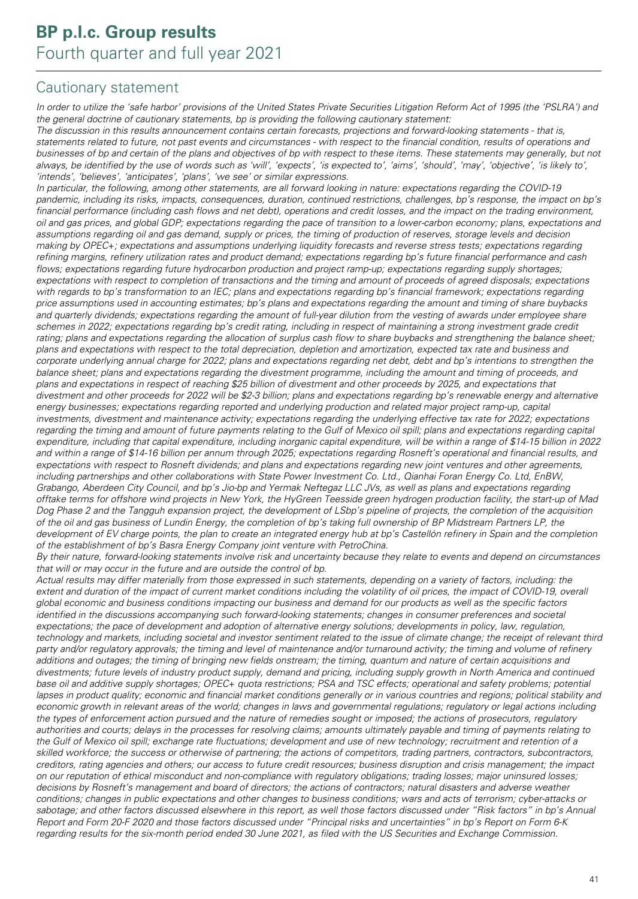### Cautionary statement

In order to utilize the 'safe harbor' provisions of the United States Private Securities Litigation Reform Act of 1995 (the 'PSLRA') and the general doctrine of cautionary statements, bp is providing the following cautionary statement:

The discussion in this results announcement contains certain forecasts, projections and forward-looking statements - that is, statements related to future, not past events and circumstances - with respect to the financial condition, results of operations and businesses of bp and certain of the plans and objectives of bp with respect to these items. These statements may generally, but not always, be identified by the use of words such as 'will', 'expects', 'is expected to', 'aims', 'should', 'may', 'objective', 'is likely to', 'intends', 'believes', 'anticipates', 'plans', 'we see' or similar expressions.

In particular, the following, among other statements, are all forward looking in nature: expectations regarding the COVID-19 pandemic, including its risks, impacts, consequences, duration, continued restrictions, challenges, bp's response, the impact on bp's financial performance (including cash flows and net debt), operations and credit losses, and the impact on the trading environment, oil and gas prices, and global GDP; expectations regarding the pace of transition to a lower-carbon economy; plans, expectations and assumptions regarding oil and gas demand, supply or prices, the timing of production of reserves, storage levels and decision making by OPEC+; expectations and assumptions underlying liquidity forecasts and reverse stress tests; expectations regarding refining margins, refinery utilization rates and product demand; expectations regarding bp's future financial performance and cash flows; expectations regarding future hydrocarbon production and project ramp-up; expectations regarding supply shortages; expectations with respect to completion of transactions and the timing and amount of proceeds of agreed disposals; expectations with regards to bp's transformation to an IEC; plans and expectations regarding bp's financial framework; expectations regarding price assumptions used in accounting estimates; bp's plans and expectations regarding the amount and timing of share buybacks and quarterly dividends; expectations regarding the amount of full-year dilution from the vesting of awards under employee share schemes in 2022; expectations regarding bp's credit rating, including in respect of maintaining a strong investment grade credit rating; plans and expectations regarding the allocation of surplus cash flow to share buybacks and strengthening the balance sheet; plans and expectations with respect to the total depreciation, depletion and amortization, expected tax rate and business and corporate underlying annual charge for 2022; plans and expectations regarding net debt, debt and bp's intentions to strengthen the balance sheet; plans and expectations regarding the divestment programme, including the amount and timing of proceeds, and plans and expectations in respect of reaching \$25 billion of divestment and other proceeds by 2025, and expectations that divestment and other proceeds for 2022 will be \$2-3 billion; plans and expectations regarding bp's renewable energy and alternative energy businesses; expectations regarding reported and underlying production and related major project ramp-up, capital investments, divestment and maintenance activity; expectations regarding the underlying effective tax rate for 2022; expectations regarding the timing and amount of future payments relating to the Gulf of Mexico oil spill; plans and expectations regarding capital expenditure, including that capital expenditure, including inorganic capital expenditure, will be within a range of \$14-15 billion in 2022 and within a range of \$14-16 billion per annum through 2025; expectations regarding Rosneft's operational and financial results, and expectations with respect to Rosneft dividends; and plans and expectations regarding new joint ventures and other agreements, including partnerships and other collaborations with State Power Investment Co. Ltd., Qianhai Foran Energy Co. Ltd, EnBW, Grabango, Aberdeen City Council, and bp's Jio-bp and Yermak Neftegaz LLC JVs, as well as plans and expectations regarding offtake terms for offshore wind projects in New York, the HyGreen Teesside green hydrogen production facility, the start-up of Mad Dog Phase 2 and the Tangguh expansion project, the development of LSbp's pipeline of projects, the completion of the acquisition of the oil and gas business of Lundin Energy, the completion of bp's taking full ownership of BP Midstream Partners LP, the development of EV charge points, the plan to create an integrated energy hub at bp's Castellón refinery in Spain and the completion of the establishment of bp's Basra Energy Company joint venture with PetroChina.

By their nature, forward-looking statements involve risk and uncertainty because they relate to events and depend on circumstances that will or may occur in the future and are outside the control of bp.

Actual results may differ materially from those expressed in such statements, depending on a variety of factors, including: the extent and duration of the impact of current market conditions including the volatility of oil prices, the impact of COVID-19, overall global economic and business conditions impacting our business and demand for our products as well as the specific factors identified in the discussions accompanying such forward-looking statements; changes in consumer preferences and societal expectations; the pace of development and adoption of alternative energy solutions; developments in policy, law, regulation, technology and markets, including societal and investor sentiment related to the issue of climate change; the receipt of relevant third party and/or regulatory approvals; the timing and level of maintenance and/or turnaround activity; the timing and volume of refinery additions and outages; the timing of bringing new fields onstream; the timing, quantum and nature of certain acquisitions and divestments; future levels of industry product supply, demand and pricing, including supply growth in North America and continued base oil and additive supply shortages; OPEC+ quota restrictions; PSA and TSC effects; operational and safety problems; potential lapses in product quality; economic and financial market conditions generally or in various countries and regions; political stability and economic growth in relevant areas of the world; changes in laws and governmental regulations; regulatory or legal actions including the types of enforcement action pursued and the nature of remedies sought or imposed; the actions of prosecutors, regulatory authorities and courts; delays in the processes for resolving claims; amounts ultimately payable and timing of payments relating to the Gulf of Mexico oil spill; exchange rate fluctuations; development and use of new technology; recruitment and retention of a skilled workforce; the success or otherwise of partnering; the actions of competitors, trading partners, contractors, subcontractors, creditors, rating agencies and others; our access to future credit resources; business disruption and crisis management; the impact on our reputation of ethical misconduct and non-compliance with regulatory obligations; trading losses; major uninsured losses; decisions by Rosneft's management and board of directors; the actions of contractors; natural disasters and adverse weather conditions; changes in public expectations and other changes to business conditions; wars and acts of terrorism; cyber-attacks or sabotage; and other factors discussed elsewhere in this report, as well those factors discussed under "Risk factors" in bp's Annual Report and Form 20-F 2020 and those factors discussed under "Principal risks and uncertainties" in bp's Report on Form 6-K regarding results for the six-month period ended 30 June 2021, as filed with the US Securities and Exchange Commission.